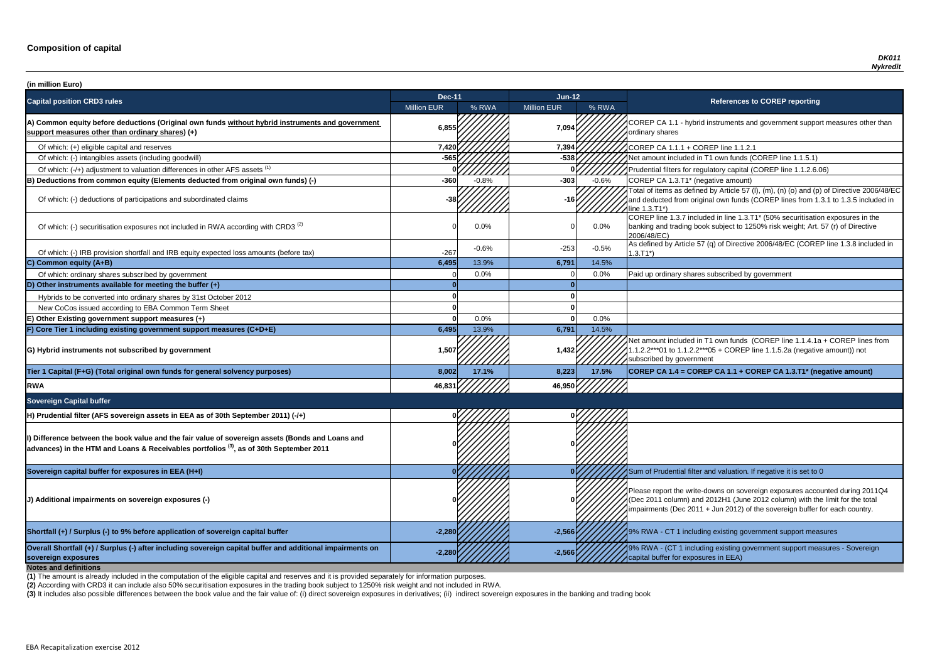**P CA 1.1 - hybrid instruments and government support measures other than** ry shares

of tial filters for regulatory capital (COREP line 1.1.2.6.06)

of items as defined by Article 57 (I), (m), (n) (o) and (p) of Directive 2006/48/EC educted from original own funds (COREP lines from 1.3.1 to 1.3.5 included in  $3.71^*$ 

 $\overline{C}$  line 1.3.7 included in line 1.3.T1\* (50% securitisation exposures in the g and trading book subject to 1250% risk weight; Art. 57 (r) of Directive 8/EC)

of which: IRB provided and IRB provided in and IRB equity expected and IRB equity expected in the tax of Directive 2006/48/EC (COREP line 1.3.8 included in

nount included in T1 own funds (COREP line 1.1.4.1a + COREP lines from  $2***01$  to 1.1.2.2\*\*\*05 + COREP line 1.1.5.2a (negative amount)) not ibed by government

**P** CA 1.4 = COREP CA 1.1 + COREP CA 1.3.T1\* (negative amount)

report the write-downs on sovereign exposures accounted during 2011Q4 (011 column) and 2012H1 (June 2012 column) with the limit for the total ments (Dec 2011 + Jun 2012) of the sovereign buffer for each country.

**A** - CT 1 including existing government support measures

**A** - (CT 1 including existing government support measures - Sovereign buffer for exposures in EEA)

| (in million Euro)                                                                                                                                                                                    |                    |         |                    |         |                                                                                                                                                                                   |
|------------------------------------------------------------------------------------------------------------------------------------------------------------------------------------------------------|--------------------|---------|--------------------|---------|-----------------------------------------------------------------------------------------------------------------------------------------------------------------------------------|
| <b>Capital position CRD3 rules</b>                                                                                                                                                                   | <b>Dec-11</b>      |         | $Jun-12$           |         | <b>References to COREP reporting</b>                                                                                                                                              |
|                                                                                                                                                                                                      | <b>Million EUR</b> | % RWA   | <b>Million EUR</b> | % RWA   |                                                                                                                                                                                   |
| A) Common equity before deductions (Original own funds without hybrid instruments and government<br>support measures other than ordinary shares) (+)                                                 | 6,855              |         | 7,094              |         | COREP CA 1.1 - hybrid instruments and government suppo<br>ordinary shares                                                                                                         |
| Of which: (+) eligible capital and reserves                                                                                                                                                          | 7,420              |         | 7,394              |         | COREP CA 1.1.1 + COREP line 1.1.2.1                                                                                                                                               |
| Of which: (-) intangibles assets (including goodwill)                                                                                                                                                | $-565$             |         | $-538$             |         | Net amount included in T1 own funds (COREP line 1.1.5.1)                                                                                                                          |
| Of which: (-/+) adjustment to valuation differences in other AFS assets <sup>(1)</sup>                                                                                                               |                    |         |                    |         | Prudential filters for regulatory capital (COREP line 1.1.2.6.                                                                                                                    |
| B) Deductions from common equity (Elements deducted from original own funds) (-)                                                                                                                     | $-360$             | $-0.8%$ | $-303$             | $-0.6%$ | COREP CA 1.3.T1* (negative amount)                                                                                                                                                |
| Of which: (-) deductions of participations and subordinated claims                                                                                                                                   |                    |         | -16I·              |         | Total of items as defined by Article 57 (I), (m), (n) (o) and (p<br>and deducted from original own funds (COREP lines from 1<br>line 1.3.T1*)                                     |
| Of which: (-) securitisation exposures not included in RWA according with CRD3 <sup>(2)</sup>                                                                                                        |                    | 0.0%    |                    | $0.0\%$ | COREP line 1.3.7 included in line 1.3.T1* (50% securitisation<br>banking and trading book subject to 1250% risk weight; Art.<br>2006/48/EC)                                       |
| Of which: (-) IRB provision shortfall and IRB equity expected loss amounts (before tax)                                                                                                              | $-267$             | $-0.6%$ | $-253$             | $-0.5%$ | As defined by Article 57 (q) of Directive 2006/48/EC (CORE<br>$1.3.T1*)$                                                                                                          |
| C) Common equity (A+B)                                                                                                                                                                               | 6,495              | 13.9%   | 6,791              | 14.5%   |                                                                                                                                                                                   |
| Of which: ordinary shares subscribed by government                                                                                                                                                   |                    | 0.0%    |                    | 0.0%    | Paid up ordinary shares subscribed by government                                                                                                                                  |
| D) Other instruments available for meeting the buffer $(+)$                                                                                                                                          |                    |         |                    |         |                                                                                                                                                                                   |
| Hybrids to be converted into ordinary shares by 31st October 2012                                                                                                                                    |                    |         |                    |         |                                                                                                                                                                                   |
| New CoCos issued according to EBA Common Term Sheet                                                                                                                                                  |                    |         |                    |         |                                                                                                                                                                                   |
| E) Other Existing government support measures (+)                                                                                                                                                    |                    | 0.0%    |                    | 0.0%    |                                                                                                                                                                                   |
| F) Core Tier 1 including existing government support measures (C+D+E)                                                                                                                                | 6,495              | 13.9%   | 6,791              | 14.5%   |                                                                                                                                                                                   |
| G) Hybrid instruments not subscribed by government                                                                                                                                                   | 1,507              |         | 1,432              |         | Net amount included in T1 own funds (COREP line 1.1.4.1a<br>1.1.2.2***01 to 1.1.2.2***05 + COREP line 1.1.5.2a (negativ<br>subscribed by government                               |
| Tier 1 Capital (F+G) (Total original own funds for general solvency purposes)                                                                                                                        | 8,002              | 17.1%   | 8,223              | 17.5%   | COREP CA 1.4 = COREP CA 1.1 + COREP CA 1.3.T1* (ne                                                                                                                                |
| <b>RWA</b>                                                                                                                                                                                           | 46,831             |         | 46,950             |         |                                                                                                                                                                                   |
| <b>Sovereign Capital buffer</b>                                                                                                                                                                      |                    |         |                    |         |                                                                                                                                                                                   |
| H) Prudential filter (AFS sovereign assets in EEA as of 30th September 2011) (-/+)                                                                                                                   |                    |         |                    |         |                                                                                                                                                                                   |
| I) Difference between the book value and the fair value of sovereign assets (Bonds and Loans and<br>$ $ advances) in the HTM and Loans & Receivables portfolios $^{(3)}$ , as of 30th September 2011 |                    |         |                    |         |                                                                                                                                                                                   |
| Sovereign capital buffer for exposures in EEA (H+I)                                                                                                                                                  |                    |         |                    |         | Sum of Prudential filter and valuation. If negative it is set to                                                                                                                  |
| J) Additional impairments on sovereign exposures (-)                                                                                                                                                 |                    |         |                    |         | Please report the write-downs on sovereign exposures acco<br>(Dec 2011 column) and 2012H1 (June 2012 column) with th<br>impairments (Dec 2011 + Jun 2012) of the sovereign buffer |
| Shortfall (+) / Surplus (-) to 9% before application of sovereign capital buffer                                                                                                                     | $-2,280$           |         | $-2,566$           |         | 9% RWA - CT 1 including existing government support mea                                                                                                                           |
| Overall Shortfall (+) / Surplus (-) after including sovereign capital buffer and additional impairments on<br>sovereign exposures<br><b>Notes and definitions</b>                                    | $-2,28$            |         | $-2,566$           |         | 9% RWA - (CT 1 including existing government support mea<br>capital buffer for exposures in EEA)                                                                                  |

**(2)** According with CRD3 it can include also 50% securitisation exposures in the trading book subject to 1250% risk weight and not included in RWA.

(3) It includes also possible differences between the book value and the fair value of: (i) direct sovereign exposures in derivatives; (ii) indirect sovereign exposures in the banking and trading book

**(1)** The amount is already included in the computation of the eligible capital and reserves and it is provided separately for information purposes.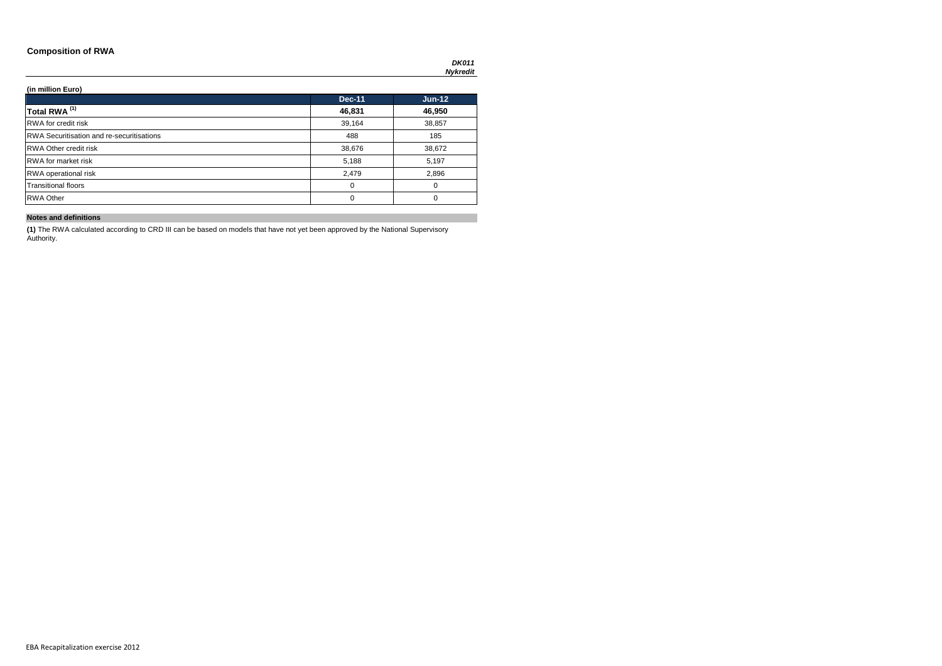### **Composition of RWA**

*DK011 Nykredit*

### **(in million Euro)**

|                                                  | <b>Dec-11</b> | $Jun-12$ |
|--------------------------------------------------|---------------|----------|
| Total RWA <sup>(1)</sup>                         | 46,831        | 46,950   |
| <b>RWA</b> for credit risk                       | 39,164        | 38,857   |
| <b>RWA Securitisation and re-securitisations</b> | 488           | 185      |
| <b>RWA Other credit risk</b>                     | 38,676        | 38,672   |
| <b>RWA</b> for market risk                       | 5,188         | 5,197    |
| <b>RWA</b> operational risk                      | 2,479         | 2,896    |
| <b>Transitional floors</b>                       | 0             | 0        |
| <b>RWA Other</b>                                 | 0             | $\Omega$ |

### **Notes and definitions**

**(1)** The RWA calculated according to CRD III can be based on models that have not yet been approved by the National Supervisory Authority.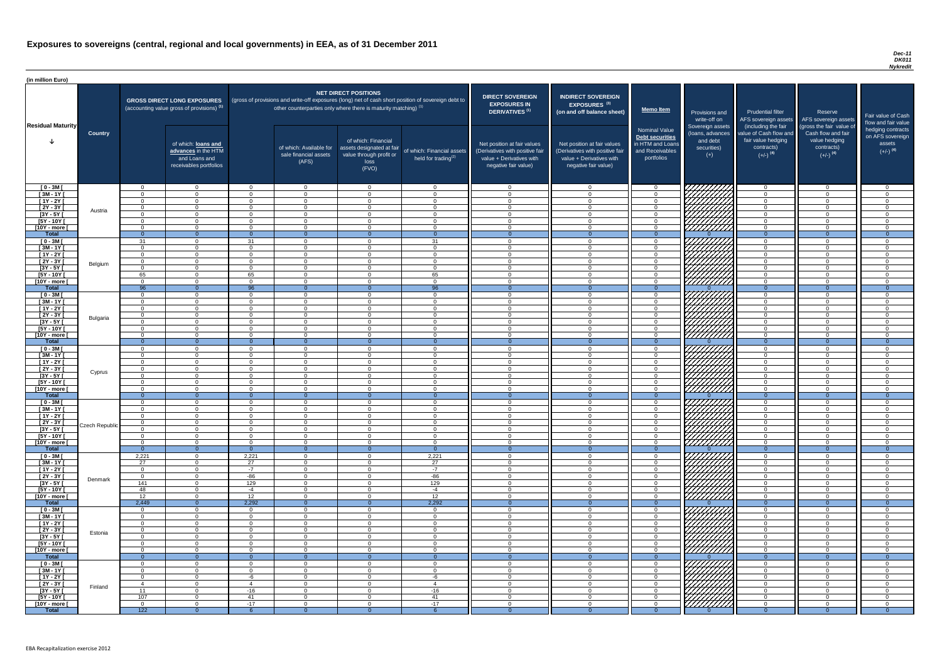#### *Dec-11 DK011 Nykredit*

| (in million Euro)                     |                |                            |                                                                                             |                      |                                                                            |                                                                                              |                                                                                                     |                                                                                                                    |                                                                                                                    |                                                                                       |                                                                          |                                                                                                             |                                                                                                         |                                                   |
|---------------------------------------|----------------|----------------------------|---------------------------------------------------------------------------------------------|----------------------|----------------------------------------------------------------------------|----------------------------------------------------------------------------------------------|-----------------------------------------------------------------------------------------------------|--------------------------------------------------------------------------------------------------------------------|--------------------------------------------------------------------------------------------------------------------|---------------------------------------------------------------------------------------|--------------------------------------------------------------------------|-------------------------------------------------------------------------------------------------------------|---------------------------------------------------------------------------------------------------------|---------------------------------------------------|
|                                       |                |                            | <b>GROSS DIRECT LONG EXPOSURES</b><br>(accounting value gross of provisions) <sup>(1)</sup> |                      | other counterparties only where there is maturity matching) <sup>(1)</sup> | <b>NET DIRECT POSITIONS</b>                                                                  | (gross of provisions and write-off exposures (long) net of cash short position of sovereign debt to | <b>DIRECT SOVEREIGN</b><br><b>EXPOSURES IN</b><br>DERIVATIVES <sup>(1)</sup>                                       | <b>INDIRECT SOVEREIGN</b><br><b>EXPOSURES<sup>(3)</sup></b><br>(on and off balance sheet)                          | <b>Memo Item</b>                                                                      | Provisions and<br>write-off on                                           | <b>Prudential filter</b><br>AFS sovereign assets                                                            | Reserve<br>AFS sovereign assets                                                                         | Fair value<br>flow and f                          |
| <b>Residual Maturity</b>              | <b>Country</b> |                            | of which: loans and<br>advances in the HTM<br>and Loans and<br>receivables portfolios       |                      | of which: Available for<br>sale financial assets<br>(AFS)                  | of which: Financial<br>assets designated at fair<br>value through profit or<br>loss<br>(FVO) | of which: Financial assets<br>held for trading <sup>(2)</sup>                                       | Net position at fair values<br>(Derivatives with positive fair<br>value + Derivatives with<br>negative fair value) | Net position at fair values<br>(Derivatives with positive fair<br>value + Derivatives with<br>negative fair value) | Nominal Value<br>Debt securities<br>in HTM and Loans<br>and Receivables<br>portfolios | Sovereign assets<br>(loans, advances<br>and debt<br>securities)<br>$(+)$ | (including the fair<br>value of Cash flow and<br>fair value hedging<br>contracts)<br>$(+/-)$ <sup>(4)</sup> | (gross the fair value of<br>Cash flow and fair<br>value hedging<br>contracts)<br>$(+/-)$ <sup>(4)</sup> | hedging o<br>on AFS <sub>s</sub><br>ass<br>$(+/-$ |
| $[0 - 3M]$                            |                | $\cap$                     | $\overline{0}$                                                                              | $\Omega$             | $\overline{0}$                                                             | $\overline{0}$                                                                               | $\cap$                                                                                              | $\cap$                                                                                                             | $\Omega$                                                                                                           | - 0                                                                                   | 777777777                                                                | $\overline{0}$                                                                                              | $\overline{0}$                                                                                          |                                                   |
| $[3M - 1Y]$                           |                | $\cap$                     | $\Omega$                                                                                    | $\Omega$             | $\Omega$                                                                   | $\Omega$                                                                                     | $\Omega$<br>$\Omega$                                                                                | $\Omega$<br>$\Omega$                                                                                               | $\Omega$                                                                                                           | $\overline{0}$                                                                        |                                                                          | $\Omega$                                                                                                    | $\Omega$                                                                                                |                                                   |
| $[1Y - 2Y]$<br>$[2Y - 3Y]$            |                | $\Omega$<br>$\Omega$       | $\Omega$<br>$\Omega$                                                                        | $\Omega$<br>$\Omega$ | $\Omega$<br>$\Omega$                                                       | $\Omega$<br>$\Omega$                                                                         | $\Omega$                                                                                            |                                                                                                                    | $\cap$<br>$\cap$                                                                                                   | $\Omega$<br>$\Omega$                                                                  |                                                                          | $\Omega$<br>$\Omega$                                                                                        | $\Omega$<br>$\Omega$                                                                                    |                                                   |
| $[3Y - 5Y]$                           | Austria        | $\Omega$                   | $\Omega$                                                                                    | $\Omega$             | $\overline{0}$                                                             | $\Omega$                                                                                     | $\Omega$                                                                                            | $\Omega$                                                                                                           | $\Omega$                                                                                                           | $\Omega$                                                                              |                                                                          | $\Omega$                                                                                                    | $\Omega$                                                                                                |                                                   |
| $[5Y - 10Y]$                          |                | $\Omega$                   | $\Omega$                                                                                    | $\Omega$             | $\Omega$                                                                   | $\Omega$                                                                                     | $\cap$                                                                                              | $\cap$                                                                                                             | $\Omega$                                                                                                           | $\Omega$                                                                              |                                                                          | $\Omega$                                                                                                    | $\Omega$                                                                                                |                                                   |
| [10Y - more [                         |                | $\cap$                     | $\Omega$                                                                                    | $\Omega$             | $\Omega$                                                                   | $\Omega$                                                                                     | $\cap$                                                                                              | $\Omega$                                                                                                           | $\cap$                                                                                                             | $\overline{0}$                                                                        | 777777777                                                                | $\overline{0}$                                                                                              | $\Omega$                                                                                                |                                                   |
| <b>Total</b>                          |                | $\Omega$<br>31             | $\cap$<br>$\Omega$                                                                          | $\Omega$<br>31       | $\Omega$<br>$\Omega$                                                       | $\cap$<br>$\Omega$                                                                           | $\Omega$<br>31                                                                                      | $\cap$                                                                                                             | $\Omega$                                                                                                           | - 0<br>$\overline{0}$                                                                 | 777777777                                                                | $\Omega$<br>$\Omega$                                                                                        | $\Omega$<br>$\Omega$                                                                                    |                                                   |
| $[0 - 3M]$<br>$[3M - 1Y]$             |                | $\Omega$                   | $\Omega$                                                                                    | $\Omega$             | $\overline{0}$                                                             | $\Omega$                                                                                     | $\cap$                                                                                              | $\Omega$                                                                                                           | $\Omega$                                                                                                           | $\Omega$                                                                              |                                                                          | $\Omega$                                                                                                    | $\overline{0}$                                                                                          |                                                   |
| $[1Y - 2Y]$                           |                | $\Omega$                   | $\overline{0}$                                                                              | $\Omega$             | $\overline{0}$                                                             | $\overline{0}$                                                                               | $\Omega$                                                                                            | $\Omega$                                                                                                           | $\Omega$                                                                                                           | $\overline{0}$                                                                        |                                                                          | $\overline{0}$                                                                                              | $\overline{0}$                                                                                          |                                                   |
| $[2Y - 3Y]$                           | Belgium        | $\Omega$                   | $\Omega$                                                                                    | $\Omega$             | $\overline{0}$                                                             | $\Omega$                                                                                     | $\Omega$                                                                                            | $\Omega$                                                                                                           | $\Omega$                                                                                                           | $\overline{0}$                                                                        |                                                                          | $\overline{0}$                                                                                              | $\overline{0}$                                                                                          |                                                   |
| $[3Y - 5Y]$                           |                | $\Omega$                   | $\Omega$                                                                                    | $\Omega$             | $\Omega$                                                                   | $\Omega$                                                                                     | $\cap$                                                                                              | $\Omega$                                                                                                           | $\cap$                                                                                                             | $\Omega$                                                                              |                                                                          | $\Omega$                                                                                                    | $\Omega$                                                                                                |                                                   |
| $[5Y - 10Y]$<br>[10Y - more [         |                | 65<br>$\Omega$             | $\Omega$<br>$\Omega$                                                                        | 65<br>$\Omega$       | $\Omega$<br>$\Omega$                                                       | $\Omega$<br>$\Omega$                                                                         | 65<br>$\cap$                                                                                        |                                                                                                                    | $\cap$                                                                                                             | $\Omega$<br>$\Omega$                                                                  | 777777777                                                                | $\Omega$<br>$\Omega$                                                                                        | $\Omega$<br>$\Omega$                                                                                    |                                                   |
| <b>Total</b>                          |                | 96                         | $\Omega$                                                                                    | 96                   | $\Omega$                                                                   | $\Omega$                                                                                     | 96                                                                                                  |                                                                                                                    | $\Omega$                                                                                                           | $\overline{0}$                                                                        |                                                                          | $\overline{0}$                                                                                              | $\Omega$                                                                                                |                                                   |
| $[0 - 3M]$                            |                | $\Omega$                   | $\Omega$                                                                                    | $\Omega$             | $\overline{0}$                                                             | $\Omega$                                                                                     | $\cap$                                                                                              |                                                                                                                    | $\cap$                                                                                                             | $\Omega$                                                                              |                                                                          | $\Omega$                                                                                                    | $\Omega$                                                                                                |                                                   |
| $[3M - 1Y]$                           |                | $\Omega$                   | $\Omega$                                                                                    | $\Omega$             | $\Omega$                                                                   | $\Omega$                                                                                     | $\cap$                                                                                              | $\cap$                                                                                                             | $\Omega$                                                                                                           | $\Omega$                                                                              |                                                                          | $\overline{0}$                                                                                              | $\Omega$                                                                                                |                                                   |
| $[1Y - 2Y]$<br>$[2Y - 3Y]$            |                | $\Omega$<br>$\Omega$       | $\Omega$<br>$\Omega$                                                                        | $\Omega$<br>$\Omega$ | $\Omega$<br>$\Omega$                                                       | $\Omega$<br>$\Omega$                                                                         | $\cap$<br>$\Omega$                                                                                  | $\cap$<br>$\cap$                                                                                                   | $\cap$<br>$\cap$                                                                                                   | $\Omega$<br>$\Omega$                                                                  |                                                                          | $\overline{0}$<br>$\Omega$                                                                                  | $\Omega$<br>$\overline{0}$                                                                              |                                                   |
| [3Y - 5Y [                            | Bulgaria       |                            |                                                                                             |                      |                                                                            |                                                                                              |                                                                                                     |                                                                                                                    |                                                                                                                    |                                                                                       | <i>WAHAA</i>                                                             |                                                                                                             |                                                                                                         |                                                   |
| $[5Y - 10Y]$                          |                | $\Omega$                   | $\Omega$                                                                                    | $\Omega$             | $\Omega$                                                                   | $\Omega$                                                                                     |                                                                                                     |                                                                                                                    | $\Omega$                                                                                                           | $\Omega$                                                                              | ( <i>HHHHH</i>                                                           | $\Omega$                                                                                                    | $\Omega$                                                                                                |                                                   |
| [10Y - more [                         |                | $\Omega$                   | $\Omega$                                                                                    | $\Omega$             | $\overline{0}$                                                             | $\Omega$                                                                                     |                                                                                                     |                                                                                                                    | $\Omega$                                                                                                           | $\Omega$                                                                              | /////////                                                                | $\Omega$                                                                                                    | $\Omega$                                                                                                |                                                   |
| <b>Total</b>                          |                | $\overline{0}$<br>$\Omega$ | $\Omega$                                                                                    | $\Omega$             | $\Omega$                                                                   | - 0                                                                                          | $\Omega$                                                                                            | ⌒                                                                                                                  |                                                                                                                    | $\Omega$                                                                              |                                                                          | $\overline{0}$                                                                                              | $\Omega$                                                                                                |                                                   |
| $[0 - 3M]$<br>$[3M - 1Y]$             |                | $\Omega$                   | $\Omega$<br>$\Omega$                                                                        | - ೧<br>$\Omega$      | $\Omega$<br>$\Omega$                                                       | $\Omega$<br>$\Omega$                                                                         |                                                                                                     |                                                                                                                    | $\Omega$<br>∩                                                                                                      | $\cap$<br>$\Omega$                                                                    |                                                                          | $\Omega$<br>$\Omega$                                                                                        | $\Omega$<br>$\Omega$                                                                                    |                                                   |
| $\overline{[1Y-2Y]}$                  |                |                            | $\Omega$                                                                                    | $\Omega$             | $\Omega$                                                                   | $\Omega$                                                                                     |                                                                                                     |                                                                                                                    |                                                                                                                    | $\Omega$                                                                              | <b>17777</b>                                                             | $\Omega$                                                                                                    | $\Omega$                                                                                                |                                                   |
| $\overline{[2Y-3Y]}$                  | Cyprus         |                            | $\Omega$                                                                                    | - ೧                  | $\Omega$                                                                   | $\Omega$                                                                                     | $\Omega$                                                                                            |                                                                                                                    | $\Omega$                                                                                                           | - 0                                                                                   |                                                                          | $\Omega$                                                                                                    | $\Omega$                                                                                                |                                                   |
| $[3Y - 5Y]$                           |                | $\Omega$                   | $\Omega$                                                                                    | - 0                  | $\Omega$                                                                   | $\Omega$                                                                                     | $\cap$                                                                                              | $\cap$                                                                                                             | $\Omega$                                                                                                           | $\Omega$                                                                              |                                                                          | $\Omega$                                                                                                    | $\Omega$                                                                                                |                                                   |
| $[5Y - 10Y]$<br>[10Y - more [         |                | $\cap$<br>$\Omega$         | $\Omega$<br>$\Omega$                                                                        | $\Omega$<br>$\Omega$ | $\Omega$<br>$\Omega$                                                       | $\Omega$<br>$\Omega$                                                                         | $\Omega$<br>$\Omega$                                                                                | $\Omega$                                                                                                           | ∩<br>$\Omega$                                                                                                      | $\Omega$<br>$\Omega$                                                                  |                                                                          | $\Omega$<br>$\overline{0}$                                                                                  | $\Omega$<br>$\Omega$                                                                                    |                                                   |
| <b>Total</b>                          |                | $\Omega$                   |                                                                                             | -0                   | - റ                                                                        |                                                                                              |                                                                                                     |                                                                                                                    |                                                                                                                    | $\Omega$                                                                              |                                                                          | $\Omega$                                                                                                    | $\Omega$                                                                                                |                                                   |
| $[0 - 3M]$                            |                | $\Omega$                   | $\Omega$                                                                                    | $\Omega$             | $\Omega$                                                                   | $\Omega$                                                                                     | $\Omega$                                                                                            |                                                                                                                    | $\Omega$                                                                                                           | $\cap$                                                                                |                                                                          | $\Omega$                                                                                                    | $\Omega$                                                                                                |                                                   |
| $\sqrt{3M-11}$                        |                | $\Omega$                   | $\overline{0}$                                                                              | $\Omega$             | $\overline{0}$                                                             | $\Omega$                                                                                     | $\Omega$                                                                                            | $\Omega$                                                                                                           | $\Omega$                                                                                                           | $\overline{0}$                                                                        | 777777777                                                                | $\overline{0}$                                                                                              | $\Omega$                                                                                                |                                                   |
| $[1Y - 2Y]$                           |                | $\Omega$                   | $\Omega$                                                                                    | $\Omega$             | $\overline{0}$                                                             | $\Omega$                                                                                     | $\Omega$                                                                                            | $\Omega$                                                                                                           | $\Omega$                                                                                                           | $\Omega$                                                                              |                                                                          | $\overline{0}$                                                                                              | $\overline{0}$                                                                                          |                                                   |
| $[2Y - 3Y]$<br>$\overline{[3Y - 5Y]}$ | Czech Republic | $\Omega$                   | $\Omega$<br>$\overline{0}$                                                                  | - റ<br>$\Omega$      | $\overline{0}$<br>$\mathbf 0$                                              | $\Omega$<br>$\Omega$                                                                         |                                                                                                     |                                                                                                                    | $\Omega$<br>$\Omega$                                                                                               | $\Omega$<br>$\Omega$                                                                  |                                                                          | $\Omega$<br>$\overline{0}$                                                                                  | $\Omega$<br>$\overline{0}$                                                                              |                                                   |
| $[5Y - 10Y]$                          |                |                            | $\Omega$                                                                                    | - റ                  | $\Omega$                                                                   | $\Omega$                                                                                     | ∩                                                                                                   |                                                                                                                    | $\Omega$                                                                                                           | $\Omega$                                                                              |                                                                          | $\Omega$                                                                                                    | $\Omega$                                                                                                |                                                   |
| [10Y - more [                         |                | $\cap$                     | $\Omega$                                                                                    | - 0                  | $\Omega$                                                                   | $\Omega$                                                                                     |                                                                                                     |                                                                                                                    | $\cap$                                                                                                             | $\cap$                                                                                | 77777777                                                                 | $\Omega$                                                                                                    | $\Omega$                                                                                                |                                                   |
| <b>Total</b>                          |                | $\Omega$                   | $\overline{0}$                                                                              | $\Omega$             | $\Omega$                                                                   | - 0                                                                                          | $\overline{0}$                                                                                      |                                                                                                                    | $\Omega$                                                                                                           | $\Omega$                                                                              |                                                                          | $\overline{0}$                                                                                              | $\Omega$                                                                                                |                                                   |
| $[0 - 3M]$<br>$[3M - 1Y]$             |                | 2,221<br>27                | $\overline{0}$<br>$\Omega$                                                                  | 2,221<br>27          | $\overline{0}$<br>$\Omega$                                                 | $\Omega$<br>$\Omega$                                                                         | 2,221<br>27                                                                                         | $\Omega$<br>$\cap$                                                                                                 | $\Omega$<br>$\cap$                                                                                                 | $\Omega$<br>$\Omega$                                                                  |                                                                          | $\Omega$<br>$\overline{0}$                                                                                  | $\Omega$<br>$\Omega$                                                                                    |                                                   |
| $[1Y - 2Y]$                           |                | $\overline{0}$             | $\overline{0}$                                                                              | $-7$                 | $\overline{0}$                                                             | $\overline{0}$                                                                               | $-7$                                                                                                | $\Omega$                                                                                                           | $\cap$                                                                                                             | $\Omega$                                                                              |                                                                          | $\overline{0}$                                                                                              | $\Omega$                                                                                                |                                                   |
| $\overline{[2Y-3Y]}$                  | Denmark        | $\Omega$                   | $\Omega$                                                                                    | $-86$                | $\overline{0}$                                                             | $\Omega$                                                                                     | $-86$                                                                                               | $\cap$                                                                                                             | $\cap$                                                                                                             | $\Omega$                                                                              |                                                                          | $\overline{0}$                                                                                              | $\Omega$                                                                                                |                                                   |
| $[3Y - 5Y]$                           |                | 141                        | $\Omega$                                                                                    | 129                  | $\Omega$                                                                   | $\Omega$                                                                                     | 129                                                                                                 | $\Omega$                                                                                                           | $\Omega$                                                                                                           | $\Omega$                                                                              | UMM)                                                                     | $\overline{0}$                                                                                              | $\Omega$                                                                                                |                                                   |
| $[5Y - 10Y]$                          |                | 48<br>12                   | $\overline{0}$<br>$\Omega$                                                                  | $-4$<br>12           | $\overline{0}$<br>$\overline{0}$                                           | $\overline{0}$<br>$\Omega$                                                                   | $-4$<br>12                                                                                          | $\Omega$<br>$\Omega$                                                                                               | $\Omega$<br>$\Omega$                                                                                               | $\Omega$<br>$\Omega$                                                                  |                                                                          | $\overline{0}$<br>$\overline{0}$                                                                            | $\Omega$<br>$\Omega$                                                                                    |                                                   |
| [10Y - more [<br><b>Total</b>         |                | 2,449                      | $\overline{0}$                                                                              | 2,292                | $\Omega$                                                                   | $\cap$                                                                                       | 2,292                                                                                               |                                                                                                                    | $\Omega$                                                                                                           | $\Omega$                                                                              | 77777777                                                                 | $\overline{0}$                                                                                              | $\Omega$                                                                                                |                                                   |
| $[0 - 3M]$                            |                | $\Omega$                   | $\Omega$                                                                                    | $\Omega$             | $\overline{0}$                                                             | $\Omega$                                                                                     | $\cap$                                                                                              |                                                                                                                    | $\Omega$                                                                                                           | $\Omega$                                                                              |                                                                          | $\Omega$                                                                                                    | $\Omega$                                                                                                |                                                   |
| $[3M - 1Y]$                           |                | $\Omega$                   | $\Omega$                                                                                    | $\Omega$             | $\mathbf 0$                                                                | $\Omega$                                                                                     |                                                                                                     |                                                                                                                    |                                                                                                                    | $\Omega$                                                                              |                                                                          | $\Omega$                                                                                                    | $\Omega$                                                                                                |                                                   |
| $[1Y - 2Y]$                           |                | $\Omega$                   | $\Omega$                                                                                    | - 0                  | $\Omega$                                                                   | $\Omega$                                                                                     | $\Omega$                                                                                            |                                                                                                                    | $\Omega$                                                                                                           | $\cap$                                                                                | 177<br>レンプブ                                                              | $\Omega$                                                                                                    | $\Omega$                                                                                                |                                                   |
| $[2Y - 3Y]$<br>$\overline{3Y - 5Y}$   | Estonia        | $\Omega$<br>$\Omega$       | $\Omega$<br>$\Omega$                                                                        | $\Omega$<br>$\Omega$ | $\overline{0}$<br>$\Omega$                                                 | $\Omega$<br>$\Omega$                                                                         | $\cap$<br>$\cap$                                                                                    |                                                                                                                    | $\Omega$<br>$\Omega$                                                                                               | $\cap$<br>$\Omega$                                                                    |                                                                          | $\Omega$<br>$\Omega$                                                                                        | $\Omega$<br>$\Omega$                                                                                    |                                                   |
| $[5Y - 10Y]$                          |                | $\cap$                     | $\Omega$                                                                                    | $\Omega$             | $\Omega$                                                                   | - റ                                                                                          | $\Omega$                                                                                            |                                                                                                                    | $\Omega$                                                                                                           | $\cap$                                                                                | レンプ                                                                      | $\Omega$                                                                                                    | $\Omega$                                                                                                |                                                   |
| [10Y - more [                         |                | $\cap$                     | $\Omega$                                                                                    | - 0                  | $\Omega$                                                                   | റ                                                                                            | $\cap$                                                                                              | $\cap$                                                                                                             | $\cap$                                                                                                             | $\Omega$                                                                              | ' <i>///</i>                                                             | $\Omega$                                                                                                    | $\Omega$                                                                                                |                                                   |
| <b>Total</b>                          |                | $\Omega$                   |                                                                                             | $\Omega$             | $\Omega$                                                                   |                                                                                              |                                                                                                     |                                                                                                                    |                                                                                                                    |                                                                                       |                                                                          | $\Omega$                                                                                                    |                                                                                                         |                                                   |
| $[0 - 3M]$                            |                |                            | $\Omega$                                                                                    | $\cap$               | $\Omega$                                                                   | $\Omega$                                                                                     |                                                                                                     |                                                                                                                    | $\cap$                                                                                                             | $\cap$                                                                                | <i>V7777777</i> 7                                                        | $\Omega$                                                                                                    | $\Omega$                                                                                                |                                                   |
| $[3M - 1Y]$<br>$[1Y - 2Y]$            |                | $\Omega$<br>$\Omega$       | $\Omega$<br>$\overline{0}$                                                                  | $\Omega$<br>-6       | $\overline{0}$<br>$\overline{0}$                                           | $\overline{0}$<br>$\overline{0}$                                                             | $\Omega$<br>-6                                                                                      | $\Omega$<br>$\Omega$                                                                                               | $\Omega$<br>$\overline{0}$                                                                                         | $\Omega$<br>$\overline{0}$                                                            | <i>VIIIIII</i> A                                                         | $\overline{0}$<br>$\overline{0}$                                                                            | $\overline{0}$<br>$\overline{0}$                                                                        |                                                   |
| $[2Y - 3Y]$                           |                | $\overline{4}$             | $\overline{0}$                                                                              | $\overline{4}$       | $\overline{0}$                                                             | $\overline{0}$                                                                               | $\overline{4}$                                                                                      | $\Omega$                                                                                                           | $\Omega$                                                                                                           | $\overline{0}$                                                                        |                                                                          | $\overline{0}$                                                                                              | $\overline{0}$                                                                                          |                                                   |
| $[3Y - 5Y]$                           | Finland        | 11                         | $\overline{0}$                                                                              | $-16$                | $\overline{0}$                                                             | $\Omega$                                                                                     | $-16$                                                                                               | $\Omega$                                                                                                           | $\overline{0}$                                                                                                     | $\Omega$                                                                              |                                                                          | $\overline{0}$                                                                                              | $\Omega$                                                                                                |                                                   |
| $[5Y - 10Y]$                          |                | 107                        | $\overline{0}$                                                                              | 41                   | $\overline{0}$                                                             | $\overline{0}$                                                                               | 41                                                                                                  |                                                                                                                    | $\Omega$                                                                                                           | $\Omega$                                                                              | William                                                                  | $\Omega$                                                                                                    | $\Omega$                                                                                                |                                                   |
| $[10Y - more]$<br><b>Total</b>        |                | $\Omega$<br>122            | $\overline{0}$<br>$\Omega$                                                                  | $-17$                | $\Omega$<br>$\Omega$                                                       | $\overline{0}$<br>$\Omega$                                                                   | $-17$                                                                                               |                                                                                                                    | $\Omega$                                                                                                           | $\Omega$                                                                              |                                                                          | $\Omega$<br>$\Omega$                                                                                        | $\Omega$<br>$\Omega$                                                                                    |                                                   |
|                                       |                |                            |                                                                                             |                      |                                                                            |                                                                                              |                                                                                                     |                                                                                                                    |                                                                                                                    |                                                                                       |                                                                          |                                                                                                             |                                                                                                         |                                                   |

| <b>DIRECT SOVEREIGN</b><br><b>EXPOSURES IN</b><br><b>DERIVATIVES<sup>(1)</sup></b><br>Net position at fair values<br>(Derivatives with positive fair<br>value + Derivatives with<br>negative fair value) | <b>INDIRECT SOVEREIGN</b><br>EXPOSURES <sup>(3)</sup><br>(on and off balance sheet)<br>Net position at fair values<br>(Derivatives with positive fair<br>value + Derivatives with<br>negative fair value) | <b>Memo Item</b><br><b>Nominal Value</b><br>Debt securities<br>in HTM and Loans<br>and Receivables<br>portfolios | Provisions and<br>write-off on<br>Sovereign assets<br>(loans, advances<br>and debt<br>securities)<br>$^{(+)}$ | <b>Prudential filter</b><br>AFS sovereign assets<br>(including the fair<br>value of Cash flow and<br>fair value hedging<br>contracts)<br>$(+/-)$ <sup>(4)</sup> | Reserve<br>AFS sovereign assets<br>(gross the fair value of<br>Cash flow and fair<br>value hedging<br>contracts)<br>$(+/-)$ <sup>(4)</sup> | Fair value of Cash<br>flow and fair value<br>hedging contracts<br>on AFS sovereign<br>assets<br>$(+/-)$ <sup>(4)</sup> |
|----------------------------------------------------------------------------------------------------------------------------------------------------------------------------------------------------------|-----------------------------------------------------------------------------------------------------------------------------------------------------------------------------------------------------------|------------------------------------------------------------------------------------------------------------------|---------------------------------------------------------------------------------------------------------------|-----------------------------------------------------------------------------------------------------------------------------------------------------------------|--------------------------------------------------------------------------------------------------------------------------------------------|------------------------------------------------------------------------------------------------------------------------|
| $\mathbf 0$                                                                                                                                                                                              | 0                                                                                                                                                                                                         | $\mathbf 0$                                                                                                      |                                                                                                               | $\mathbf 0$                                                                                                                                                     | $\mathbf 0$                                                                                                                                | 0                                                                                                                      |
| $\mathbf 0$                                                                                                                                                                                              | $\mathbf 0$                                                                                                                                                                                               | $\mathbf 0$                                                                                                      |                                                                                                               | $\mathbf 0$                                                                                                                                                     | $\mathbf 0$                                                                                                                                | $\mathbf 0$                                                                                                            |
| $\mathbf 0$                                                                                                                                                                                              | $\mathbf 0$                                                                                                                                                                                               | $\mathbf 0$                                                                                                      |                                                                                                               | $\mathbf 0$                                                                                                                                                     | $\mathbf 0$                                                                                                                                | $\overline{0}$                                                                                                         |
| $\mathbf 0$<br>$\mathbf 0$                                                                                                                                                                               | $\mathbf 0$<br>$\mathbf 0$                                                                                                                                                                                | $\mathbf 0$<br>$\mathbf 0$                                                                                       |                                                                                                               | $\mathbf 0$<br>$\mathbf 0$                                                                                                                                      | $\mathbf 0$<br>$\overline{0}$                                                                                                              | $\pmb{0}$<br>$\pmb{0}$                                                                                                 |
| $\mathbf 0$                                                                                                                                                                                              | $\mathbf 0$                                                                                                                                                                                               | $\mathbf 0$                                                                                                      |                                                                                                               | $\overline{0}$                                                                                                                                                  | $\overline{0}$                                                                                                                             | $\mathbf 0$                                                                                                            |
| $\mathbf 0$                                                                                                                                                                                              | $\mathbf 0$                                                                                                                                                                                               | 0                                                                                                                |                                                                                                               | $\mathbf 0$                                                                                                                                                     | $\mathbf 0$                                                                                                                                | $\mathbf 0$                                                                                                            |
| $\overline{0}$                                                                                                                                                                                           | $\overline{0}$                                                                                                                                                                                            | $\overline{0}$                                                                                                   | $\Omega$                                                                                                      | $\overline{0}$                                                                                                                                                  | $\overline{0}$                                                                                                                             | $\overline{0}$                                                                                                         |
| $\mathbf 0$                                                                                                                                                                                              | $\mathbf 0$                                                                                                                                                                                               | 0                                                                                                                |                                                                                                               | $\mathbf 0$                                                                                                                                                     | $\mathbf 0$                                                                                                                                | $\overline{0}$                                                                                                         |
| $\mathbf 0$                                                                                                                                                                                              | $\mathbf 0$                                                                                                                                                                                               | $\mathbf 0$                                                                                                      |                                                                                                               | $\mathbf 0$                                                                                                                                                     | $\mathbf 0$                                                                                                                                | $\mathbf 0$                                                                                                            |
| $\mathbf 0$                                                                                                                                                                                              | $\mathbf 0$                                                                                                                                                                                               | $\mathbf 0$                                                                                                      |                                                                                                               | $\mathbf 0$                                                                                                                                                     | $\mathbf 0$                                                                                                                                | $\mathbf 0$                                                                                                            |
| $\mathbf 0$                                                                                                                                                                                              | 0                                                                                                                                                                                                         | $\mathbf 0$                                                                                                      |                                                                                                               | $\mathbf 0$                                                                                                                                                     | $\Omega$                                                                                                                                   | 0                                                                                                                      |
| $\boldsymbol{0}$<br>$\pmb{0}$                                                                                                                                                                            | $\mathbf 0$<br>$\mathbf 0$                                                                                                                                                                                | $\pmb{0}$<br>$\mathbf 0$                                                                                         |                                                                                                               | 0<br>$\mathbf 0$                                                                                                                                                | $\mathbf 0$<br>$\mathbf 0$                                                                                                                 | $\mathbf 0$<br>$\mathbf 0$                                                                                             |
| $\mathbf 0$                                                                                                                                                                                              | $\mathbf 0$                                                                                                                                                                                               | $\pmb{0}$                                                                                                        |                                                                                                               | $\mathbf 0$                                                                                                                                                     | $\mathbf 0$                                                                                                                                | $\overline{0}$                                                                                                         |
| $\overline{0}$                                                                                                                                                                                           | $\overline{0}$                                                                                                                                                                                            | $\overline{0}$                                                                                                   |                                                                                                               | $\overline{0}$                                                                                                                                                  | $\overline{0}$                                                                                                                             | $\overline{0}$                                                                                                         |
| $\mathbf 0$                                                                                                                                                                                              | $\mathbf 0$                                                                                                                                                                                               | 0                                                                                                                |                                                                                                               | $\mathbf 0$                                                                                                                                                     | $\overline{0}$                                                                                                                             | $\mathbf 0$                                                                                                            |
| $\mathbf 0$                                                                                                                                                                                              | $\mathbf 0$                                                                                                                                                                                               | $\mathbf 0$                                                                                                      |                                                                                                               | $\overline{0}$                                                                                                                                                  | $\overline{0}$                                                                                                                             | $\overline{0}$                                                                                                         |
| $\mathbf 0$                                                                                                                                                                                              | $\mathbf 0$                                                                                                                                                                                               | $\mathbf 0$                                                                                                      |                                                                                                               | $\mathbf 0$                                                                                                                                                     | $\mathbf 0$                                                                                                                                | $\mathbf 0$                                                                                                            |
| $\mathbf 0$                                                                                                                                                                                              | $\pmb{0}$                                                                                                                                                                                                 | $\pmb{0}$                                                                                                        |                                                                                                               | $\mathsf{O}\xspace$                                                                                                                                             | $\mathbf 0$                                                                                                                                | $\mathbf 0$                                                                                                            |
| $\Omega$                                                                                                                                                                                                 | $\Omega$                                                                                                                                                                                                  | $\Omega$                                                                                                         |                                                                                                               | $\Omega$                                                                                                                                                        | $\Omega$                                                                                                                                   | $\Omega$                                                                                                               |
| 0                                                                                                                                                                                                        | 0                                                                                                                                                                                                         | 0                                                                                                                |                                                                                                               | 0                                                                                                                                                               | 0                                                                                                                                          | 0                                                                                                                      |
| 0                                                                                                                                                                                                        | 0<br>$\overline{0}$                                                                                                                                                                                       | $\mathbf 0$                                                                                                      |                                                                                                               | $\mathbf 0$<br>$\overline{0}$                                                                                                                                   | $\Omega$                                                                                                                                   | $\mathbf 0$<br>$\overline{0}$                                                                                          |
| $\overline{0}$<br>0                                                                                                                                                                                      |                                                                                                                                                                                                           | $\overline{0}$<br>$\,0\,$                                                                                        | $\overline{0}$                                                                                                | $\mathbf 0$                                                                                                                                                     | $\overline{0}$<br>0                                                                                                                        | 0                                                                                                                      |
| $\mathbf 0$                                                                                                                                                                                              | 0<br>$\mathbf 0$                                                                                                                                                                                          | $\mathbf 0$                                                                                                      |                                                                                                               | $\mathbf 0$                                                                                                                                                     | $\mathbf 0$                                                                                                                                | $\pmb{0}$                                                                                                              |
| $\mathbf 0$                                                                                                                                                                                              | $\mathbf 0$                                                                                                                                                                                               | $\pmb{0}$                                                                                                        |                                                                                                               | $\mathbf 0$                                                                                                                                                     | 0                                                                                                                                          | $\mathbf 0$                                                                                                            |
| $\mathbf 0$                                                                                                                                                                                              | $\mathbf 0$                                                                                                                                                                                               | $\pmb{0}$                                                                                                        |                                                                                                               | $\mathbf 0$                                                                                                                                                     | $\mathbf 0$                                                                                                                                | $\mathbf 0$                                                                                                            |
| $\mathbf 0$                                                                                                                                                                                              | $\mathbf 0$                                                                                                                                                                                               | $\mathbf 0$                                                                                                      |                                                                                                               | $\overline{0}$                                                                                                                                                  | $\mathbf 0$                                                                                                                                | $\mathbf 0$                                                                                                            |
| 0                                                                                                                                                                                                        | $\mathbf 0$                                                                                                                                                                                               | $\mathbf 0$                                                                                                      |                                                                                                               | $\mathbf 0$                                                                                                                                                     | 0                                                                                                                                          | 0                                                                                                                      |
| $\mathbf 0$                                                                                                                                                                                              | $\mathbf 0$                                                                                                                                                                                               | 0                                                                                                                |                                                                                                               | 0                                                                                                                                                               | $\mathbf 0$                                                                                                                                | 0                                                                                                                      |
| $\mathbf{0}$                                                                                                                                                                                             | $\overline{0}$                                                                                                                                                                                            | $\overline{0}$                                                                                                   | $\overline{0}$                                                                                                | $\overline{0}$                                                                                                                                                  | $\overline{0}$                                                                                                                             | $\overline{0}$                                                                                                         |
| 0<br>$\mathbf 0$                                                                                                                                                                                         | 0<br>0                                                                                                                                                                                                    | $\boldsymbol{0}$<br>$\boldsymbol{0}$                                                                             |                                                                                                               | 0<br>$\mathbf 0$                                                                                                                                                | 0<br>0                                                                                                                                     | 0<br>0                                                                                                                 |
| 0                                                                                                                                                                                                        | 0                                                                                                                                                                                                         | $\boldsymbol{0}$                                                                                                 |                                                                                                               | 0                                                                                                                                                               | 0                                                                                                                                          | 0                                                                                                                      |
| 0                                                                                                                                                                                                        | 0                                                                                                                                                                                                         | $\mathbf 0$                                                                                                      |                                                                                                               | $\mathbf 0$                                                                                                                                                     | $\Omega$                                                                                                                                   | 0                                                                                                                      |
| 0                                                                                                                                                                                                        | 0                                                                                                                                                                                                         | $\boldsymbol{0}$                                                                                                 |                                                                                                               | 0                                                                                                                                                               | 0                                                                                                                                          | 0                                                                                                                      |
| $\boldsymbol{0}$                                                                                                                                                                                         | 0                                                                                                                                                                                                         | $\pmb{0}$                                                                                                        |                                                                                                               | $\mathbf 0$                                                                                                                                                     | $\mathbf 0$                                                                                                                                | $\mathbf 0$                                                                                                            |
| $\boldsymbol{0}$                                                                                                                                                                                         | 0                                                                                                                                                                                                         | $\boldsymbol{0}$                                                                                                 |                                                                                                               | 0                                                                                                                                                               | $\mathbf 0$                                                                                                                                | $\mathbf 0$                                                                                                            |
| $\overline{0}$                                                                                                                                                                                           | $\overline{0}$                                                                                                                                                                                            | $\mathbf 0$                                                                                                      | $\overline{0}$<br>$\hat{\mathbb{Z}}$                                                                          | $\overline{0}$                                                                                                                                                  | $\overline{0}$                                                                                                                             | $\overline{0}$                                                                                                         |
| $\mathbf 0$                                                                                                                                                                                              | 0                                                                                                                                                                                                         | 0                                                                                                                |                                                                                                               | $\mathbf 0$                                                                                                                                                     | $\mathbf 0$                                                                                                                                | 0                                                                                                                      |
| 0<br>$\mathbf 0$                                                                                                                                                                                         | $\mathbf 0$<br>0                                                                                                                                                                                          | $\mathbf 0$<br>$\boldsymbol{0}$                                                                                  |                                                                                                               | $\mathbf 0$<br>$\overline{0}$                                                                                                                                   | $\overline{0}$<br>$\overline{0}$                                                                                                           | $\mathbf 0$<br>$\mathbf 0$                                                                                             |
| $\boldsymbol{0}$                                                                                                                                                                                         | $\mathbf 0$                                                                                                                                                                                               | $\boldsymbol{0}$                                                                                                 |                                                                                                               | $\mathbf 0$                                                                                                                                                     | $\mathbf 0$                                                                                                                                | $\mathbf 0$                                                                                                            |
| $\mathbf 0$                                                                                                                                                                                              | $\mathbf 0$                                                                                                                                                                                               | $\pmb{0}$                                                                                                        |                                                                                                               | $\mathbf 0$                                                                                                                                                     | $\mathbf 0$                                                                                                                                | $\mathbf 0$                                                                                                            |
| $\mathbf 0$                                                                                                                                                                                              | $\mathbf 0$                                                                                                                                                                                               | $\boldsymbol{0}$                                                                                                 |                                                                                                               | $\mathbf 0$                                                                                                                                                     | $\mathbf 0$                                                                                                                                | $\mathbf 0$                                                                                                            |
| $\mathbf 0$                                                                                                                                                                                              | 0                                                                                                                                                                                                         | $\boldsymbol{0}$                                                                                                 |                                                                                                               | $\mathbf 0$                                                                                                                                                     | 0                                                                                                                                          | $\mathbf 0$                                                                                                            |
| $\mathbf{0}$                                                                                                                                                                                             | $\overline{0}$                                                                                                                                                                                            | $\overline{0}$                                                                                                   | $\overline{0}$                                                                                                | $\mathbf{0}$                                                                                                                                                    | $\mathbf{0}$                                                                                                                               | $\overline{0}$                                                                                                         |
| $\mathbf 0$                                                                                                                                                                                              | 0                                                                                                                                                                                                         | $\pmb{0}$                                                                                                        |                                                                                                               | $\mathbf 0$                                                                                                                                                     | 0                                                                                                                                          | 0                                                                                                                      |
| 0                                                                                                                                                                                                        | 0                                                                                                                                                                                                         | $\mathbf 0$<br>$\pmb{0}$                                                                                         |                                                                                                               | $\mathbf 0$                                                                                                                                                     | $\mathbf 0$                                                                                                                                | $\pmb{0}$                                                                                                              |
| $\mathbf 0$<br>$\mathbf 0$                                                                                                                                                                               | $\mathbf 0$<br>$\mathbf 0$                                                                                                                                                                                | $\pmb{0}$                                                                                                        |                                                                                                               | $\mathbf 0$<br>$\mathbf 0$                                                                                                                                      | 0<br>$\mathbf 0$                                                                                                                           | $\mathbf 0$<br>$\pmb{0}$                                                                                               |
| $\mathbf 0$                                                                                                                                                                                              | $\mathbf 0$                                                                                                                                                                                               | $\pmb{0}$                                                                                                        |                                                                                                               | $\overline{0}$                                                                                                                                                  | $\mathbf 0$                                                                                                                                | 0                                                                                                                      |
| $\mathbf 0$                                                                                                                                                                                              | $\mathbf 0$                                                                                                                                                                                               | $\boldsymbol{0}$                                                                                                 |                                                                                                               | $\overline{0}$                                                                                                                                                  | 0                                                                                                                                          | 0                                                                                                                      |
| $\mathbf 0$                                                                                                                                                                                              | $\mathbf 0$                                                                                                                                                                                               | $\boldsymbol{0}$                                                                                                 |                                                                                                               | $\mathbf 0$                                                                                                                                                     | 0                                                                                                                                          | 0                                                                                                                      |
| $\mathbf{0}$                                                                                                                                                                                             | $\overline{0}$                                                                                                                                                                                            | $\overline{0}$                                                                                                   | $\mathbf{0}$                                                                                                  | $\overline{0}$                                                                                                                                                  | $\overline{0}$                                                                                                                             | $\overline{0}$                                                                                                         |
| 0                                                                                                                                                                                                        | 0                                                                                                                                                                                                         | 0                                                                                                                |                                                                                                               | 0                                                                                                                                                               | 0                                                                                                                                          | 0                                                                                                                      |
| 0                                                                                                                                                                                                        | $\pmb{0}$                                                                                                                                                                                                 | 0                                                                                                                | 777777777                                                                                                     | $\mathsf 0$                                                                                                                                                     | $\mathbf 0$                                                                                                                                | $\mathbf 0$                                                                                                            |
| $\mathbf 0$<br>$\mathbf 0$                                                                                                                                                                               | 0                                                                                                                                                                                                         | $\mathbf 0$<br>$\mathbf 0$                                                                                       |                                                                                                               | $\mathbf 0$                                                                                                                                                     | $\overline{0}$                                                                                                                             | $\mathbf 0$<br>$\overline{0}$                                                                                          |
| $\mathbf 0$                                                                                                                                                                                              | $\mathbf 0$<br>$\mathbf 0$                                                                                                                                                                                | $\mathbf 0$                                                                                                      |                                                                                                               | $\mathbf 0$<br>$\overline{0}$                                                                                                                                   | $\mathbf 0$<br>$\mathbf 0$                                                                                                                 | $\mathbf 0$                                                                                                            |
| $\overline{0}$                                                                                                                                                                                           | $\mathbf 0$                                                                                                                                                                                               | $\mathbf 0$                                                                                                      |                                                                                                               | $\overline{0}$                                                                                                                                                  | $\overline{0}$                                                                                                                             | $\overline{0}$                                                                                                         |
| $\mathbf 0$                                                                                                                                                                                              | $\mathbf 0$                                                                                                                                                                                               | $\pmb{0}$                                                                                                        |                                                                                                               | $\overline{0}$                                                                                                                                                  | $\mathbf 0$                                                                                                                                | $\overline{0}$                                                                                                         |
| $\overline{0}$                                                                                                                                                                                           | $\overline{0}$                                                                                                                                                                                            | $\overline{0}$                                                                                                   | $\Omega$                                                                                                      | $\overline{0}$                                                                                                                                                  | $\overline{0}$                                                                                                                             | $\overline{0}$                                                                                                         |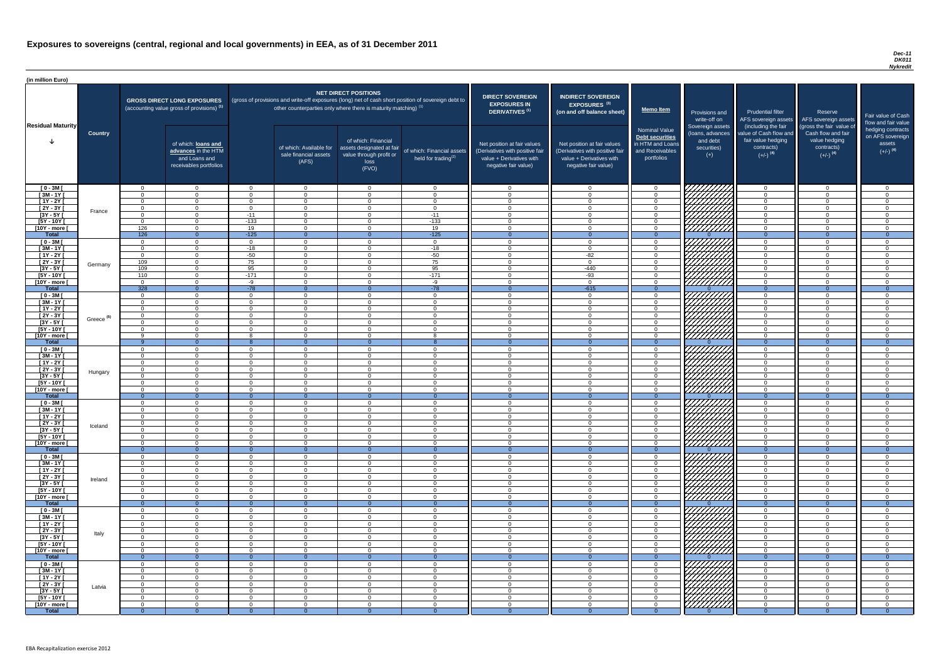#### *Dec-11 DK011 Nykredit*

| (in million Euro)             |                       |                                  |                                                                                             |                            |                                                                            |                                                                                              |                                                                                                     |                                                                                                                    |                                                                                                                    |                                                                                                     |                                                                          |                                                                                                             |                                                                                                         |                                                                           |
|-------------------------------|-----------------------|----------------------------------|---------------------------------------------------------------------------------------------|----------------------------|----------------------------------------------------------------------------|----------------------------------------------------------------------------------------------|-----------------------------------------------------------------------------------------------------|--------------------------------------------------------------------------------------------------------------------|--------------------------------------------------------------------------------------------------------------------|-----------------------------------------------------------------------------------------------------|--------------------------------------------------------------------------|-------------------------------------------------------------------------------------------------------------|---------------------------------------------------------------------------------------------------------|---------------------------------------------------------------------------|
|                               |                       |                                  | <b>GROSS DIRECT LONG EXPOSURES</b><br>(accounting value gross of provisions) <sup>(1)</sup> |                            | other counterparties only where there is maturity matching) <sup>(1)</sup> | <b>NET DIRECT POSITIONS</b>                                                                  | (gross of provisions and write-off exposures (long) net of cash short position of sovereign debt to | <b>DIRECT SOVEREIGN</b><br><b>EXPOSURES IN</b><br><b>DERIVATIVES (1)</b>                                           | <b>INDIRECT SOVEREIGN</b><br>EXPOSURES <sup>(3)</sup><br>(on and off balance sheet)                                | <b>Memo Item</b>                                                                                    | Provisions and<br>write-off on                                           | <b>Prudential filter</b><br>AFS sovereign assets                                                            | Reserve<br>AFS sovereign assets                                                                         | Fair value of Cash<br>flow and fair value                                 |
| <b>Residual Maturity</b>      | <b>Country</b>        |                                  | of which: loans and<br>advances in the HTM<br>and Loans and<br>receivables portfolios       |                            | of which: Available for<br>sale financial assets<br>(AFS)                  | of which: Financial<br>assets designated at fair<br>value through profit or<br>loss<br>(FVO) | of which: Financial assets<br>held for trading <sup>(2)</sup>                                       | Net position at fair values<br>(Derivatives with positive fair<br>value + Derivatives with<br>negative fair value) | Net position at fair values<br>(Derivatives with positive fair<br>value + Derivatives with<br>negative fair value) | <b>Nominal Value</b><br><b>Debt securities</b><br>in HTM and Loans<br>and Receivables<br>portfolios | Sovereign assets<br>(loans, advances<br>and debt<br>securities)<br>$(+)$ | (including the fair<br>value of Cash flow and<br>fair value hedging<br>contracts)<br>$(+/-)$ <sup>(4)</sup> | (gross the fair value of<br>Cash flow and fair<br>value hedging<br>contracts)<br>$(+/-)$ <sup>(4)</sup> | hedging contracts<br>on AFS sovereign<br>assets<br>$(+/-)$ <sup>(4)</sup> |
| $[0 - 3M]$                    |                       | $\overline{0}$                   | $\Omega$                                                                                    | $\Omega$                   | $\overline{0}$                                                             | $\Omega$                                                                                     | $\overline{0}$                                                                                      | $\overline{0}$                                                                                                     | $\overline{0}$                                                                                                     | $\Omega$<br>$\Omega$                                                                                | <i>777777777</i>                                                         | $\overline{0}$                                                                                              | $\overline{0}$                                                                                          | $\overline{0}$                                                            |
| $[3M - 1Y]$<br>$[1Y - 2Y]$    |                       | - റ<br>$\Omega$                  | $\Omega$<br>$\Omega$                                                                        | $\cap$<br>$\cap$           | $\Omega$<br>$\Omega$                                                       | $\cap$<br>$\Omega$                                                                           | $\Omega$<br>$\overline{0}$                                                                          | $\Omega$<br>$\Omega$                                                                                               | $\Omega$<br>$\Omega$                                                                                               | $\cap$                                                                                              | MANA<br>MANA                                                             | $\cap$<br>$\Omega$                                                                                          | $\Omega$<br>$\Omega$                                                                                    | $\Omega$<br>$\overline{0}$                                                |
| $[2Y - 3Y]$                   |                       | $\overline{0}$                   | $\overline{0}$                                                                              | $\Omega$                   | $\overline{0}$                                                             | $\Omega$                                                                                     | $\overline{0}$                                                                                      | $\Omega$                                                                                                           | $\Omega$                                                                                                           | $\cap$                                                                                              |                                                                          | $\overline{0}$                                                                                              | $\Omega$                                                                                                | $\overline{0}$                                                            |
| $[3Y - 5Y]$                   | France                | $\Omega$                         | $\Omega$                                                                                    | $-11$                      | $\Omega$                                                                   | $\cap$                                                                                       | $-11$                                                                                               | $\Omega$                                                                                                           | $\Omega$                                                                                                           | $\cap$                                                                                              |                                                                          | $\Omega$                                                                                                    | $\Omega$                                                                                                | $\overline{0}$                                                            |
| $[5Y - 10Y]$                  |                       | $\Omega$                         | $\Omega$                                                                                    | $-133$                     | $\Omega$                                                                   | $\Omega$                                                                                     | $-133$                                                                                              | $\overline{0}$                                                                                                     | $\Omega$                                                                                                           | $\Omega$                                                                                            |                                                                          | $\Omega$                                                                                                    | $\Omega$                                                                                                | $\overline{0}$                                                            |
| [10Y - more [                 |                       | 126                              | $\overline{0}$                                                                              | 19                         | $\overline{0}$                                                             | $\Omega$                                                                                     | 19<br>$-125$                                                                                        | $\overline{0}$                                                                                                     | $\Omega$                                                                                                           | $\Omega$                                                                                            |                                                                          | $\overline{0}$<br>$\overline{0}$                                                                            | $\Omega$                                                                                                | $\overline{0}$                                                            |
| <b>Total</b><br>$[0 - 3M]$    |                       | 126<br>$\Omega$                  | $\overline{0}$<br>$\overline{0}$                                                            | $-125$<br>$\Omega$         | $\Omega$<br>$\Omega$                                                       | $\Omega$                                                                                     | $\overline{0}$                                                                                      | - 0<br>$\Omega$                                                                                                    | $\Omega$                                                                                                           | $\Omega$<br>$\Omega$                                                                                |                                                                          | $\Omega$                                                                                                    | $\Omega$<br>$\overline{0}$                                                                              | $\overline{0}$<br>$\overline{0}$                                          |
| $[3M - 1Y]$                   |                       | $\Omega$                         | $\overline{0}$                                                                              | $-18$                      | $\Omega$                                                                   | $\Omega$                                                                                     | $-18$                                                                                               | $\Omega$                                                                                                           | $\Omega$                                                                                                           | $\cap$                                                                                              |                                                                          | $\Omega$                                                                                                    | $\Omega$                                                                                                | $\overline{0}$                                                            |
| $[1Y - 2Y]$                   |                       | $\Omega$                         | $\Omega$                                                                                    | $-50$                      | $\Omega$                                                                   | $\Omega$                                                                                     | $-50$                                                                                               | $\Omega$                                                                                                           | $-82$                                                                                                              | $\cap$                                                                                              | <i>ШШН</i>                                                               | $\Omega$                                                                                                    | $\Omega$                                                                                                | $\overline{0}$                                                            |
| [2Y - 3Y [                    | Germany               | 109                              | $\Omega$                                                                                    | 75                         | $\Omega$                                                                   | $\Omega$                                                                                     | 75                                                                                                  | - റ                                                                                                                | $\overline{0}$                                                                                                     | $\sqrt{ }$                                                                                          |                                                                          | $\Omega$                                                                                                    | $\Omega$                                                                                                | $\overline{0}$                                                            |
| $[3Y - 5Y]$<br>$[5Y - 10Y]$   |                       | 109<br>110                       | $\Omega$<br>$\Omega$                                                                        | 95<br>$-171$               | $\Omega$<br>$\Omega$                                                       | $\Omega$<br>$\Omega$                                                                         | 95<br>$-171$                                                                                        | $\overline{0}$<br>$\Omega$                                                                                         | $-440$<br>$-93$                                                                                                    | $\cap$<br>$\cap$                                                                                    |                                                                          | $\Omega$<br>$\Omega$                                                                                        | $\Omega$<br>$\Omega$                                                                                    | $\overline{0}$<br>$\overline{0}$                                          |
| [10Y - more [                 |                       | $\Omega$                         | $\Omega$                                                                                    | $-9$                       | $\Omega$                                                                   | $\cap$                                                                                       | -9                                                                                                  | $\cap$                                                                                                             | $\Omega$                                                                                                           |                                                                                                     | \'H <u>HHHH</u>                                                          | $\cap$                                                                                                      | $\Omega$                                                                                                | $\overline{0}$                                                            |
| <b>Total</b>                  |                       | 328                              | $\overline{0}$                                                                              | $-78$                      | $\Omega$                                                                   |                                                                                              | $-78$                                                                                               | - 0                                                                                                                | $-615$                                                                                                             | $\Omega$                                                                                            |                                                                          | $\Omega$                                                                                                    | $\Omega$                                                                                                | $\overline{0}$                                                            |
| $[0 - 3M]$                    |                       | $\Omega$                         | $\Omega$                                                                                    | $\Omega$                   | $\Omega$                                                                   | $\cap$                                                                                       | $\Omega$                                                                                            | $\cap$                                                                                                             | $\Omega$                                                                                                           |                                                                                                     |                                                                          | $\cap$                                                                                                      | $\Omega$                                                                                                | $\overline{0}$                                                            |
| $[3M - 1Y]$                   |                       | $\Omega$                         | $\Omega$                                                                                    | $\Omega$                   | $\Omega$                                                                   | $\cap$                                                                                       | $\Omega$                                                                                            | $\Omega$                                                                                                           | $\Omega$                                                                                                           |                                                                                                     |                                                                          | $\Omega$                                                                                                    | $\Omega$                                                                                                | $\Omega$                                                                  |
| $[1Y - 2Y]$<br>$[2Y - 3Y]$    |                       | $\Omega$<br>$\Omega$             | $\Omega$<br>$\cap$                                                                          | $\Omega$<br>$\cap$         | $\Omega$<br>$\Omega$                                                       | $\cap$                                                                                       | $\Omega$<br>$\Omega$                                                                                | $\Omega$<br>$\cap$                                                                                                 | $\Omega$<br>$\Omega$                                                                                               |                                                                                                     | $\mathbb{Z}/\mathbb{Z}/\mathbb{Z}$                                       | $\Omega$                                                                                                    | $\Omega$<br>$\Omega$                                                                                    | $\overline{0}$<br>$\Omega$                                                |
| $[3Y - 5Y]$                   | Greece <sup>(5)</sup> |                                  |                                                                                             |                            |                                                                            |                                                                                              |                                                                                                     |                                                                                                                    |                                                                                                                    |                                                                                                     |                                                                          |                                                                                                             |                                                                                                         |                                                                           |
| $[5Y - 10Y]$                  |                       | - 0                              |                                                                                             | $\Omega$                   | $\Omega$                                                                   |                                                                                              | $\Omega$                                                                                            | $\Omega$                                                                                                           | $\Omega$                                                                                                           |                                                                                                     | <i>UHHH</i>                                                              | $\cap$                                                                                                      | $\Omega$                                                                                                | $\Omega$                                                                  |
| [10Y - more [                 |                       | - Q                              |                                                                                             |                            | $\Omega$                                                                   | ∩                                                                                            |                                                                                                     | $\Omega$                                                                                                           | $\Omega$                                                                                                           |                                                                                                     | 777777777                                                                | $\Omega$                                                                                                    | $\Omega$                                                                                                | $\Omega$                                                                  |
| <b>Total</b><br>$[0 - 3M]$    |                       | - റ                              | $\Omega$<br>$\Omega$                                                                        | $\Omega$                   | $\Omega$<br>$\Omega$                                                       | $\Omega$                                                                                     | $\Omega$                                                                                            | $\Omega$                                                                                                           | $\Omega$<br>$\Omega$                                                                                               | $\Omega$                                                                                            |                                                                          | $\Omega$<br>$\Omega$                                                                                        | $\Omega$<br>$\Omega$                                                                                    | $\Omega$<br>$\Omega$                                                      |
| $\sqrt{3M-1Y}$                |                       | - റ                              | $\Omega$                                                                                    | $\Omega$                   | $\Omega$                                                                   | $\Omega$                                                                                     | $\Omega$                                                                                            | $\Omega$                                                                                                           | $\Omega$                                                                                                           |                                                                                                     |                                                                          | $\cap$                                                                                                      | $\Omega$                                                                                                | $\Omega$                                                                  |
| $[1Y - 2Y]$                   |                       | $\overline{0}$                   | $\Omega$                                                                                    | $\Omega$                   | $\Omega$                                                                   | $\Omega$                                                                                     | $\overline{0}$                                                                                      | $\Omega$                                                                                                           | $\Omega$                                                                                                           | $\Omega$                                                                                            | , процентири<br>Спортири                                                 | $\overline{0}$                                                                                              | $\Omega$                                                                                                | $\Omega$                                                                  |
| $[2Y - 3Y]$                   | Hungary               | $\Omega$                         | $\Omega$                                                                                    | $\Omega$                   | $\Omega$                                                                   | $\Omega$                                                                                     | $\overline{0}$                                                                                      | $\Omega$                                                                                                           | $\Omega$                                                                                                           | $\Omega$                                                                                            |                                                                          | $\Omega$                                                                                                    | $\Omega$                                                                                                | $\Omega$                                                                  |
| $[3Y - 5Y]$                   |                       | $\Omega$                         | $\Omega$                                                                                    | $\Omega$                   | $\Omega$                                                                   | $\Omega$                                                                                     | $\overline{0}$                                                                                      | $\Omega$                                                                                                           | $\Omega$                                                                                                           | $\Omega$<br>$\Omega$                                                                                |                                                                          | $\Omega$                                                                                                    | $\Omega$                                                                                                | $\Omega$                                                                  |
| $[5Y - 10Y]$<br>[10Y - more [ |                       | $\Omega$<br>$\Omega$             | $\Omega$<br>$\Omega$                                                                        | $\Omega$<br>$\Omega$       | $\Omega$<br>$\Omega$                                                       | $\Omega$<br>$\Omega$                                                                         | $\overline{0}$<br>$\overline{0}$                                                                    | $\Omega$<br>$\overline{0}$                                                                                         | $\Omega$<br>$\Omega$                                                                                               | $\cap$                                                                                              | <i>VIIIIIIII</i><br><u>777777777</u>                                     | $\overline{0}$<br>$\overline{0}$                                                                            | $\Omega$<br>$\overline{0}$                                                                              | $\overline{0}$<br>$\overline{0}$                                          |
| <b>Total</b>                  |                       | $\Omega$                         | $\overline{0}$                                                                              | $\Omega$                   | $\Omega$                                                                   | $\Omega$                                                                                     | $\overline{0}$                                                                                      | $\Omega$                                                                                                           | $\Omega$                                                                                                           | $\Omega$                                                                                            |                                                                          | $\overline{0}$                                                                                              | $\Omega$                                                                                                | $\Omega$                                                                  |
| $[0 - 3M]$                    |                       | $\Omega$                         | $\Omega$                                                                                    | $\Omega$                   | $\Omega$                                                                   | $\Omega$                                                                                     | $\overline{0}$                                                                                      | $\Omega$                                                                                                           | $\overline{0}$                                                                                                     | $\Omega$                                                                                            |                                                                          | $\overline{0}$                                                                                              | $\overline{0}$                                                                                          | $\overline{0}$                                                            |
| $[3M - 1Y]$                   |                       | - 0                              | $\Omega$                                                                                    | $\Omega$                   | $\Omega$                                                                   | $\Omega$                                                                                     | $\Omega$                                                                                            | $\Omega$                                                                                                           | $\Omega$                                                                                                           | $\cap$<br>$\Omega$                                                                                  | VIIIIIII                                                                 | $\Omega$                                                                                                    | $\Omega$                                                                                                | $\Omega$                                                                  |
| $[1Y - 2Y]$<br>$[2Y - 3Y]$    |                       | $\overline{0}$<br>$\overline{0}$ | $\Omega$<br>$\overline{0}$                                                                  | $\Omega$<br>$\overline{0}$ | $\Omega$<br>$\Omega$                                                       | $\Omega$<br>$\Omega$                                                                         | $\overline{0}$<br>$\overline{0}$                                                                    | $\Omega$<br>$\Omega$                                                                                               | $\Omega$<br>$\Omega$                                                                                               | $\Omega$                                                                                            | <b>77</b>                                                                | $\Omega$<br>$\overline{0}$                                                                                  | $\Omega$<br>$\overline{0}$                                                                              | $\Omega$<br>$\overline{0}$                                                |
| $[3Y - 5Y]$                   | Iceland               | $\Omega$                         | $\Omega$                                                                                    | $\Omega$                   | $\Omega$                                                                   | $\Omega$                                                                                     | $\Omega$                                                                                            | $\Omega$                                                                                                           | $\Omega$                                                                                                           | $\cap$                                                                                              |                                                                          | $\Omega$                                                                                                    | $\Omega$                                                                                                | $\overline{0}$                                                            |
| $[5Y - 10Y]$                  |                       | $\Omega$                         | $\Omega$                                                                                    | $\Omega$                   | $\Omega$                                                                   | $\Omega$                                                                                     | $\Omega$                                                                                            | $\Omega$                                                                                                           | $\Omega$                                                                                                           | $\Omega$                                                                                            |                                                                          | $\Omega$                                                                                                    | $\Omega$                                                                                                | $\Omega$                                                                  |
| [10Y - more [<br><b>Total</b> |                       | $\Omega$                         | $\Omega$                                                                                    | - റ                        | $\Omega$                                                                   | $\Omega$                                                                                     | $\Omega$                                                                                            | $\cap$                                                                                                             | $\Omega$                                                                                                           | റ                                                                                                   | 7777777                                                                  | $\overline{0}$<br>$\Omega$                                                                                  | $\Omega$<br>$\Omega$                                                                                    | $\overline{0}$                                                            |
| $[0 - 3M]$                    |                       | - റ<br>$\Omega$                  | $\overline{0}$<br>$\Omega$                                                                  | $\Omega$<br>$\Omega$       | - റ<br>$\Omega$                                                            | $\cap$                                                                                       | $\overline{0}$<br>$\Omega$                                                                          | - 0<br>$\cap$                                                                                                      | $\Omega$                                                                                                           | $\Omega$<br>$\Omega$                                                                                |                                                                          | $\Omega$                                                                                                    | $\Omega$                                                                                                | $\overline{0}$<br>$\Omega$                                                |
| $[3M - 1Y]$                   |                       | $\Omega$                         | $\Omega$                                                                                    | $\Omega$                   | $\Omega$                                                                   | $\Omega$                                                                                     | $\Omega$                                                                                            | $\Omega$                                                                                                           | $\overline{0}$                                                                                                     | $\cap$                                                                                              |                                                                          | $\Omega$                                                                                                    | $\Omega$                                                                                                | $\overline{0}$                                                            |
| $[1Y - 2Y]$                   |                       | $\Omega$                         | $\Omega$                                                                                    | $\Omega$                   | $\Omega$                                                                   | $\Omega$                                                                                     | $\Omega$                                                                                            | $\Omega$                                                                                                           | $\Omega$                                                                                                           |                                                                                                     |                                                                          | $\Omega$                                                                                                    | $\Omega$                                                                                                | $\Omega$                                                                  |
| [2Y - 3Y [                    | Ireland               | $\Omega$                         | $\Omega$<br>$\cap$                                                                          | $\Omega$                   | $\Omega$                                                                   | $\Omega$                                                                                     | $\Omega$                                                                                            | $\Omega$                                                                                                           | $\Omega$                                                                                                           |                                                                                                     |                                                                          | $\cap$<br>$\cap$                                                                                            | $\Omega$                                                                                                | $\Omega$                                                                  |
| $[3Y - 5Y]$<br>$[5Y - 10Y]$   |                       | $\Omega$<br>$\Omega$             | $\cap$                                                                                      | $\Omega$<br>$\Omega$       | $\Omega$<br>$\Omega$                                                       | $\Omega$<br>∩                                                                                | $\Omega$<br>$\Omega$                                                                                | $\Omega$<br>$\Omega$                                                                                               | $\Omega$<br>$\Omega$                                                                                               |                                                                                                     | VHHHH,                                                                   |                                                                                                             | $\Omega$<br>$\Omega$                                                                                    | $\Omega$<br>$\Omega$                                                      |
| [10Y - more [                 |                       | $\Omega$                         | $\cap$                                                                                      | $\Omega$                   | $\Omega$                                                                   | $\cap$                                                                                       | $\Omega$                                                                                            | $\Omega$                                                                                                           | $\Omega$                                                                                                           |                                                                                                     | 777777777                                                                | $\Omega$                                                                                                    | $\Omega$                                                                                                | $\Omega$                                                                  |
| <b>Total</b>                  |                       | $\Omega$                         | $\Omega$                                                                                    | $\Omega$                   | - 0                                                                        | $\Omega$                                                                                     | $\Omega$                                                                                            |                                                                                                                    | $\Omega$                                                                                                           | $\Omega$                                                                                            |                                                                          | $\Omega$                                                                                                    | $\Omega$                                                                                                | $\Omega$                                                                  |
| $[0 - 3M]$                    |                       | $\Omega$                         | $\cap$                                                                                      | $\Omega$                   | $\Omega$                                                                   | $\Omega$                                                                                     | $\Omega$                                                                                            | $\Omega$                                                                                                           | $\Omega$                                                                                                           |                                                                                                     | 777777777<br><i>77777777</i>                                             | $\cap$                                                                                                      | $\Omega$                                                                                                | $\Omega$                                                                  |
| $[3M - 1Y]$<br>$[1Y - 2Y]$    |                       | $\Omega$<br>$\Omega$             | $\Omega$<br>$\Omega$                                                                        | $\Omega$<br>$\Omega$       | $\Omega$<br>$\Omega$                                                       | $\Omega$<br>$\Omega$                                                                         | $\overline{0}$<br>$\overline{0}$                                                                    | $\Omega$<br>$\Omega$                                                                                               | $\Omega$<br>$\Omega$                                                                                               | $\Omega$                                                                                            |                                                                          | $\Omega$<br>$\overline{0}$                                                                                  | $\Omega$<br>$\Omega$                                                                                    | $\Omega$<br>$\overline{0}$                                                |
| $[2Y - 3Y]$                   |                       | $\Omega$                         | $\Omega$                                                                                    | $\Omega$                   | $\Omega$                                                                   | $\Omega$                                                                                     | $\overline{0}$                                                                                      | $\Omega$                                                                                                           | $\Omega$                                                                                                           | $\Omega$                                                                                            |                                                                          | $\Omega$                                                                                                    | $\Omega$                                                                                                | $\Omega$                                                                  |
| $[3Y - 5Y]$                   | Italy                 | $\Omega$                         | $\Omega$                                                                                    | $\Omega$                   | $\Omega$                                                                   | $\Omega$                                                                                     | $\Omega$                                                                                            | $\Omega$                                                                                                           | $\Omega$                                                                                                           | $\Omega$                                                                                            |                                                                          | $\Omega$                                                                                                    | $\Omega$                                                                                                | $\Omega$                                                                  |
| $[5Y - 10Y]$                  |                       | $\Omega$                         | $\Omega$                                                                                    | $\Omega$                   | $\Omega$                                                                   | $\Omega$                                                                                     | $\overline{0}$                                                                                      | $\Omega$                                                                                                           | $\Omega$                                                                                                           | $\Omega$                                                                                            |                                                                          | $\overline{0}$                                                                                              | $\Omega$                                                                                                | $\overline{0}$                                                            |
| [10Y - more [<br><b>Total</b> |                       | $\Omega$                         | $\Omega$<br>$\overline{0}$                                                                  | $\Omega$                   | $\Omega$<br>$\Omega$                                                       | $\Omega$                                                                                     | $\overline{0}$<br>$\overline{0}$                                                                    | $\Omega$<br>$\Omega$                                                                                               | $\Omega$                                                                                                           | $\Omega$<br>$\Omega$                                                                                | ///////////                                                              | $\Omega$<br>$\Omega$                                                                                        | $\Omega$<br>$\Omega$                                                                                    | $\overline{0}$<br>$\overline{0}$                                          |
| $[0 - 3M]$                    |                       | $\Omega$                         | $\Omega$                                                                                    | $\Omega$                   | $\Omega$                                                                   | ∩                                                                                            | $\Omega$                                                                                            | $\Omega$                                                                                                           | $\Omega$                                                                                                           |                                                                                                     | <i>VIIIIIII</i> 7                                                        | $\Omega$                                                                                                    | $\Omega$                                                                                                |                                                                           |
| $[3M-1Y]$                     |                       | - 0                              | - 0                                                                                         | $\Omega$                   | $\Omega$                                                                   | $\Omega$                                                                                     | $\Omega$                                                                                            | $\Omega$                                                                                                           | $\overline{0}$                                                                                                     |                                                                                                     | HANA<br>HANA                                                             | $\Omega$                                                                                                    | $\Omega$                                                                                                | $\overline{0}$                                                            |
| $[1Y - 2Y]$                   |                       | $\Omega$                         | $\Omega$                                                                                    | $\Omega$                   | $\Omega$                                                                   | $\Omega$                                                                                     | $\overline{0}$                                                                                      | $\Omega$                                                                                                           | $\Omega$                                                                                                           | $\Omega$                                                                                            |                                                                          | $\Omega$                                                                                                    | $\overline{0}$                                                                                          | $\overline{0}$                                                            |
| [2Y - 3Y [                    | Latvia                | $\overline{0}$                   | $\Omega$                                                                                    | $\overline{0}$             | $\Omega$                                                                   | $\Omega$                                                                                     | $\overline{0}$                                                                                      | $\overline{0}$                                                                                                     | $\overline{0}$                                                                                                     | - 0                                                                                                 |                                                                          | $\overline{0}$                                                                                              | $\overline{0}$                                                                                          | $\overline{0}$                                                            |
| $[3Y - 5Y]$<br>$[5Y - 10Y]$   |                       | $\Omega$<br>$\Omega$             | $\overline{0}$<br>$\Omega$                                                                  | $\overline{0}$<br>$\Omega$ | $\Omega$<br>$\Omega$                                                       | $\overline{0}$<br>$\Omega$                                                                   | $\overline{0}$<br>$\overline{0}$                                                                    | $\overline{0}$<br>$\overline{0}$                                                                                   | $\overline{0}$<br>$\overline{0}$                                                                                   | . റ<br>$\cap$                                                                                       |                                                                          | $\overline{0}$<br>$\overline{0}$                                                                            | $\overline{0}$<br>$\Omega$                                                                              | $\overline{0}$<br>$\overline{0}$                                          |
| [10Y - more [                 |                       | $\Omega$                         | $\overline{0}$                                                                              | $\overline{0}$             | $\Omega$                                                                   | $\overline{0}$                                                                               | $\overline{0}$                                                                                      | - 0                                                                                                                | - 0                                                                                                                | $\cap$                                                                                              |                                                                          | $\overline{0}$                                                                                              | $\overline{0}$                                                                                          | $\overline{0}$                                                            |
| <b>Total</b>                  |                       | - 0                              | $\Omega$                                                                                    | $\Omega$                   | - 0                                                                        |                                                                                              | $\Omega$                                                                                            |                                                                                                                    |                                                                                                                    |                                                                                                     |                                                                          |                                                                                                             |                                                                                                         | $\overline{0}$                                                            |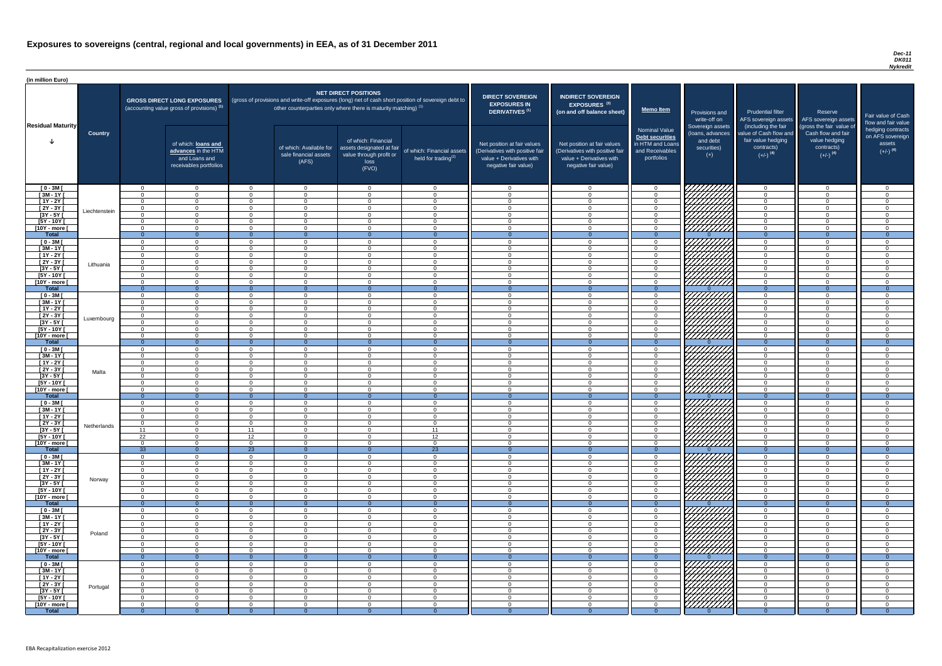#### *Dec-11 DK011 Nykredit*

| <b>DIRECT SOVEREIGN</b><br><b>EXPOSURES IN</b>                                                                     | <b>INDIRECT SOVEREIGN</b><br>EXPOSURES <sup>(3)</sup>                                                              |                                                                                              |                                                                          |                                                                                                             |                                                                                                         |                                                                           |
|--------------------------------------------------------------------------------------------------------------------|--------------------------------------------------------------------------------------------------------------------|----------------------------------------------------------------------------------------------|--------------------------------------------------------------------------|-------------------------------------------------------------------------------------------------------------|---------------------------------------------------------------------------------------------------------|---------------------------------------------------------------------------|
| <b>DERIVATIVES<sup>(1)</sup></b>                                                                                   | (on and off balance sheet)                                                                                         | <b>Memo Item</b>                                                                             | Provisions and<br>write-off on                                           | <b>Prudential filter</b><br>AFS sovereign assets                                                            | Reserve<br>AFS sovereign assets                                                                         | Fair value of Cash<br>flow and fair value                                 |
| Net position at fair values<br>(Derivatives with positive fair<br>value + Derivatives with<br>negative fair value) | Net position at fair values<br>(Derivatives with positive fair<br>value + Derivatives with<br>negative fair value) | <b>Nominal Value</b><br>Debt securities<br>in HTM and Loans<br>and Receivables<br>portfolios | Sovereign assets<br>(loans, advances<br>and debt<br>securities)<br>$(+)$ | (including the fair<br>value of Cash flow and<br>fair value hedging<br>contracts)<br>$(+/-)$ <sup>(4)</sup> | (gross the fair value of<br>Cash flow and fair<br>value hedging<br>contracts)<br>$(+/-)$ <sup>(4)</sup> | hedging contracts<br>on AFS sovereign<br>assets<br>$(+/-)$ <sup>(4)</sup> |
| 0                                                                                                                  | $\mathbf 0$                                                                                                        | 0                                                                                            |                                                                          | $\mathbf 0$                                                                                                 | $\mathbf 0$                                                                                             | $\mathbf 0$                                                               |
| $\mathbf 0$                                                                                                        | $\mathbf 0$                                                                                                        | $\mathbf 0$                                                                                  |                                                                          | $\mathbf 0$                                                                                                 | $\mathbf 0$                                                                                             | $\mathbf 0$                                                               |
| $\mathbf 0$                                                                                                        | $\mathbf 0$                                                                                                        | 0                                                                                            |                                                                          | $\pmb{0}$                                                                                                   | $\mathsf 0$                                                                                             | $\mathbf 0$                                                               |
| $\mathbf 0$                                                                                                        | $\mathbf 0$                                                                                                        | $\mathbf 0$                                                                                  |                                                                          | $\mathbf 0$                                                                                                 | $\mathbf 0$                                                                                             | $\mathbf 0$                                                               |
| $\mathbf 0$<br>$\mathbf 0$                                                                                         | $\mathbf 0$<br>$\mathbf 0$                                                                                         | $\mathbf 0$<br>$\mathbf 0$                                                                   |                                                                          | $\mathbf 0$<br>$\mathbf 0$                                                                                  | $\mathbf 0$<br>$\mathbf 0$                                                                              | $\mathbf 0$<br>$\mathbf 0$                                                |
| $\mathbf 0$                                                                                                        | $\mathbf 0$                                                                                                        | $\mathbf 0$                                                                                  |                                                                          | $\mathbf 0$                                                                                                 | $\mathbf 0$                                                                                             | $\mathbf 0$                                                               |
| $\overline{0}$                                                                                                     | $\overline{0}$                                                                                                     | $\overline{0}$                                                                               | $\Omega$                                                                 | $\overline{0}$                                                                                              | $\overline{0}$                                                                                          | $\overline{0}$                                                            |
| $\boldsymbol{0}$                                                                                                   | $\mathbf 0$                                                                                                        | $\boldsymbol{0}$                                                                             |                                                                          | $\mathbf 0$                                                                                                 | $\mathsf 0$                                                                                             | $\mathbf 0$                                                               |
| $\pmb{0}$                                                                                                          | $\mathbf 0$                                                                                                        | $\mathbf 0$                                                                                  |                                                                          | $\pmb{0}$                                                                                                   | $\mathbf 0$                                                                                             | $\mathbf 0$                                                               |
| $\pmb{0}$<br>$\mathbf 0$                                                                                           | $\mathbf 0$<br>$\mathbf 0$                                                                                         | $\mathbf 0$<br>$\mathbf 0$                                                                   |                                                                          | $\mathbf 0$<br>$\mathbf 0$                                                                                  | $\mathbf 0$<br>$\mathbf 0$                                                                              | $\mathbf 0$<br>$\mathbf 0$                                                |
| $\mathbf 0$                                                                                                        | $\mathbf 0$                                                                                                        | $\mathbf 0$                                                                                  |                                                                          | $\mathbf 0$                                                                                                 | $\mathbf 0$                                                                                             | $\overline{0}$                                                            |
| $\mathbf 0$                                                                                                        | $\mathbf 0$                                                                                                        | $\mathbf 0$                                                                                  |                                                                          | $\mathbf 0$                                                                                                 | $\mathbf 0$                                                                                             | $\mathbf 0$                                                               |
| $\boldsymbol{0}$                                                                                                   | $\mathbf 0$                                                                                                        | $\boldsymbol{0}$                                                                             |                                                                          | $\pmb{0}$                                                                                                   | $\mathbf 0$                                                                                             | $\mathbf 0$                                                               |
| $\overline{0}$                                                                                                     | $\overline{0}$                                                                                                     | $\overline{0}$                                                                               | $\Omega$                                                                 | $\overline{0}$                                                                                              | $\overline{0}$                                                                                          | $\overline{0}$                                                            |
| $\mathbf 0$                                                                                                        | $\mathbf 0$                                                                                                        | $\boldsymbol{0}$                                                                             |                                                                          | $\mathbf 0$                                                                                                 | $\mathbf 0$                                                                                             | $\mathbf 0$                                                               |
| $\mathbf 0$<br>$\mathbf 0$                                                                                         | $\mathbf 0$<br>$\mathbf 0$                                                                                         | $\pmb{0}$<br>$\mathbf 0$                                                                     |                                                                          | $\mathbf 0$<br>$\mathbf 0$                                                                                  | $\mathbf 0$<br>$\mathbf 0$                                                                              | $\mathbf 0$<br>$\overline{0}$                                             |
| 0                                                                                                                  | 0                                                                                                                  | $\mathbf 0$                                                                                  |                                                                          | 0                                                                                                           | $\mathbf 0$                                                                                             | $\mathbf 0$                                                               |
| $\Omega$                                                                                                           | $\Omega$                                                                                                           | $\Omega$                                                                                     |                                                                          | $\Omega$                                                                                                    | $\Omega$                                                                                                | $\Omega$                                                                  |
| $\mathbf 0$                                                                                                        | 0                                                                                                                  | 0                                                                                            |                                                                          | 0                                                                                                           | 0                                                                                                       | 0                                                                         |
| 0                                                                                                                  | $\mathbf 0$                                                                                                        | 0                                                                                            | 77777777                                                                 | $\mathbf 0$                                                                                                 | 0                                                                                                       | $\mathbf 0$                                                               |
| $\mathbf{0}$                                                                                                       | $\overline{0}$                                                                                                     | $\pmb{0}$                                                                                    | $\overline{0}$                                                           | $\overline{0}$                                                                                              | $\overline{0}$                                                                                          | $\overline{0}$                                                            |
| $\mathbf 0$<br>0                                                                                                   | $\mathbf 0$<br>0                                                                                                   | 0<br>$\mathbf 0$                                                                             |                                                                          | $\mathbf 0$<br>0                                                                                            | $\mathbf 0$<br>0                                                                                        | 0<br>0                                                                    |
| $\mathbf 0$                                                                                                        | $\mathbf 0$                                                                                                        | 0                                                                                            |                                                                          | $\mathbf 0$                                                                                                 | 0                                                                                                       | 0                                                                         |
| $\mathbf 0$                                                                                                        | $\mathbf 0$                                                                                                        | $\pmb{0}$                                                                                    |                                                                          | $\mathbf 0$                                                                                                 | 0                                                                                                       | 0                                                                         |
| 0                                                                                                                  | 0                                                                                                                  | $\pmb{0}$                                                                                    |                                                                          | 0                                                                                                           | 0                                                                                                       | 0                                                                         |
| $\mathbf 0$                                                                                                        | 0                                                                                                                  | $\pmb{0}$                                                                                    |                                                                          | 0                                                                                                           | 0                                                                                                       | 0                                                                         |
| 0<br>$\mathbf{0}$                                                                                                  | 0<br>$\mathbf{0}$                                                                                                  | $\pmb{0}$<br>$\boldsymbol{0}$                                                                | $\overline{0}$                                                           | 0<br>$\overline{0}$                                                                                         | 0<br>$\mathbf{0}$                                                                                       | 0<br>$\overline{0}$                                                       |
| 0                                                                                                                  | 0                                                                                                                  | 0                                                                                            |                                                                          | 0                                                                                                           | 0                                                                                                       | 0                                                                         |
| $\mathbf 0$                                                                                                        | 0                                                                                                                  | $\pmb{0}$                                                                                    |                                                                          | $\mathbf 0$                                                                                                 | $\mathsf 0$                                                                                             | $\mathbf 0$                                                               |
| 0                                                                                                                  | 0                                                                                                                  | $\mathbf 0$                                                                                  |                                                                          | 0                                                                                                           | 0                                                                                                       | $\mathbf 0$                                                               |
| $\mathbf 0$                                                                                                        | 0                                                                                                                  | $\pmb{0}$                                                                                    |                                                                          | $\mathbf 0$                                                                                                 | $\mathbf 0$                                                                                             | $\mathbf 0$                                                               |
| $\mathbf 0$                                                                                                        | $\mathbf 0$                                                                                                        | $\mathbf 0$                                                                                  |                                                                          | $\mathbf 0$                                                                                                 | $\mathbf 0$                                                                                             | $\mathbf 0$                                                               |
| $\mathbf 0$<br>$\mathbf 0$                                                                                         | 0<br>0                                                                                                             | $\mathbf 0$<br>0                                                                             |                                                                          | $\mathbf 0$<br>$\mathbf 0$                                                                                  | 0<br>$\mathbf 0$                                                                                        | $\mathbf 0$<br>0                                                          |
| $\overline{0}$                                                                                                     | $\overline{0}$                                                                                                     | $\mathbf 0$                                                                                  | $\overline{0}$                                                           | $\overline{0}$                                                                                              | $\overline{0}$                                                                                          | $\overline{0}$                                                            |
| $\mathbf 0$                                                                                                        | $\mathbf 0$                                                                                                        | $\pmb{0}$                                                                                    |                                                                          | $\mathbf 0$                                                                                                 | 0                                                                                                       | 0                                                                         |
| $\mathbf 0$                                                                                                        | $\mathbf 0$                                                                                                        | $\pmb{0}$                                                                                    |                                                                          | $\mathbf 0$                                                                                                 | $\mathbf 0$                                                                                             | $\mathbf 0$                                                               |
| $\mathbf 0$                                                                                                        | $\mathbf 0$                                                                                                        | $\pmb{0}$                                                                                    |                                                                          | $\mathbf 0$                                                                                                 | 0                                                                                                       | $\mathbf 0$                                                               |
| $\mathbf 0$<br>0                                                                                                   | $\mathbf 0$<br>$\mathbf 0$                                                                                         | $\pmb{0}$<br>0                                                                               |                                                                          | $\mathbf 0$<br>0                                                                                            | 0<br>$\mathbf 0$                                                                                        | $\mathbf 0$<br>$\mathbf 0$                                                |
| $\mathbf 0$                                                                                                        | $\mathbf 0$                                                                                                        | $\pmb{0}$                                                                                    |                                                                          | $\pmb{0}$                                                                                                   | $\mathsf 0$                                                                                             | $\mathbf 0$                                                               |
| $\mathbf 0$                                                                                                        | $\mathbf 0$                                                                                                        | $\mathbf 0$                                                                                  |                                                                          | 0                                                                                                           | $\mathbf 0$                                                                                             | $\mathbf 0$                                                               |
| $\mathbf{0}$                                                                                                       | $\overline{0}$                                                                                                     | $\overline{0}$                                                                               | $\overline{0}$                                                           | $\overline{0}$                                                                                              | $\overline{0}$                                                                                          | $\overline{0}$                                                            |
| $\mathbf 0$                                                                                                        | $\mathbf 0$                                                                                                        | 0                                                                                            |                                                                          | $\mathbf 0$                                                                                                 | $\mathbf 0$                                                                                             | 0                                                                         |
| $\mathbf 0$                                                                                                        | 0                                                                                                                  | $\pmb{0}$                                                                                    |                                                                          | $\mathbf 0$                                                                                                 | 0                                                                                                       | 0                                                                         |
| $\mathbf 0$<br>$\mathbf 0$                                                                                         | 0<br>$\mathbf 0$                                                                                                   | 0<br>$\pmb{0}$                                                                               |                                                                          | $\mathbf 0$<br>0                                                                                            | 0<br>0                                                                                                  | 0<br>0                                                                    |
| 0                                                                                                                  | 0                                                                                                                  | $\pmb{0}$                                                                                    |                                                                          | 0                                                                                                           | 0                                                                                                       | 0                                                                         |
| $\mathbf 0$                                                                                                        | 0                                                                                                                  | $\pmb{0}$                                                                                    |                                                                          | 0                                                                                                           | 0                                                                                                       | 0                                                                         |
| 0                                                                                                                  | 0                                                                                                                  | $\pmb{0}$                                                                                    |                                                                          | 0                                                                                                           | 0                                                                                                       | $\mathbf 0$                                                               |
| $\overline{0}$                                                                                                     | $\overline{0}$                                                                                                     | $\mathbf{0}$                                                                                 | $\overline{0}$                                                           | $\mathbf{0}$                                                                                                | $\mathbf{0}$                                                                                            | $\overline{0}$                                                            |
| 0                                                                                                                  | 0                                                                                                                  | 0                                                                                            |                                                                          | 0                                                                                                           | 0                                                                                                       | 0                                                                         |
| $\pmb{0}$<br>$\mathbf 0$                                                                                           | 0<br>$\mathbf 0$                                                                                                   | 0<br>$\mathbf 0$                                                                             | 77777777                                                                 | 0<br>$\mathbf 0$                                                                                            | $\mathbf 0$<br>$\overline{0}$                                                                           | $\boldsymbol{0}$<br>$\mathbf 0$                                           |
| $\overline{0}$                                                                                                     | $\overline{0}$                                                                                                     | $\mathbf 0$                                                                                  |                                                                          | $\overline{0}$                                                                                              | $\overline{0}$                                                                                          | $\mathbf 0$                                                               |
| $\overline{0}$                                                                                                     | $\overline{0}$                                                                                                     | $\mathbf 0$                                                                                  |                                                                          | $\overline{0}$                                                                                              | $\overline{0}$                                                                                          | $\mathsf{O}\xspace$                                                       |
| $\overline{0}$                                                                                                     | $\overline{0}$                                                                                                     | $\mathbf 0$                                                                                  |                                                                          | $\overline{0}$                                                                                              | $\overline{0}$                                                                                          | $\overline{0}$                                                            |
| $\mathbf 0$                                                                                                        | $\mathbf 0$                                                                                                        | $\mathbf 0$                                                                                  |                                                                          | $\overline{0}$                                                                                              | $\overline{0}$                                                                                          | $\overline{0}$                                                            |
| $\overline{0}$                                                                                                     | $\overline{0}$                                                                                                     | $\overline{0}$                                                                               | $\overline{0}$                                                           | $\overline{0}$                                                                                              | $\overline{0}$                                                                                          | $\overline{0}$                                                            |

| (in million Euro)                   |                |                            |                                                                                             |                      |                                                                   |                                                                                              |                                                                                                     |                                                                                                                    |                                                                                                                    |                                                                                       |                                                                                          |                                                                                                                                     |                                                                                                                                 |                                                                                      |
|-------------------------------------|----------------|----------------------------|---------------------------------------------------------------------------------------------|----------------------|-------------------------------------------------------------------|----------------------------------------------------------------------------------------------|-----------------------------------------------------------------------------------------------------|--------------------------------------------------------------------------------------------------------------------|--------------------------------------------------------------------------------------------------------------------|---------------------------------------------------------------------------------------|------------------------------------------------------------------------------------------|-------------------------------------------------------------------------------------------------------------------------------------|---------------------------------------------------------------------------------------------------------------------------------|--------------------------------------------------------------------------------------|
|                                     |                |                            | <b>GROSS DIRECT LONG EXPOSURES</b><br>(accounting value gross of provisions) <sup>(1)</sup> |                      | other counterparties only where there is maturity matching) $(1)$ | <b>NET DIRECT POSITIONS</b>                                                                  | (gross of provisions and write-off exposures (long) net of cash short position of sovereign debt to | <b>DIRECT SOVEREIGN</b><br><b>EXPOSURES IN</b><br>DERIVATIVES <sup>(1)</sup>                                       | <b>INDIRECT SOVEREIGN</b><br><b>EXPOSURES<sup>(3)</sup></b><br>(on and off balance sheet)                          | <b>Memo Item</b>                                                                      | Provisions and                                                                           | <b>Prudential filter</b>                                                                                                            | Reserve                                                                                                                         |                                                                                      |
| <b>Residual Maturity</b>            | <b>Country</b> |                            | of which: loans and<br>advances in the HTM<br>and Loans and<br>receivables portfolios       |                      | of which: Available for<br>sale financial assets<br>(AFS)         | of which: Financial<br>assets designated at fair<br>value through profit or<br>loss<br>(FVO) | of which: Financial assets<br>held for trading <sup>(2)</sup>                                       | Net position at fair values<br>(Derivatives with positive fair<br>value + Derivatives with<br>negative fair value) | Net position at fair values<br>(Derivatives with positive fair<br>value + Derivatives with<br>negative fair value) | Nominal Value<br>Debt securities<br>in HTM and Loans<br>and Receivables<br>portfolios | write-off on<br>Sovereign assets<br>(loans, advances<br>and debt<br>securities)<br>$(+)$ | AFS sovereign assets<br>(including the fair<br>value of Cash flow and<br>fair value hedging<br>contracts)<br>$(+/-)$ <sup>(4)</sup> | AFS sovereign assets<br>(gross the fair value of<br>Cash flow and fair<br>value hedging<br>contracts)<br>$(+/-)$ <sup>(4)</sup> | <b>Fair value</b><br>flow and f<br>hedging o<br>on AFS <sub>s</sub><br>ass<br>$(+/-$ |
| $[0 - 3M]$                          |                | $\Omega$                   | $\Omega$                                                                                    | $\Omega$             | $\overline{0}$                                                    | $\Omega$                                                                                     | $\cap$                                                                                              | $\cap$                                                                                                             | $\Omega$                                                                                                           | $\overline{0}$                                                                        | 777777777                                                                                | $\Omega$                                                                                                                            | $\Omega$                                                                                                                        |                                                                                      |
| $\sqrt{3M-1Y}$                      |                | $\cap$                     | $\Omega$                                                                                    | $\Omega$             | $\Omega$                                                          | $\Omega$                                                                                     | $\Omega$                                                                                            |                                                                                                                    | $\Omega$                                                                                                           | $\Omega$                                                                              |                                                                                          | $\Omega$                                                                                                                            | $\Omega$                                                                                                                        |                                                                                      |
| $[1Y - 2Y]$<br>$[2Y - 3Y]$          |                | $\Omega$<br>$\Omega$       | $\Omega$<br>$\Omega$                                                                        | $\Omega$<br>$\Omega$ | $\Omega$<br>$\Omega$                                              | $\Omega$<br>$\Omega$                                                                         | $\Omega$<br>$\cap$                                                                                  | $\Omega$<br>$\Omega$                                                                                               | $\cap$<br>$\cap$                                                                                                   | $\Omega$<br>$\Omega$                                                                  |                                                                                          | $\overline{0}$<br>$\Omega$                                                                                                          | $\Omega$<br>$\Omega$                                                                                                            |                                                                                      |
| $[3Y - 5Y]$                         | Liechtenstein  | $\Omega$                   | $\Omega$                                                                                    | $\Omega$             | $\Omega$                                                          | $\Omega$                                                                                     | $\Omega$                                                                                            | $\Omega$                                                                                                           | $\cap$                                                                                                             | $\Omega$                                                                              |                                                                                          | $\overline{0}$                                                                                                                      | $\Omega$                                                                                                                        |                                                                                      |
| $[5Y - 10Y]$                        |                | $\Omega$                   | $\Omega$                                                                                    | $\Omega$             | $\overline{0}$                                                    | $\Omega$                                                                                     | $\Omega$                                                                                            | $\Omega$                                                                                                           | $\Omega$                                                                                                           | $\Omega$                                                                              | HATARA KADALLAR<br>HATARA                                                                | $\Omega$                                                                                                                            | $\Omega$                                                                                                                        |                                                                                      |
| [10Y - more [                       |                | $\Omega$<br>$\overline{0}$ | $\Omega$<br>$\Omega$                                                                        | $\Omega$<br>- 0      | $\overline{0}$<br>$\Omega$                                        | $\Omega$<br>$\cap$                                                                           | $\Omega$                                                                                            | $\Omega$                                                                                                           | $\Omega$                                                                                                           | $\Omega$<br>$\Omega$                                                                  | /////////                                                                                | $\overline{0}$<br>$\overline{0}$                                                                                                    | $\Omega$<br>$\Omega$                                                                                                            |                                                                                      |
| <b>Total</b><br>$[0 - 3M]$          |                | $\Omega$                   | $\Omega$                                                                                    | $\Omega$             | $\Omega$                                                          | $\Omega$                                                                                     | $\Omega$<br>$\Omega$                                                                                | $\Omega$                                                                                                           | $\cap$                                                                                                             | $\Omega$                                                                              |                                                                                          | $\overline{0}$                                                                                                                      | $\Omega$                                                                                                                        |                                                                                      |
| $[3M - 1Y]$                         |                | $\Omega$                   | $\Omega$                                                                                    | $\Omega$             | $\Omega$                                                          | $\Omega$                                                                                     | $\Omega$                                                                                            | $\cap$                                                                                                             | $\cap$                                                                                                             | $\Omega$                                                                              |                                                                                          | $\Omega$                                                                                                                            | $\Omega$                                                                                                                        |                                                                                      |
| $[1Y - 2Y]$                         |                | $\cap$                     | $\Omega$                                                                                    | $\Omega$             | $\Omega$                                                          | $\Omega$                                                                                     |                                                                                                     |                                                                                                                    | $\Omega$                                                                                                           | $\Omega$                                                                              |                                                                                          | $\Omega$                                                                                                                            | $\Omega$                                                                                                                        |                                                                                      |
| $[2Y - 3Y]$                         | Lithuania      | $\Omega$<br>$\Omega$       | $\Omega$<br>$\Omega$                                                                        | $\Omega$<br>$\Omega$ | $\Omega$<br>$\Omega$                                              | $\Omega$<br>$\Omega$                                                                         | $\cap$                                                                                              | $\cap$                                                                                                             | $\cap$<br>$\Omega$                                                                                                 | $\Omega$<br>$\Omega$                                                                  |                                                                                          | $\Omega$<br>$\Omega$                                                                                                                | $\Omega$<br>$\Omega$                                                                                                            |                                                                                      |
| $[3Y - 5Y]$<br>$[5Y - 10Y]$         |                | $\cap$                     | $\Omega$                                                                                    | $\Omega$             | $\Omega$                                                          | $\Omega$                                                                                     |                                                                                                     | $\Omega$                                                                                                           | $\cap$                                                                                                             | $\Omega$                                                                              |                                                                                          | $\Omega$                                                                                                                            | $\Omega$                                                                                                                        |                                                                                      |
| [10Y - more [                       |                | $\cap$                     | $\Omega$                                                                                    | $\Omega$             | $\Omega$                                                          | $\Omega$                                                                                     | $\Omega$                                                                                            | $\Omega$                                                                                                           | $\cap$                                                                                                             | $\Omega$                                                                              | 7777777777                                                                               | $\overline{0}$                                                                                                                      | $\Omega$                                                                                                                        |                                                                                      |
| <b>Total</b>                        |                | $\overline{0}$             | - റ                                                                                         | - 0                  | $\Omega$                                                          | $\Omega$                                                                                     | $\Omega$<br>$\Omega$                                                                                | $\Omega$                                                                                                           |                                                                                                                    | $\Omega$                                                                              | 77777777                                                                                 | $\Omega$                                                                                                                            | $\Omega$                                                                                                                        |                                                                                      |
| $[0 - 3M]$<br>$[3M - 1Y]$           |                | $\Omega$<br>$\Omega$       | $\Omega$<br>$\Omega$                                                                        | $\Omega$<br>$\Omega$ | $\Omega$<br>$\Omega$                                              | $\Omega$<br>$\Omega$                                                                         | $\Omega$                                                                                            | $\Omega$                                                                                                           | $\Omega$<br>$\cap$                                                                                                 | . വ<br>$\Omega$                                                                       |                                                                                          | $\Omega$<br>$\Omega$                                                                                                                | $\Omega$<br>$\Omega$                                                                                                            |                                                                                      |
| $[1Y - 2Y]$                         |                | $\Omega$                   | $\Omega$                                                                                    | $\Omega$             | $\overline{0}$                                                    | $\Omega$                                                                                     | $\Omega$                                                                                            | $\Omega$                                                                                                           | $\Omega$                                                                                                           | $\Omega$                                                                              |                                                                                          | $\overline{0}$                                                                                                                      | $\overline{0}$                                                                                                                  |                                                                                      |
| $[2Y - 3Y]$                         | Luxembourg     | $\Omega$                   | $\cap$                                                                                      | $\Omega$             | $\Omega$                                                          | $\Omega$                                                                                     |                                                                                                     |                                                                                                                    | $\cap$                                                                                                             | $\Omega$                                                                              | <i>VIIIII</i> IA                                                                         | $\Omega$                                                                                                                            | $\Omega$                                                                                                                        |                                                                                      |
| $[3Y - 5Y]$<br>[5Y - 10Y [          |                | $\Omega$                   |                                                                                             |                      |                                                                   |                                                                                              |                                                                                                     |                                                                                                                    | $\Omega$                                                                                                           | $\Omega$                                                                              | .<br>V <i>HHHH</i> ]                                                                     | $\Omega$                                                                                                                            | $\Omega$                                                                                                                        |                                                                                      |
| [10Y - more [                       |                | $\cap$                     | $\overline{0}$<br>$\Omega$                                                                  | - 0<br>$\Omega$      | $\overline{0}$<br>$\Omega$                                        | $\overline{0}$<br>$\Omega$                                                                   |                                                                                                     |                                                                                                                    | $\Omega$                                                                                                           | റ                                                                                     | <u>777777777</u>                                                                         | $\Omega$                                                                                                                            | $\Omega$                                                                                                                        |                                                                                      |
| <b>Total</b>                        |                | $\Omega$                   | $\Omega$                                                                                    | $\Omega$             | $\Omega$                                                          | - 0                                                                                          | $\Omega$                                                                                            |                                                                                                                    | $\Omega$                                                                                                           | $\Omega$                                                                              |                                                                                          | $\Omega$                                                                                                                            | $\Omega$                                                                                                                        |                                                                                      |
| $[0 - 3M]$                          |                | $\Omega$                   | $\Omega$                                                                                    | $\Omega$             | $\overline{0}$                                                    | - 0                                                                                          | $\Omega$                                                                                            | $\Omega$                                                                                                           | $\Omega$                                                                                                           | $\Omega$                                                                              |                                                                                          | $\Omega$                                                                                                                            | $\Omega$                                                                                                                        |                                                                                      |
| $[3M - 1Y]$<br>$[1Y - 2Y]$          |                | $\cap$<br>$\cap$           | $\Omega$<br>$\Omega$                                                                        | $\Omega$<br>$\Omega$ | $\Omega$<br>$\overline{0}$                                        | $\Omega$<br>$\Omega$                                                                         | $\cap$<br>$\Omega$                                                                                  | $\cap$<br>$\cap$                                                                                                   | $\Omega$<br>$\Omega$                                                                                               | $\Omega$<br>$\Omega$                                                                  | Н                                                                                        | $\Omega$<br>$\overline{0}$                                                                                                          | $\Omega$<br>$\Omega$                                                                                                            |                                                                                      |
| $[2Y - 3Y]$                         | Malta          | $\cap$                     | $\Omega$                                                                                    | $\Omega$             | $\overline{0}$                                                    | $\Omega$                                                                                     | $\Omega$                                                                                            | $\Omega$                                                                                                           | $\Omega$                                                                                                           | $\Omega$                                                                              | HAAA                                                                                     | $\Omega$                                                                                                                            | $\Omega$                                                                                                                        |                                                                                      |
| $[3Y - 5Y]$                         |                | $\Omega$                   | $\Omega$                                                                                    | $\Omega$             | $\overline{0}$                                                    | $\Omega$                                                                                     | $\Omega$                                                                                            | $\Omega$                                                                                                           | $\Omega$                                                                                                           | $\Omega$                                                                              |                                                                                          | $\overline{0}$                                                                                                                      | $\Omega$                                                                                                                        |                                                                                      |
| $[5Y - 10Y]$                        |                | $\Omega$<br>$\Omega$       | $\overline{0}$                                                                              | $\Omega$<br>$\Omega$ | $\overline{0}$                                                    | $\overline{0}$<br>$\Omega$                                                                   | $\Omega$<br>$\Omega$                                                                                | $\Omega$                                                                                                           | $\Omega$<br>$\Omega$                                                                                               | $\Omega$<br>$\Omega$                                                                  |                                                                                          | $\overline{0}$<br>$\Omega$                                                                                                          | $\Omega$<br>$\Omega$                                                                                                            |                                                                                      |
| [10Y - more [<br><b>Total</b>       |                | $\overline{0}$             | $\Omega$<br>$\overline{0}$                                                                  | $\Omega$             | $\overline{0}$<br>$\Omega$                                        | $\Omega$                                                                                     | $\overline{0}$                                                                                      |                                                                                                                    | $\Omega$                                                                                                           | $\Omega$                                                                              | ////////////                                                                             | $\overline{0}$                                                                                                                      | $\Omega$                                                                                                                        |                                                                                      |
| $[0 - 3M]$                          |                | $\Omega$                   | $\Omega$                                                                                    | $\Omega$             | $\overline{0}$                                                    | $\Omega$                                                                                     | $\Omega$                                                                                            | $\cap$                                                                                                             | $\Omega$                                                                                                           | $\Omega$                                                                              |                                                                                          | $\Omega$                                                                                                                            | $\Omega$                                                                                                                        |                                                                                      |
| $\sqrt{3M-1Y}$                      |                |                            | $\Omega$                                                                                    | $\Omega$             | $\Omega$                                                          | $\Omega$                                                                                     |                                                                                                     |                                                                                                                    |                                                                                                                    | $\Omega$                                                                              |                                                                                          | $\Omega$                                                                                                                            | $\Omega$                                                                                                                        |                                                                                      |
| $[1Y - 2Y]$<br>$[2Y - 3Y]$          |                | $\Omega$                   | $\overline{0}$<br>$\overline{0}$                                                            | - റ<br>$\Omega$      | $\Omega$<br>$\overline{0}$                                        | $\Omega$<br>$\Omega$                                                                         | $\cap$                                                                                              |                                                                                                                    | $\Omega$<br>$\Omega$                                                                                               | $\Omega$<br>റ                                                                         |                                                                                          | $\Omega$<br>$\Omega$                                                                                                                | $\Omega$<br>$\Omega$                                                                                                            |                                                                                      |
| $\overline{[3Y - 5Y]}$              | Netherlands    | 11                         | $\Omega$                                                                                    | 11                   | $\Omega$                                                          | $\Omega$                                                                                     | 11                                                                                                  |                                                                                                                    | $\cap$                                                                                                             | $\Omega$                                                                              |                                                                                          | $\Omega$                                                                                                                            | $\Omega$                                                                                                                        |                                                                                      |
| $[5Y - 10Y]$                        |                | 22                         | $\Omega$                                                                                    | 12 <sup>°</sup>      | $\overline{0}$                                                    | $\Omega$                                                                                     | 12                                                                                                  | ∩                                                                                                                  | $\cap$                                                                                                             | $\Omega$                                                                              |                                                                                          | $\Omega$                                                                                                                            | $\Omega$                                                                                                                        |                                                                                      |
| [10Y - more [                       |                | $\Omega$                   | $\Omega$                                                                                    | $\Omega$             | $\Omega$                                                          | $\Omega$                                                                                     | $\cap$                                                                                              | $\cap$                                                                                                             | $\cap$                                                                                                             | $\Omega$                                                                              | /////////                                                                                | $\overline{0}$                                                                                                                      | $\Omega$                                                                                                                        |                                                                                      |
| <b>Total</b><br>$[0 - 3M]$          |                | 33<br>$\Omega$             | $\overline{0}$<br>$\Omega$                                                                  | 23<br>$\Omega$       | $\Omega$<br>$\overline{0}$                                        | $\Omega$<br>$\Omega$                                                                         | $\overline{23}$<br>$\Omega$                                                                         | $\cap$                                                                                                             | $\Omega$<br>$\Omega$                                                                                               | $\Omega$<br>$\Omega$                                                                  |                                                                                          | $\overline{0}$<br>$\Omega$                                                                                                          | $\Omega$<br>$\Omega$                                                                                                            |                                                                                      |
| $[3M - 1Y]$                         |                | $\Omega$                   | $\Omega$                                                                                    | $\Omega$             | $\overline{0}$                                                    | $\Omega$                                                                                     | $\Omega$                                                                                            | $\Omega$                                                                                                           | $\Omega$                                                                                                           | $\Omega$                                                                              | 777777                                                                                   | $\overline{0}$                                                                                                                      | $\Omega$                                                                                                                        |                                                                                      |
| $[1Y - 2Y]$                         |                | $\Omega$                   | $\Omega$                                                                                    | $\Omega$             | $\Omega$                                                          | $\Omega$                                                                                     | $\Omega$                                                                                            | $\Omega$                                                                                                           | $\Omega$                                                                                                           | $\Omega$                                                                              |                                                                                          | $\Omega$                                                                                                                            | $\Omega$                                                                                                                        |                                                                                      |
| $[2Y - 3Y]$<br>$\overline{3Y - 5Y}$ | Norway         | $\cap$<br>$\cap$           | $\overline{0}$<br>$\Omega$                                                                  | - റ<br>- 0           | $\overline{0}$<br>$\Omega$                                        | $\Omega$<br>$\Omega$                                                                         |                                                                                                     |                                                                                                                    | $\Omega$<br>$\Omega$                                                                                               | $\overline{0}$<br>$\Omega$                                                            |                                                                                          | $\Omega$<br>$\Omega$                                                                                                                | $\Omega$<br>$\Omega$                                                                                                            |                                                                                      |
| $[5Y - 10Y]$                        |                | $\Omega$                   | $\Omega$                                                                                    | $\Omega$             | $\Omega$                                                          | $\Omega$                                                                                     |                                                                                                     |                                                                                                                    | $\Omega$                                                                                                           | $\cap$                                                                                |                                                                                          | $\Omega$                                                                                                                            | $\Omega$                                                                                                                        |                                                                                      |
| [10Y - more ]                       |                | $\Omega$                   | $\Omega$                                                                                    | $\Omega$             | $\Omega$                                                          | $\Omega$                                                                                     |                                                                                                     |                                                                                                                    | $\Omega$                                                                                                           | $\cap$                                                                                | HHHA.                                                                                    | $\Omega$                                                                                                                            | $\Omega$                                                                                                                        |                                                                                      |
| <b>Total</b>                        |                | $\Omega$                   | $\Omega$                                                                                    |                      | $\Omega$                                                          |                                                                                              | $\cap$                                                                                              |                                                                                                                    |                                                                                                                    |                                                                                       | <b>STITTING</b>                                                                          | $\overline{0}$                                                                                                                      | -0                                                                                                                              |                                                                                      |
| $[0 - 3M]$<br>$[3M - 1Y]$           |                | $\cap$<br>$\cap$           | $\Omega$<br>$\Omega$                                                                        | - 0<br>$\Omega$      | $\Omega$<br>$\Omega$                                              | $\Omega$<br>$\Omega$                                                                         | $\cap$                                                                                              |                                                                                                                    | $\cap$<br>$\Omega$                                                                                                 | റ<br>$\Omega$                                                                         |                                                                                          | $\Omega$<br>$\overline{0}$                                                                                                          | $\Omega$<br>$\Omega$                                                                                                            |                                                                                      |
| $[1Y - 2Y]$                         |                | $\Omega$                   | $\Omega$                                                                                    | $\Omega$             | $\overline{0}$                                                    | $\Omega$                                                                                     | $\Omega$                                                                                            | $\Omega$                                                                                                           | $\Omega$                                                                                                           | $\Omega$                                                                              |                                                                                          | $\overline{0}$                                                                                                                      | $\Omega$                                                                                                                        |                                                                                      |
| $\overline{2Y - 3Y}$                | Poland         | $\Omega$                   | $\Omega$                                                                                    | $\Omega$             | $\Omega$                                                          | $\Omega$                                                                                     | $\cap$                                                                                              | $\cap$                                                                                                             | $\Omega$                                                                                                           | $\Omega$                                                                              | ⊬                                                                                        | $\overline{0}$                                                                                                                      | $\Omega$                                                                                                                        |                                                                                      |
| $[3Y - 5Y]$<br>$[5Y - 10Y]$         |                | $\Omega$<br>$\Omega$       | $\Omega$<br>$\Omega$                                                                        | $\Omega$<br>$\Omega$ | $\Omega$<br>$\overline{0}$                                        | $\Omega$<br>$\Omega$                                                                         | $\Omega$<br>$\Omega$                                                                                | $\Omega$                                                                                                           | $\Omega$<br>$\Omega$                                                                                               | $\Omega$<br>$\Omega$                                                                  | HAAAA                                                                                    | $\Omega$<br>$\Omega$                                                                                                                | $\Omega$<br>$\Omega$                                                                                                            |                                                                                      |
| [10Y - more [                       |                | $\Omega$                   | $\Omega$                                                                                    | $\Omega$             | $\Omega$                                                          | $\Omega$                                                                                     | $\Omega$                                                                                            | $\Omega$                                                                                                           | $\cap$                                                                                                             | $\Omega$                                                                              | 7777777777                                                                               | $\Omega$                                                                                                                            | $\Omega$                                                                                                                        |                                                                                      |
| <b>Total</b>                        |                | $\overline{0}$             | $\Omega$                                                                                    | $\Omega$             | $\Omega$                                                          | - 0                                                                                          | $\overline{0}$                                                                                      |                                                                                                                    |                                                                                                                    | $\Omega$                                                                              |                                                                                          | $\overline{0}$                                                                                                                      | - 0                                                                                                                             |                                                                                      |
| $[0 - 3M]$                          |                | $\Omega$                   | $\Omega$                                                                                    | $\Omega$             | $\Omega$                                                          | $\Omega$                                                                                     |                                                                                                     |                                                                                                                    |                                                                                                                    | $\Omega$                                                                              | 1 <i>77777777</i> 7                                                                      | $\Omega$                                                                                                                            | $\Omega$                                                                                                                        |                                                                                      |
| $[3M-1Y]$<br>$[1Y - 2Y]$            |                | $\cap$                     | $\overline{0}$<br>$\overline{0}$                                                            | $\Omega$<br>$\Omega$ | $\Omega$<br>$\overline{0}$                                        | $\overline{0}$<br>$\overline{0}$                                                             | റ                                                                                                   | $\Omega$<br>$\Omega$                                                                                               | $\Omega$<br>$\Omega$                                                                                               | $\Omega$<br>$\Omega$                                                                  |                                                                                          | $\Omega$<br>$\Omega$                                                                                                                | $\Omega$<br>$\Omega$                                                                                                            | $\cap$<br>$\Omega$                                                                   |
| $[2Y - 3Y]$                         |                | $\Omega$                   | $\overline{0}$                                                                              | $\Omega$             | $\overline{0}$                                                    | $\overline{0}$                                                                               |                                                                                                     | $\Omega$                                                                                                           | $\Omega$                                                                                                           | $\overline{0}$                                                                        |                                                                                          | $\overline{0}$                                                                                                                      | $\Omega$                                                                                                                        |                                                                                      |
| $[3Y - 5Y]$                         | Portugal       | $\Omega$                   | $\overline{0}$                                                                              | $\Omega$             | $\overline{0}$                                                    | $\overline{0}$                                                                               | $\Omega$                                                                                            | $\Omega$                                                                                                           | $\overline{0}$                                                                                                     | $\Omega$                                                                              |                                                                                          | $\overline{0}$                                                                                                                      | $\Omega$                                                                                                                        |                                                                                      |
| [5Y - 10Y [                         |                | $\cap$                     | $\Omega$                                                                                    | - 0                  | $\Omega$                                                          | $\Omega$                                                                                     | $\cap$                                                                                              | $\cap$<br>$\Omega$                                                                                                 | $\Omega$                                                                                                           | $\Omega$<br>$\Omega$                                                                  | HAAAA K                                                                                  | $\overline{0}$                                                                                                                      | $\Omega$                                                                                                                        | $\Omega$<br>$\Omega$                                                                 |
| [10Y - more [<br><b>Total</b>       |                | $\Omega$<br>$\Omega$       | $\overline{0}$<br>റ                                                                         | $\Omega$<br>$\Omega$ | $\overline{0}$<br>$\Omega$                                        | $\overline{0}$<br>$\Omega$                                                                   |                                                                                                     |                                                                                                                    | $\Omega$                                                                                                           |                                                                                       |                                                                                          | $\overline{0}$                                                                                                                      | $\overline{0}$                                                                                                                  |                                                                                      |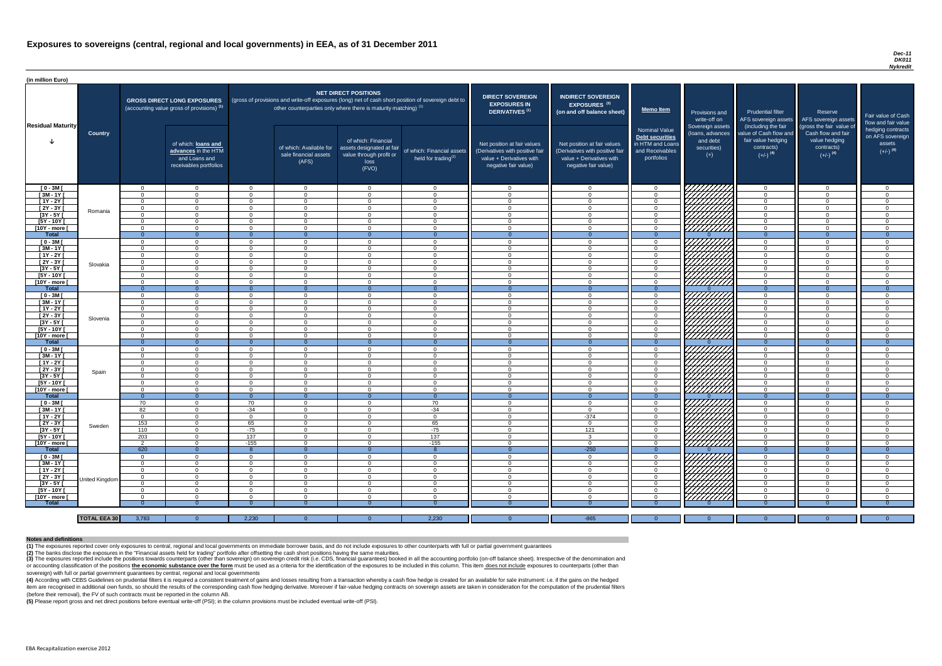#### *Dec-11 DK011 Nykredit*

(4) According with CEBS Guidelines on prudential filters it is required a consistent treatment of gains and losses resulting from a transaction whereby a cash flow hedge is created for an available for sale instrument: i.e item are recognised in additional own funds, so should the results of the corresponding cash flow hedging derivative. Moreover if fair-value hedging contracts on sovereign assets are taken in consideration for the computat (before their removal), the FV of such contracts must be reported in the column AB.

| (in million Euro)             |                     |                      |                                                                                             |                                                                                                                                                                                                                  |                                                           |                                                                                              |                                                                          |                                                                                                                    |                                                                                                                    |                                                                                              |                                                                          |                                                                                      |                                                                             |                                                                           |
|-------------------------------|---------------------|----------------------|---------------------------------------------------------------------------------------------|------------------------------------------------------------------------------------------------------------------------------------------------------------------------------------------------------------------|-----------------------------------------------------------|----------------------------------------------------------------------------------------------|--------------------------------------------------------------------------|--------------------------------------------------------------------------------------------------------------------|--------------------------------------------------------------------------------------------------------------------|----------------------------------------------------------------------------------------------|--------------------------------------------------------------------------|--------------------------------------------------------------------------------------|-----------------------------------------------------------------------------|---------------------------------------------------------------------------|
| <b>Residual Maturity</b>      |                     |                      | <b>GROSS DIRECT LONG EXPOSURES</b><br>(accounting value gross of provisions) <sup>(1)</sup> | <b>NET DIRECT POSITIONS</b><br>(gross of provisions and write-off exposures (long) net of cash short position of sovereign debt to<br>other counterparties only where there is maturity matching) <sup>(1)</sup> |                                                           |                                                                                              | <b>DIRECT SOVEREIGN</b><br><b>EXPOSURES IN</b><br><b>DERIVATIVES (1)</b> | <b>INDIRECT SOVEREIGN</b><br><b>EXPOSURES<sup>(3)</sup></b><br>(on and off balance sheet)                          | <b>Memo Item</b>                                                                                                   | Provisions and<br>write-off on                                                               | <b>Prudential filter</b><br>AFS sovereign assets<br>(including the fair  | Reserve<br>AFS sovereign assets<br>(gross the fair value of                          | Fair value of Cash<br>flow and fair value                                   |                                                                           |
|                               | <b>Country</b>      |                      | of which: loans and<br>advances in the HTM<br>and Loans and<br>receivables portfolios       |                                                                                                                                                                                                                  | of which: Available for<br>sale financial assets<br>(AFS) | of which: Financial<br>assets designated at fair<br>value through profit or<br>loss<br>(FVO) | of which: Financial assets<br>held for trading $(2)$                     | Net position at fair values<br>(Derivatives with positive fair<br>value + Derivatives with<br>negative fair value) | Net position at fair values<br>(Derivatives with positive fair<br>value + Derivatives with<br>negative fair value) | <b>Nominal Value</b><br>Debt securities<br>in HTM and Loans<br>and Receivables<br>portfolios | Sovereign assets<br>(loans, advances<br>and debt<br>securities)<br>$(+)$ | value of Cash flow and<br>fair value hedging<br>contracts)<br>$(+/-)$ <sup>(4)</sup> | Cash flow and fair<br>value hedging<br>contracts)<br>$(+/-)$ <sup>(4)</sup> | hedging contracts<br>on AFS sovereign<br>assets<br>$(+/-)$ <sup>(4)</sup> |
| $[0 - 3M]$                    |                     | $\Omega$             | $\Omega$                                                                                    | _റ                                                                                                                                                                                                               | $\Omega$                                                  | $\Omega$                                                                                     | $\overline{0}$                                                           | _ റ                                                                                                                | $\cap$                                                                                                             | $\Omega$                                                                                     | <i>V77777777</i>                                                         | $\overline{0}$                                                                       | $\Omega$                                                                    | - വ                                                                       |
| $[3M - 1Y]$                   |                     | $\Omega$             | $\Omega$                                                                                    | $\cap$                                                                                                                                                                                                           | $\Omega$                                                  | $\cap$                                                                                       | $\overline{0}$                                                           | $\cap$                                                                                                             | $\Omega$                                                                                                           | $\Omega$                                                                                     |                                                                          | $\overline{0}$                                                                       | $\Omega$                                                                    | $\Omega$                                                                  |
| $[1Y - 2Y]$                   |                     | $\Omega$             | $\cap$                                                                                      | $\Omega$                                                                                                                                                                                                         | $\Omega$                                                  | $\cap$                                                                                       | $\Omega$                                                                 | $\cap$                                                                                                             |                                                                                                                    | $\Omega$                                                                                     |                                                                          | $\Omega$                                                                             | $\Omega$                                                                    | $\Omega$                                                                  |
| $[2Y - 3Y]$                   | Romania             | $\Omega$             | $\cap$                                                                                      | $\cap$                                                                                                                                                                                                           | $\Omega$                                                  | $\cap$                                                                                       | $\Omega$                                                                 | $\cap$                                                                                                             |                                                                                                                    | $\Omega$                                                                                     | HHHH                                                                     | $\Omega$                                                                             | $\Omega$                                                                    |                                                                           |
| $[3Y - 5Y]$                   |                     | $\Omega$             | $\cap$<br>$\cap$                                                                            | $\Omega$<br>$\Omega$                                                                                                                                                                                             | $\Omega$<br>$\Omega$                                      | $\Omega$                                                                                     | $\Omega$<br>$\Omega$                                                     | - 0                                                                                                                |                                                                                                                    | $\Omega$                                                                                     |                                                                          | $\Omega$<br>$\Omega$                                                                 | $\Omega$                                                                    |                                                                           |
| $[5Y - 10Y]$<br>[10Y - more [ |                     | $\Omega$<br>$\Omega$ | $\cap$                                                                                      | $\Omega$                                                                                                                                                                                                         | $\Omega$                                                  | $\cap$                                                                                       | $\Omega$                                                                 | - വ                                                                                                                |                                                                                                                    | $\Omega$                                                                                     | HHHH                                                                     | $\overline{0}$                                                                       | $\Omega$                                                                    |                                                                           |
| Total                         |                     | $\Omega$             | $\Omega$                                                                                    |                                                                                                                                                                                                                  | $\Omega$                                                  | $\Omega$                                                                                     | $\Omega$                                                                 |                                                                                                                    |                                                                                                                    | $\Omega$                                                                                     |                                                                          | $\Omega$                                                                             | $\Omega$                                                                    | $\Omega$                                                                  |
| $[0 - 3M]$                    |                     | $\Omega$             | $\Omega$                                                                                    | $\Omega$                                                                                                                                                                                                         | $\Omega$                                                  | $\cap$                                                                                       | $\Omega$                                                                 | $\cap$                                                                                                             | $\Omega$                                                                                                           | $\Omega$                                                                                     | 7777777777                                                               | $\Omega$                                                                             | $\Omega$                                                                    | $\Omega$                                                                  |
| $[3M-1Y]$                     |                     | $\Omega$             | $\Omega$                                                                                    | $\cap$                                                                                                                                                                                                           | $\Omega$                                                  | $\cap$                                                                                       | $\overline{0}$                                                           | $\Omega$                                                                                                           | $\Omega$                                                                                                           | $\Omega$                                                                                     | ШША.                                                                     | $\overline{0}$                                                                       | $\Omega$                                                                    | $\cap$                                                                    |
| $[1Y - 2Y]$                   |                     | $\Omega$             | $\Omega$                                                                                    | $\cap$                                                                                                                                                                                                           | $\Omega$                                                  | $\cap$                                                                                       | $\overline{0}$                                                           | $\cap$                                                                                                             | $\Omega$                                                                                                           | $\Omega$                                                                                     |                                                                          | $\overline{0}$                                                                       | $\Omega$                                                                    | $\Omega$                                                                  |
| $[2Y - 3Y]$                   | Slovakia            | $\Omega$             | $\Omega$                                                                                    | $\cap$                                                                                                                                                                                                           | $\Omega$                                                  | $\cap$                                                                                       | $\overline{0}$                                                           | $\cap$                                                                                                             | $\Omega$                                                                                                           | $\Omega$                                                                                     | ШШ                                                                       | $\overline{0}$                                                                       | $\Omega$                                                                    | $\Omega$                                                                  |
| $[3Y - 5Y]$                   |                     | $\Omega$             | $\Omega$                                                                                    | $\Omega$                                                                                                                                                                                                         | $\Omega$                                                  | $\Omega$                                                                                     | $\overline{0}$                                                           | $\Omega$                                                                                                           | $\Omega$                                                                                                           | $\overline{0}$                                                                               |                                                                          | $\overline{0}$                                                                       | $\Omega$                                                                    | - 0                                                                       |
| $[5Y - 10Y]$                  |                     | $\Omega$             | $\Omega$                                                                                    | $\Omega$                                                                                                                                                                                                         | $\Omega$                                                  | $\Omega$                                                                                     | $\Omega$                                                                 | - 0                                                                                                                | $\Omega$                                                                                                           | $\Omega$                                                                                     | <u>UMMA</u>                                                              | $\overline{0}$                                                                       | $\Omega$                                                                    | - റ                                                                       |
| [10Y - more [                 |                     | $\Omega$             | $\Omega$                                                                                    | $\Omega$                                                                                                                                                                                                         | $\Omega$                                                  | $\Omega$                                                                                     | $\overline{0}$                                                           | $\Omega$                                                                                                           | $\Omega$                                                                                                           | $\Omega$                                                                                     |                                                                          | $\overline{0}$                                                                       | $\Omega$                                                                    | $\Omega$                                                                  |
| <b>Total</b>                  |                     | - റ                  | $\overline{0}$                                                                              |                                                                                                                                                                                                                  | $\Omega$                                                  |                                                                                              | $\Omega$                                                                 |                                                                                                                    |                                                                                                                    | $\Omega$                                                                                     |                                                                          | $\Omega$                                                                             |                                                                             | $\Omega$                                                                  |
| $[0 - 3M]$                    |                     | $\Omega$             | $\Omega$                                                                                    | $\Omega$                                                                                                                                                                                                         | $\Omega$                                                  | $\Omega$                                                                                     | $\overline{0}$                                                           | - 0                                                                                                                | $\cap$                                                                                                             | $\overline{0}$                                                                               | HHHH                                                                     | $\overline{0}$                                                                       | $\Omega$                                                                    | - 0                                                                       |
| $[3M - 1Y]$                   |                     | $\Omega$             | $\Omega$                                                                                    | $\Omega$                                                                                                                                                                                                         | $\Omega$                                                  | $\Omega$                                                                                     | $\Omega$                                                                 | $\cap$                                                                                                             | $\Omega$                                                                                                           | $\Omega$                                                                                     |                                                                          | $\overline{0}$                                                                       | $\Omega$                                                                    | $\Omega$                                                                  |
| $[1Y - 2Y]$                   |                     | $\Omega$             | $\Omega$                                                                                    | - റ                                                                                                                                                                                                              | $\Omega$                                                  | $\Omega$                                                                                     | $\overline{0}$                                                           | - 0                                                                                                                | $\Omega$                                                                                                           | $\Omega$                                                                                     |                                                                          | $\Omega$                                                                             | $\Omega$                                                                    | - 0                                                                       |
| $[2Y - 3Y]$                   | Slovenia            | $\Omega$             | $\Omega$                                                                                    | $\Omega$                                                                                                                                                                                                         | $\Omega$                                                  | $\cap$                                                                                       | $\Omega$                                                                 | $\cap$                                                                                                             | $\Omega$                                                                                                           | $\Omega$                                                                                     | HAAAN)                                                                   | $\Omega$                                                                             | $\Omega$                                                                    | $\cap$                                                                    |
| [3Y - 5Y [<br>$[5Y - 10Y]$    |                     | $\Omega$             | $\Omega$                                                                                    | - റ                                                                                                                                                                                                              | - 0<br>$\Omega$                                           | $\Omega$                                                                                     | 0                                                                        | $\cap$                                                                                                             | $\cap$                                                                                                             | $\Omega$                                                                                     |                                                                          | - 0<br>$\overline{0}$                                                                | $\Omega$                                                                    | - 0                                                                       |
| [10Y - more [                 |                     | $\Omega$             | $\Omega$                                                                                    | - റ                                                                                                                                                                                                              | $\Omega$                                                  | $\Omega$                                                                                     | $\overline{0}$<br>$\overline{0}$                                         | $\Omega$                                                                                                           | $\cap$                                                                                                             | $\Omega$                                                                                     |                                                                          | $\Omega$                                                                             | $\Omega$                                                                    | $\cap$                                                                    |
| <b>Total</b>                  |                     | - 0                  | $\overline{0}$                                                                              | $\Omega$                                                                                                                                                                                                         | $\Omega$                                                  | $\Omega$                                                                                     | $\overline{0}$                                                           | - 0                                                                                                                |                                                                                                                    | $\Omega$                                                                                     |                                                                          | $\Omega$                                                                             | $\overline{0}$                                                              | - 0                                                                       |
| $[0 - 3M]$                    |                     | $\Omega$             | $\Omega$                                                                                    | - റ                                                                                                                                                                                                              | $\Omega$                                                  | $\Omega$                                                                                     | $\overline{0}$                                                           | $\cap$                                                                                                             | $\cap$                                                                                                             | $\Omega$                                                                                     |                                                                          | $\Omega$                                                                             | $\Omega$                                                                    | - വ                                                                       |
| $[3M - 1Y]$                   |                     | $\Omega$             | $\Omega$                                                                                    | $\Omega$                                                                                                                                                                                                         | $\Omega$                                                  | $\Omega$                                                                                     | $\Omega$                                                                 | $\cap$                                                                                                             | $\Omega$                                                                                                           | $\Omega$                                                                                     |                                                                          | $\overline{0}$                                                                       | $\Omega$                                                                    | $\cap$                                                                    |
| $[1Y - 2Y]$                   |                     | $\Omega$             | $\Omega$                                                                                    | $\Omega$                                                                                                                                                                                                         | $\Omega$                                                  | $\Omega$                                                                                     | $\Omega$                                                                 | $\cap$                                                                                                             | $\Omega$                                                                                                           | $\Omega$                                                                                     |                                                                          | $\overline{0}$                                                                       | $\Omega$                                                                    | $\Omega$                                                                  |
| $[2Y - 3Y]$                   |                     | $\Omega$             | $\Omega$                                                                                    | $\Omega$                                                                                                                                                                                                         | $\Omega$                                                  | $\cap$                                                                                       | $\Omega$                                                                 | $\cap$                                                                                                             | $\cap$                                                                                                             | $\Omega$                                                                                     |                                                                          | $\Omega$                                                                             | $\Omega$                                                                    | $\Omega$                                                                  |
| $[3Y - 5Y]$                   | Spain               | $\Omega$             | $\Omega$                                                                                    | $\Omega$                                                                                                                                                                                                         | $\Omega$                                                  | $\Omega$                                                                                     | $\Omega$                                                                 | $\cap$                                                                                                             |                                                                                                                    | $\Omega$                                                                                     |                                                                          | $\Omega$                                                                             | $\Omega$                                                                    |                                                                           |
| $[5Y - 10Y]$                  |                     | $\Omega$             | $\Omega$                                                                                    | $\Omega$                                                                                                                                                                                                         | $\Omega$                                                  | $\Omega$                                                                                     | $\Omega$                                                                 | $\Omega$                                                                                                           | $\cap$                                                                                                             | $\Omega$                                                                                     |                                                                          | $\Omega$                                                                             | $\Omega$                                                                    | $\cap$                                                                    |
| [10Y - more [                 |                     | $\Omega$             | $\Omega$                                                                                    | $\Omega$                                                                                                                                                                                                         | $\Omega$                                                  | $\cap$                                                                                       | $\Omega$                                                                 | - വ                                                                                                                | $\cap$                                                                                                             | $\Omega$                                                                                     | <b>SANARA</b><br>SANARA                                                  | $\Omega$                                                                             | $\Omega$                                                                    | $\cap$                                                                    |
| Total                         |                     | $\Omega$             | $\overline{0}$                                                                              | $\Omega$                                                                                                                                                                                                         | $\Omega$                                                  | $\Omega$                                                                                     | $\overline{0}$                                                           | - 0                                                                                                                | $\Omega$                                                                                                           | $\Omega$                                                                                     |                                                                          | $\Omega$                                                                             | $\overline{0}$                                                              | $\Omega$                                                                  |
| $[0 - 3M]$                    |                     | 70                   | $\Omega$                                                                                    | 70                                                                                                                                                                                                               | $\Omega$                                                  | $\Omega$                                                                                     | 70                                                                       | $\Omega$                                                                                                           | $\Omega$                                                                                                           | $\Omega$                                                                                     | HAHHA<br>HAHA                                                            | $\overline{0}$                                                                       | $\Omega$                                                                    | $\Omega$                                                                  |
| $[3M - 1Y]$                   |                     | 82                   | $\Omega$                                                                                    | $-34$                                                                                                                                                                                                            | $\Omega$                                                  | $\Omega$                                                                                     | $-34$                                                                    | $\cap$                                                                                                             | $\Omega$                                                                                                           | $\Omega$                                                                                     |                                                                          | $\Omega$                                                                             | $\Omega$                                                                    | $\cap$                                                                    |
| [ 1Y - 2Y [                   |                     | $\overline{0}$       | $\overline{0}$<br>$\overline{0}$                                                            | $\Omega$                                                                                                                                                                                                         | $\overline{0}$                                            | $\Omega$<br>$\Omega$                                                                         | $\overline{0}$                                                           | $\Omega$<br>$\Omega$                                                                                               | $-374$<br>$\Omega$                                                                                                 | $\Omega$                                                                                     |                                                                          | $\overline{0}$                                                                       | $\Omega$<br>$\Omega$                                                        | $\Omega$<br>$\Omega$                                                      |
| [2Y - 3Y]<br>$[3Y - 5Y]$      | Sweden              | 153<br>110           | $\Omega$                                                                                    | 65<br>$-75$                                                                                                                                                                                                      | $\overline{0}$<br>$\Omega$                                | $\Omega$                                                                                     | 65<br>$-75$                                                              | $\Omega$                                                                                                           | 121                                                                                                                | $\Omega$<br>$\overline{0}$                                                                   |                                                                          | $\overline{0}$<br>$\overline{0}$                                                     | $\Omega$                                                                    | $\Omega$                                                                  |
| $[5Y - 10Y]$                  |                     | 203                  | $\Omega$                                                                                    | 137                                                                                                                                                                                                              | $\Omega$                                                  | $\Omega$                                                                                     | 137                                                                      | $\Omega$                                                                                                           | 3                                                                                                                  | $\overline{0}$                                                                               |                                                                          | $\overline{0}$                                                                       | $\Omega$                                                                    | $\Omega$                                                                  |
| [10Y - more [                 |                     | $\overline{2}$       | $\overline{0}$                                                                              | $-155$                                                                                                                                                                                                           | $\Omega$                                                  | $\Omega$                                                                                     | $-155$                                                                   | $\Omega$                                                                                                           | $\Omega$                                                                                                           | $\overline{0}$                                                                               | 77777777                                                                 | $\overline{0}$                                                                       | $\Omega$                                                                    | $\Omega$                                                                  |
| <b>Total</b>                  |                     | 620                  | $\overline{0}$                                                                              |                                                                                                                                                                                                                  | $\Omega$                                                  | $\Omega$                                                                                     |                                                                          | - 0                                                                                                                | $-250$                                                                                                             | $\Omega$                                                                                     |                                                                          | $\Omega$                                                                             | $\Omega$                                                                    | $\Omega$                                                                  |
| $[0 - 3M]$                    |                     | $\Omega$             | $\Omega$                                                                                    | $\Omega$                                                                                                                                                                                                         | $\Omega$                                                  | $\Omega$                                                                                     | $\overline{0}$                                                           | $\Omega$                                                                                                           | $\Omega$                                                                                                           | $\Omega$                                                                                     | HAHHA<br>HAHHA                                                           | $\overline{0}$                                                                       | $\Omega$                                                                    | $\Omega$                                                                  |
| $[3M - 1Y]$                   |                     | - 0                  | $\Omega$                                                                                    | $\Omega$                                                                                                                                                                                                         | $\Omega$                                                  | $\Omega$                                                                                     | $\overline{0}$                                                           | - 0                                                                                                                | $\Omega$                                                                                                           | $\Omega$                                                                                     |                                                                          | $\overline{0}$                                                                       | $\mathbf{0}$                                                                | $\Omega$                                                                  |
| $[1Y - 2Y]$                   |                     | $\Omega$             | $\Omega$                                                                                    | $\Omega$                                                                                                                                                                                                         | - 0                                                       | $\Omega$                                                                                     | $\overline{0}$                                                           | - 0                                                                                                                | $\Omega$                                                                                                           | $\Omega$                                                                                     |                                                                          | $\overline{0}$                                                                       | $\Omega$                                                                    | - റ                                                                       |
| $[2Y - 3Y]$                   |                     | $\Omega$             | $\Omega$                                                                                    | $\Omega$                                                                                                                                                                                                         | $\Omega$                                                  | $\Omega$                                                                                     | $\overline{0}$                                                           | - 0                                                                                                                | $\Omega$                                                                                                           | $\Omega$                                                                                     |                                                                          | $\overline{0}$                                                                       | $\Omega$                                                                    | $\Omega$                                                                  |
| $[3Y - 5Y]$                   | United Kingdom      | $\Omega$             | $\overline{0}$                                                                              | $\Omega$                                                                                                                                                                                                         | $\Omega$                                                  | $\Omega$                                                                                     | $\overline{0}$                                                           | $\overline{0}$                                                                                                     | $\Omega$                                                                                                           | $\Omega$                                                                                     |                                                                          | $\overline{0}$                                                                       | - 0                                                                         | - 0                                                                       |
| $[5Y - 10Y]$                  |                     | $\Omega$             | - റ                                                                                         | - റ                                                                                                                                                                                                              | $\Omega$                                                  | - റ                                                                                          | $\overline{0}$                                                           | റ                                                                                                                  | $\cap$                                                                                                             | $\Omega$                                                                                     |                                                                          | $\Omega$                                                                             | $\Omega$                                                                    | - 0                                                                       |
| [10Y - more [                 |                     | $\Omega$             | $\cap$                                                                                      | $\Omega$                                                                                                                                                                                                         | $\cap$                                                    | $\cap$                                                                                       | $\Omega$                                                                 | $\cap$                                                                                                             | $\cap$                                                                                                             | $\cap$                                                                                       | 77777777                                                                 | $\Omega$                                                                             | $\cap$                                                                      | $\cap$                                                                    |
| <b>Total</b>                  |                     |                      |                                                                                             |                                                                                                                                                                                                                  |                                                           |                                                                                              |                                                                          |                                                                                                                    |                                                                                                                    |                                                                                              |                                                                          |                                                                                      |                                                                             |                                                                           |
|                               |                     |                      |                                                                                             |                                                                                                                                                                                                                  |                                                           |                                                                                              |                                                                          |                                                                                                                    |                                                                                                                    |                                                                                              |                                                                          |                                                                                      |                                                                             |                                                                           |
|                               | <b>TOTAL EEA 30</b> | 3,783                | $\overline{0}$                                                                              | 2,230                                                                                                                                                                                                            | $\Omega$                                                  |                                                                                              | 2,230                                                                    |                                                                                                                    | $-865$                                                                                                             | $\Omega$                                                                                     | $\Omega$                                                                 | $\Omega$                                                                             | $\Omega$                                                                    | $\Omega$                                                                  |

(3) The exposures reported include the positions towards counterparts (other than sovereign) on sovereign credit risk (i.e. CDS, financial guarantees) booked in all the accounting portfolio (on-off balance sheet). Irrespec or accounting classification of the positions the economic substance over the form must be used as a criteria for the identification of the exposures to be included in this column. This item does not include exposures to c sovereign) with full or partial government guarantees by central, regional and local governments

**(5)** Please report gross and net direct positions before eventual write-off (PSI); in the column provisions must be included eventual write-off (PSI).

#### **Notes and definitions**

**(1)** The exposures reported cover only exposures to central, regional and local governments on immediate borrower basis, and do not include exposures to other counterparts with full or partial government guarantees **(2)** The banks disclose the exposures in the "Financial assets held for trading" portfolio after offsetting the cash short positions having the same maturities.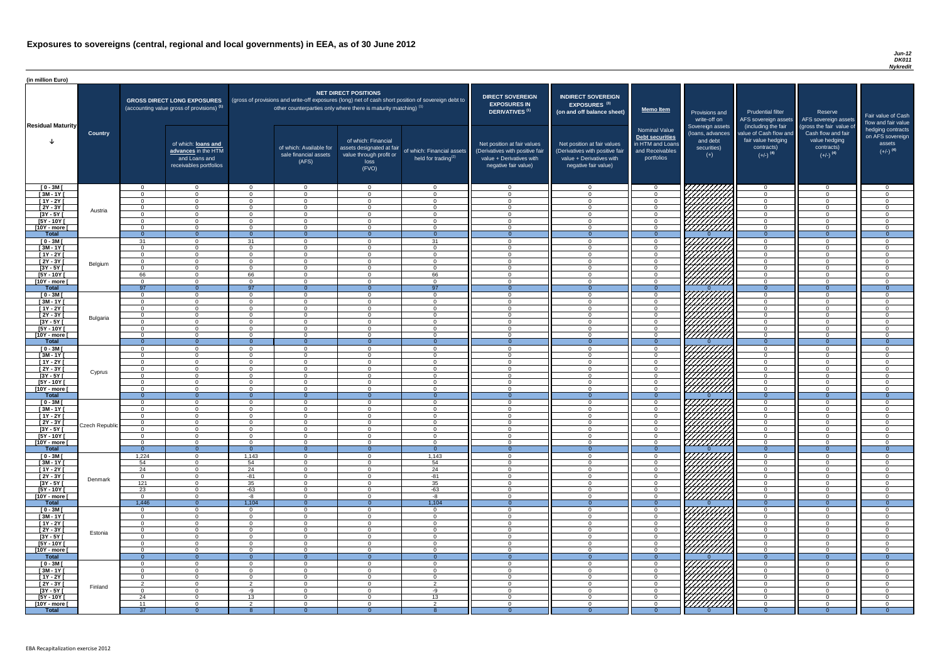| (in million Euro)                   |                |                            |                                                                                             |                      |                                                                      |                                                                                              |                                                                                                     |                                                                                                                    |                                                                                                                    |                                                                                                     |                                                                          |                                                                                                             |                                                                                                         |                                                   |
|-------------------------------------|----------------|----------------------------|---------------------------------------------------------------------------------------------|----------------------|----------------------------------------------------------------------|----------------------------------------------------------------------------------------------|-----------------------------------------------------------------------------------------------------|--------------------------------------------------------------------------------------------------------------------|--------------------------------------------------------------------------------------------------------------------|-----------------------------------------------------------------------------------------------------|--------------------------------------------------------------------------|-------------------------------------------------------------------------------------------------------------|---------------------------------------------------------------------------------------------------------|---------------------------------------------------|
|                                     |                |                            | <b>GROSS DIRECT LONG EXPOSURES</b><br>(accounting value gross of provisions) <sup>(1)</sup> |                      | other counterparties only where there is maturity matching) $^{(1)}$ | <b>NET DIRECT POSITIONS</b>                                                                  | (gross of provisions and write-off exposures (long) net of cash short position of sovereign debt to | <b>DIRECT SOVEREIGN</b><br><b>EXPOSURES IN</b><br>DERIVATIVES <sup>(1)</sup>                                       | <b>INDIRECT SOVEREIGN</b><br><b>EXPOSURES<sup>(3)</sup></b><br>(on and off balance sheet)                          | <b>Memo Item</b>                                                                                    | Provisions and<br>write-off on                                           | <b>Prudential filter</b><br>AFS sovereign assets                                                            | Reserve<br>AFS sovereign assets                                                                         | <b>Fair value</b><br>flow and t                   |
| <b>Residual Maturity</b>            | <b>Country</b> |                            | of which: loans and<br>advances in the HTM<br>and Loans and<br>receivables portfolios       |                      | of which: Available for<br>sale financial assets<br>(AFS)            | of which: Financial<br>assets designated at fair<br>value through profit or<br>loss<br>(FVO) | of which: Financial assets<br>held for trading <sup>(2)</sup>                                       | Net position at fair values<br>(Derivatives with positive fair<br>value + Derivatives with<br>negative fair value) | Net position at fair values<br>(Derivatives with positive fair<br>value + Derivatives with<br>negative fair value) | <b>Nominal Value</b><br><b>Debt securities</b><br>in HTM and Loans<br>and Receivables<br>portfolios | Sovereign assets<br>(loans, advances<br>and debt<br>securities)<br>$(+)$ | (including the fair<br>value of Cash flow and<br>fair value hedging<br>contracts)<br>$(+/-)$ <sup>(4)</sup> | (gross the fair value of<br>Cash flow and fair<br>value hedging<br>contracts)<br>$(+/-)$ <sup>(4)</sup> | hedging o<br>on AFS <sub>s</sub><br>ass<br>$(+/-$ |
| $[0 - 3M]$                          |                | $\Omega$                   | $\Omega$                                                                                    | $\Omega$             | $\Omega$                                                             | $\Omega$                                                                                     | $\cap$                                                                                              | $\cap$                                                                                                             | $\Omega$                                                                                                           | - റ                                                                                                 | 77777777                                                                 | $\Omega$                                                                                                    | $\overline{0}$                                                                                          |                                                   |
| $[3M - 1Y]$                         |                | $\Omega$<br>$\Omega$       | $\cap$                                                                                      | $\Omega$<br>$\Omega$ | $\overline{0}$                                                       | $\Omega$<br>$\Omega$                                                                         |                                                                                                     |                                                                                                                    | $\Omega$<br>$\Omega$                                                                                               | $\Omega$<br>$\overline{0}$                                                                          |                                                                          | $\Omega$<br>$\Omega$                                                                                        | $\Omega$<br>$\Omega$                                                                                    |                                                   |
| $[1Y - 2Y]$<br>$[2Y - 3Y]$          |                | $\Omega$                   | $\cap$                                                                                      | $\Omega$             | $\overline{0}$<br>$\Omega$                                           | $\Omega$                                                                                     | $\Omega$                                                                                            | $\Omega$                                                                                                           | $\Omega$                                                                                                           | $\Omega$                                                                                            |                                                                          | $\Omega$                                                                                                    | $\Omega$                                                                                                |                                                   |
| $[3Y - 5Y]$                         | Austria        | $\Omega$                   | $\cap$                                                                                      | $\Omega$             | $\overline{0}$                                                       | $\Omega$                                                                                     | $\sqrt{ }$                                                                                          |                                                                                                                    | $\Omega$                                                                                                           | $\Omega$                                                                                            | <i>Chilli</i> a                                                          | $\Omega$                                                                                                    | $\Omega$                                                                                                |                                                   |
| $[5Y - 10Y]$                        |                | $\Omega$                   |                                                                                             | $\Omega$             | $\overline{0}$                                                       | $\Omega$                                                                                     |                                                                                                     |                                                                                                                    | $\cap$                                                                                                             | $\Omega$                                                                                            |                                                                          | $\Omega$                                                                                                    | $\Omega$                                                                                                |                                                   |
| [10Y - more [                       |                | $\Omega$                   | $\cap$                                                                                      | $\cap$               | $\Omega$                                                             | $\Omega$                                                                                     |                                                                                                     |                                                                                                                    | $\cap$                                                                                                             | $\Omega$                                                                                            | 7777777777                                                               | $\Omega$                                                                                                    | $\Omega$                                                                                                |                                                   |
| <b>Total</b><br>$[0 - 3M]$          |                | $\Omega$<br>31             | $\cap$                                                                                      | $\Omega$<br>31       | $\Omega$<br>$\overline{0}$                                           | $\Omega$                                                                                     | $\Omega$<br>31                                                                                      |                                                                                                                    | $\cap$                                                                                                             | $\Omega$<br>$\Omega$                                                                                |                                                                          | $\Omega$<br>$\Omega$                                                                                        | $\Omega$<br>$\Omega$                                                                                    |                                                   |
| $[3M-1Y]$                           |                | $\Omega$                   | $\cap$                                                                                      | $\Omega$             | $\overline{0}$                                                       | $\Omega$                                                                                     | $\Omega$                                                                                            | $\Omega$                                                                                                           | $\Omega$                                                                                                           | $\overline{0}$                                                                                      | CHHAA                                                                    | $\overline{0}$                                                                                              | $\Omega$                                                                                                |                                                   |
| $[1Y - 2Y]$                         |                | $\Omega$                   | $\Omega$                                                                                    | $\Omega$             | $\overline{0}$                                                       | $\Omega$                                                                                     | . വ                                                                                                 | $\cap$                                                                                                             | $\Omega$                                                                                                           | $\overline{0}$                                                                                      | HAAAN K                                                                  | $\overline{0}$                                                                                              | $\Omega$                                                                                                |                                                   |
| $[2Y - 3Y]$                         | Belgium        | $\Omega$                   | $\Omega$                                                                                    | $\Omega$             | $\Omega$                                                             | $\Omega$                                                                                     | $\Omega$                                                                                            | $\Omega$                                                                                                           | $\Omega$                                                                                                           | $\Omega$                                                                                            |                                                                          | $\overline{0}$                                                                                              | $\Omega$                                                                                                |                                                   |
| $[3Y - 5Y]$                         |                | $\Omega$                   | $\Omega$                                                                                    | $\Omega$             | $\Omega$                                                             | $\Omega$                                                                                     | $\Omega$                                                                                            | $\Omega$                                                                                                           | $\Omega$                                                                                                           | $\overline{0}$                                                                                      |                                                                          | $\overline{0}$                                                                                              | $\Omega$                                                                                                |                                                   |
| $[5Y - 10Y]$<br>[10Y - more [       |                | 66<br>$\Omega$             | $\Omega$<br>$\Omega$                                                                        | 66<br>$\Omega$       | $\overline{0}$<br>$\overline{0}$                                     | $\Omega$<br>$\Omega$                                                                         | 66<br>- 0                                                                                           | $\cap$                                                                                                             | $\Omega$<br>$\Omega$                                                                                               | $\Omega$<br>$\Omega$                                                                                | 777777777                                                                | $\Omega$<br>$\overline{0}$                                                                                  | $\overline{0}$<br>$\Omega$                                                                              |                                                   |
| <b>Total</b>                        |                | 97                         |                                                                                             | 97                   | $\Omega$                                                             |                                                                                              | 97                                                                                                  |                                                                                                                    |                                                                                                                    | $\Omega$                                                                                            |                                                                          | $\Omega$                                                                                                    | $\Omega$                                                                                                |                                                   |
| $[0 - 3M]$                          |                | $\overline{0}$             | $\Omega$                                                                                    | $\Omega$             | $\overline{0}$                                                       | $\Omega$                                                                                     | $\cap$                                                                                              | $\Omega$                                                                                                           | $\Omega$                                                                                                           | $\Omega$                                                                                            |                                                                          | $\Omega$                                                                                                    | $\Omega$                                                                                                |                                                   |
| $[3M - 1Y]$                         |                | $\Omega$                   | $\cap$                                                                                      | $\Omega$             | $\Omega$                                                             | $\Omega$                                                                                     |                                                                                                     |                                                                                                                    | $\Omega$                                                                                                           | $\Omega$                                                                                            | 177777777                                                                | $\Omega$                                                                                                    | $\Omega$                                                                                                |                                                   |
| $[1Y - 2Y]$<br>$[2Y - 3Y]$          |                | $\Omega$<br>$\Omega$       | $\cap$<br>$\Omega$                                                                          | $\Omega$<br>$\Omega$ | $\overline{0}$<br>$\Omega$                                           | $\Omega$<br>$\Omega$                                                                         | $\Omega$                                                                                            | $\cap$                                                                                                             | $\Omega$<br>$\overline{0}$                                                                                         | $\Omega$<br>$\Omega$                                                                                |                                                                          | $\Omega$<br>$\Omega$                                                                                        | $\Omega$<br>$\Omega$                                                                                    |                                                   |
| [3Y - 5Y [                          | Bulgaria       |                            |                                                                                             |                      | 0                                                                    |                                                                                              |                                                                                                     |                                                                                                                    |                                                                                                                    |                                                                                                     | <i>WAHAA</i>                                                             |                                                                                                             |                                                                                                         |                                                   |
| $[5Y - 10Y]$                        |                | $\Omega$                   |                                                                                             | $\Omega$             | $\overline{0}$                                                       | $\Omega$                                                                                     |                                                                                                     |                                                                                                                    | $\Omega$                                                                                                           | $\Omega$                                                                                            | <i>VIIIIIII</i>                                                          | $\Omega$                                                                                                    | ∩                                                                                                       |                                                   |
| $\sqrt{10Y}$ - more [               |                | $\overline{0}$             | $\cap$                                                                                      | $\Omega$             | $\overline{0}$                                                       | $\Omega$                                                                                     | $\cap$                                                                                              | $\Omega$                                                                                                           | $\cap$                                                                                                             | $\Omega$                                                                                            | 7777777777                                                               | $\overline{0}$                                                                                              | $\Omega$                                                                                                |                                                   |
| <b>Total</b>                        |                | $\overline{0}$             | $\Omega$                                                                                    | $\Omega$             | $\Omega$                                                             | $\Omega$                                                                                     | $\Omega$                                                                                            |                                                                                                                    |                                                                                                                    | $\Omega$                                                                                            |                                                                          | $\overline{0}$                                                                                              | $\Omega$                                                                                                |                                                   |
| $[0 - 3M]$<br>$[3M - 1Y]$           |                | $\Omega$<br>$\Omega$       | $\cap$<br>$\Omega$                                                                          | $\Omega$<br>$\Omega$ | $\overline{0}$<br>$\overline{0}$                                     | $\Omega$<br>$\overline{0}$                                                                   | $\Omega$                                                                                            | $\Omega$                                                                                                           | $\Omega$<br>$\Omega$                                                                                               | $\Omega$<br>$\Omega$                                                                                |                                                                          | $\Omega$<br>$\overline{0}$                                                                                  | $\Omega$<br>$\Omega$                                                                                    |                                                   |
| $[1Y - 2Y]$                         |                | $\Omega$                   | $\Omega$                                                                                    | $\Omega$             | $\Omega$                                                             | $\Omega$                                                                                     | $\cap$                                                                                              | $\Omega$                                                                                                           | $\Omega$                                                                                                           | $\Omega$                                                                                            | —                                                                        | $\overline{0}$                                                                                              | $\Omega$                                                                                                |                                                   |
| [2Y - 3Y [                          | Cyprus         | $\Omega$                   | $\Omega$                                                                                    | $\Omega$             | $\overline{0}$                                                       | $\Omega$                                                                                     |                                                                                                     |                                                                                                                    | $\Omega$                                                                                                           | $\Omega$                                                                                            |                                                                          | $\Omega$                                                                                                    | $\Omega$                                                                                                |                                                   |
| $[3Y - 5Y]$                         |                | $\Omega$                   |                                                                                             | $\Omega$             | $\Omega$                                                             | $\Omega$                                                                                     |                                                                                                     |                                                                                                                    | $\Omega$                                                                                                           | $\Omega$                                                                                            |                                                                          | $\Omega$                                                                                                    | $\Omega$                                                                                                |                                                   |
| $[5Y - 10Y]$                        |                | $\Omega$<br>$\Omega$       | $\cap$<br>$\cap$                                                                            | $\Omega$<br>റ        | $\overline{0}$                                                       | $\Omega$<br>$\Omega$                                                                         |                                                                                                     |                                                                                                                    | $\Omega$<br>$\Omega$                                                                                               | - 0<br>$\Omega$                                                                                     | 777777777                                                                | $\Omega$<br>$\Omega$                                                                                        | $\Omega$<br>$\Omega$                                                                                    |                                                   |
| [10Y - more [<br><b>Total</b>       |                | $\Omega$                   |                                                                                             | - റ                  | $\overline{0}$<br>$\Omega$                                           |                                                                                              |                                                                                                     |                                                                                                                    |                                                                                                                    | $\Omega$                                                                                            | /////////                                                                | $\Omega$                                                                                                    | $\Omega$                                                                                                |                                                   |
| $[0 - 3M]$                          |                | $\Omega$                   | $\cap$                                                                                      | - 0                  | $\Omega$                                                             | $\Omega$                                                                                     | $\cap$                                                                                              | $\cap$                                                                                                             | $\Omega$                                                                                                           | $\Omega$                                                                                            |                                                                          | $\Omega$                                                                                                    | $\Omega$                                                                                                |                                                   |
| $[3M - 1Y]$                         |                | $\Omega$                   | $\cap$                                                                                      | $\Omega$             | $\Omega$                                                             | $\Omega$                                                                                     | $\Omega$                                                                                            | $\cap$                                                                                                             | $\Omega$                                                                                                           | $\Omega$                                                                                            |                                                                          | $\overline{0}$                                                                                              | $\Omega$                                                                                                |                                                   |
| $[1Y - 2Y]$                         |                | $\Omega$                   | $\Omega$                                                                                    | $\Omega$             | $\overline{0}$                                                       | $\Omega$                                                                                     | $\Omega$                                                                                            | $\sim$                                                                                                             | $\Omega$                                                                                                           | $\overline{0}$                                                                                      |                                                                          | $\Omega$                                                                                                    | $\Omega$                                                                                                |                                                   |
| $[2Y - 3Y]$<br>$[3Y - 5Y]$          | Czech Republic | $\overline{0}$<br>$\Omega$ | $\Omega$<br>$\Omega$                                                                        | $\Omega$<br>$\Omega$ | $\overline{0}$<br>$\overline{0}$                                     | $\Omega$<br>$\Omega$                                                                         | $\Omega$<br>$\Omega$                                                                                | $\Omega$<br>$\Omega$                                                                                               | $\Omega$<br>$\Omega$                                                                                               | $\Omega$<br>$\Omega$                                                                                |                                                                          | $\overline{0}$<br>$\overline{0}$                                                                            | $\Omega$<br>$\overline{0}$                                                                              |                                                   |
| $[5Y - 10Y]$                        |                | $\Omega$                   | $\Omega$                                                                                    | $\Omega$             | $\overline{0}$                                                       | $\Omega$                                                                                     | $\cap$                                                                                              |                                                                                                                    | $\Omega$                                                                                                           | $\Omega$                                                                                            | HAAAN<br>HAAAN                                                           | $\Omega$                                                                                                    | $\Omega$                                                                                                |                                                   |
| [10Y - more [                       |                | $\Omega$                   | $\Omega$                                                                                    | $\Omega$             | $\overline{0}$                                                       | $\Omega$                                                                                     | $\Omega$                                                                                            |                                                                                                                    | $\Omega$                                                                                                           | $\Omega$                                                                                            | <u> 77777777</u>                                                         | $\Omega$                                                                                                    | $\Omega$                                                                                                |                                                   |
| <b>Total</b>                        |                | $\overline{0}$             | $\Omega$                                                                                    | $\Omega$             | $\Omega$                                                             |                                                                                              | $\Omega$                                                                                            |                                                                                                                    |                                                                                                                    | $\Omega$                                                                                            |                                                                          | $\overline{0}$                                                                                              | $\Omega$                                                                                                |                                                   |
| $[0 - 3M]$<br>$[3M - 1Y]$           |                | 1,224<br>54                | $\Omega$<br>- 0                                                                             | 1,143<br>54          | $\Omega$<br>$\Omega$                                                 | $\Omega$<br>$\Omega$                                                                         | 1,143<br>54                                                                                         |                                                                                                                    | $\Omega$<br>0                                                                                                      | $\Omega$<br>$\Omega$                                                                                | /////////<br>777777777                                                   | $\Omega$<br>$\Omega$                                                                                        | $\Omega$<br>$\Omega$                                                                                    |                                                   |
| $[1Y - 2Y]$                         |                | 24                         | $\Omega$                                                                                    | 24                   | $\overline{0}$                                                       | $\Omega$                                                                                     | 24                                                                                                  |                                                                                                                    | $\Omega$                                                                                                           | $\Omega$                                                                                            |                                                                          | $\Omega$                                                                                                    | $\Omega$                                                                                                |                                                   |
| $[2Y - 3Y]$                         | Denmark        | $\Omega$                   | . റ                                                                                         | $-81$                | $\overline{0}$                                                       | $\Omega$                                                                                     | $-81$                                                                                               |                                                                                                                    | $\Omega$                                                                                                           | $\Omega$                                                                                            |                                                                          | $\Omega$                                                                                                    | $\Omega$                                                                                                |                                                   |
| $[3Y - 5Y]$                         |                | 121                        | $\cap$                                                                                      | 35                   | $\overline{0}$                                                       | $\Omega$                                                                                     | 35                                                                                                  |                                                                                                                    | $\cap$                                                                                                             | $\Omega$                                                                                            |                                                                          | $\overline{0}$                                                                                              | $\Omega$                                                                                                |                                                   |
| $[5Y - 10Y]$                        |                | 23<br>$\Omega$             | $\Omega$<br>$\cap$                                                                          | $-63$<br>-8          | $\overline{0}$                                                       | $\Omega$<br>$\Omega$                                                                         | $-63$                                                                                               | $\cap$<br>$\Omega$                                                                                                 | $\Omega$<br>$\Omega$                                                                                               | $\Omega$<br>$\Omega$                                                                                |                                                                          | $\overline{0}$                                                                                              | $\Omega$<br>$\Omega$                                                                                    |                                                   |
| [10Y - more [<br><b>Total</b>       |                | 1,446                      | - റ                                                                                         | 1,104                | $\Omega$<br>$\overline{0}$                                           | $\Omega$                                                                                     | -8<br>1,104                                                                                         | $\Omega$                                                                                                           | $\Omega$                                                                                                           | $\overline{0}$                                                                                      | 777777777                                                                | $\overline{0}$<br>$\overline{0}$                                                                            | $\Omega$                                                                                                |                                                   |
| $[0 - 3M]$                          |                | $\Omega$                   | . റ                                                                                         | $\Omega$             | $\overline{0}$                                                       | $\Omega$                                                                                     | $\Omega$                                                                                            | $\Omega$                                                                                                           | $\Omega$                                                                                                           | $\Omega$                                                                                            | 77777                                                                    | $\overline{0}$                                                                                              | $\Omega$                                                                                                |                                                   |
| $[3M - 1Y]$                         |                | $\Omega$                   | . റ                                                                                         | $\Omega$             | $\Omega$                                                             | $\Omega$                                                                                     | $\cap$                                                                                              | $\Omega$                                                                                                           | $\Omega$                                                                                                           | $\Omega$                                                                                            |                                                                          | $\Omega$                                                                                                    | $\Omega$                                                                                                |                                                   |
| $[1Y - 2Y]$                         |                | $\Omega$                   | $\Omega$                                                                                    | $\Omega$             | $\overline{0}$                                                       | $\Omega$                                                                                     |                                                                                                     |                                                                                                                    | $\Omega$                                                                                                           | $\Omega$                                                                                            |                                                                          | $\Omega$                                                                                                    | $\Omega$                                                                                                |                                                   |
| $\overline{2Y - 3Y}$<br>$[3Y - 5Y]$ | Estonia        | $\Omega$<br>$\Omega$       | $\cap$                                                                                      | $\Omega$<br>$\Omega$ | $\overline{0}$<br>$\Omega$                                           | $\Omega$<br>$\Omega$                                                                         |                                                                                                     | ∩                                                                                                                  | $\Omega$<br>$\Omega$                                                                                               | $\overline{0}$<br>$\Omega$                                                                          |                                                                          | $\Omega$<br>$\Omega$                                                                                        | $\Omega$<br>$\Omega$                                                                                    |                                                   |
| $[5Y - 10Y]$                        |                | $\cap$                     | $\cap$                                                                                      | $\Omega$             | $\overline{0}$                                                       | $\Omega$                                                                                     |                                                                                                     |                                                                                                                    | $\Omega$                                                                                                           | $\Omega$                                                                                            |                                                                          | $\Omega$                                                                                                    | - 0                                                                                                     |                                                   |
| [10Y - more [                       |                | $\Omega$                   |                                                                                             | $\Omega$             | $\Omega$                                                             | $\Omega$                                                                                     |                                                                                                     |                                                                                                                    | $\Omega$                                                                                                           | $\cap$                                                                                              |                                                                          | $\Omega$                                                                                                    | - 0                                                                                                     |                                                   |
| <b>Total</b>                        |                | $\Omega$                   |                                                                                             |                      | $\Omega$                                                             |                                                                                              |                                                                                                     |                                                                                                                    |                                                                                                                    |                                                                                                     |                                                                          | $\Omega$                                                                                                    |                                                                                                         |                                                   |
| $[0 - 3M]$                          |                |                            |                                                                                             | $\cap$               | $\Omega$                                                             | $\Omega$                                                                                     | $\cap$                                                                                              | $\Omega$                                                                                                           |                                                                                                                    | $\cap$                                                                                              | ג <i>דודודודו</i>                                                        | $\Omega$                                                                                                    |                                                                                                         |                                                   |
| $[3M - 1Y]$<br>$[1Y - 2Y]$          |                | $\overline{0}$<br>$\Omega$ | $\Omega$<br>$\Omega$                                                                        | $\Omega$<br>$\Omega$ | $\overline{0}$<br>$\overline{0}$                                     | $\Omega$<br>$\Omega$                                                                         | $\Omega$                                                                                            | $\cap$                                                                                                             | $\overline{0}$<br>$\Omega$                                                                                         | $\overline{0}$<br>$\overline{0}$                                                                    |                                                                          | $\overline{0}$<br>$\overline{0}$                                                                            | $\Omega$<br>$\overline{0}$                                                                              |                                                   |
| $[2Y - 3Y]$                         |                | $\overline{2}$             | $\Omega$                                                                                    | 2                    | $\overline{0}$                                                       | $\Omega$                                                                                     | $\overline{2}$                                                                                      | $\Omega$                                                                                                           | $\overline{0}$                                                                                                     | $\overline{0}$                                                                                      |                                                                          | $\overline{0}$                                                                                              | $\overline{0}$                                                                                          |                                                   |
| $[3Y - 5Y]$                         | Finland        | $\overline{0}$             | $\overline{0}$                                                                              | -9                   | $\overline{0}$                                                       | $\overline{0}$                                                                               | -9                                                                                                  | $\Omega$                                                                                                           | $\overline{0}$                                                                                                     | $\overline{0}$                                                                                      | <b>Commons</b>                                                           | $\overline{0}$                                                                                              | $\overline{0}$                                                                                          |                                                   |
| [5Y - 10Y [                         |                | 24                         | $\Omega$                                                                                    | 13                   | $\overline{0}$                                                       | $\Omega$                                                                                     | 13                                                                                                  | $\Omega$                                                                                                           | $\overline{0}$                                                                                                     | $\overline{0}$                                                                                      | Hillittin                                                                | $\overline{0}$                                                                                              | $\overline{0}$                                                                                          | $\cap$                                            |
| [10Y - more [<br><b>Total</b>       |                | 11<br>37                   | <u>റ</u><br>$\Omega$                                                                        | $\mathcal{D}$        | $\overline{0}$<br>$\Omega$                                           | $\Omega$<br>$\Omega$                                                                         | $\overline{2}$                                                                                      | $\Omega$                                                                                                           | $\Omega$                                                                                                           | $\Omega$                                                                                            |                                                                          | $\Omega$<br>$\overline{0}$                                                                                  | $\Omega$<br>$\Omega$                                                                                    | $\cap$                                            |
|                                     |                |                            |                                                                                             |                      |                                                                      |                                                                                              |                                                                                                     |                                                                                                                    |                                                                                                                    |                                                                                                     |                                                                          |                                                                                                             |                                                                                                         |                                                   |

#### *Jun-12 DK011 Nykredit*

| <b>DIRECT SOVEREIGN</b><br><b>EXPOSURES IN</b><br><b>DERIVATIVES<sup>(1)</sup></b>                                 | <b>INDIRECT SOVEREIGN</b><br><b>EXPOSURES<sup>(3)</sup></b><br>(on and off balance sheet)                          | <b>Memo Item</b>                                                                                    | Provisions and<br>write-off on                                           | <b>Prudential filter</b><br>AFS sovereign assets                                                            | Reserve<br>AFS sovereign assets                                                                         | Fair value of Cash                                                                               |
|--------------------------------------------------------------------------------------------------------------------|--------------------------------------------------------------------------------------------------------------------|-----------------------------------------------------------------------------------------------------|--------------------------------------------------------------------------|-------------------------------------------------------------------------------------------------------------|---------------------------------------------------------------------------------------------------------|--------------------------------------------------------------------------------------------------|
| Net position at fair values<br>(Derivatives with positive fair<br>value + Derivatives with<br>negative fair value) | Net position at fair values<br>(Derivatives with positive fair<br>value + Derivatives with<br>negative fair value) | <b>Nominal Value</b><br><b>Debt securities</b><br>in HTM and Loans<br>and Receivables<br>portfolios | Sovereign assets<br>(loans, advances<br>and debt<br>securities)<br>$(+)$ | (including the fair<br>value of Cash flow and<br>fair value hedging<br>contracts)<br>$(+/-)$ <sup>(4)</sup> | (gross the fair value of<br>Cash flow and fair<br>value hedging<br>contracts)<br>$(+/-)$ <sup>(4)</sup> | flow and fair value<br>hedging contracts<br>on AFS sovereign<br>assets<br>$(+/-)$ <sup>(4)</sup> |
| 0                                                                                                                  | 0                                                                                                                  | $\mathbf 0$                                                                                         |                                                                          | $\mathbf 0$                                                                                                 | $\mathbf 0$                                                                                             | 0                                                                                                |
| $\mathbf 0$                                                                                                        | $\mathbf 0$                                                                                                        | $\mathbf 0$                                                                                         |                                                                          | $\mathbf 0$                                                                                                 | $\mathbf 0$                                                                                             | $\mathbf 0$                                                                                      |
| $\mathbf 0$                                                                                                        | $\mathbf 0$                                                                                                        | $\mathbf 0$                                                                                         |                                                                          | $\mathbf 0$                                                                                                 | 0                                                                                                       | 0                                                                                                |
| $\mathbf 0$                                                                                                        | $\mathbf 0$                                                                                                        | 0                                                                                                   |                                                                          | $\mathbf 0$                                                                                                 | $\mathbf 0$                                                                                             | $\mathbf 0$                                                                                      |
| $\mathbf 0$                                                                                                        | $\mathbf 0$                                                                                                        | $\mathbf 0$                                                                                         |                                                                          | $\mathbf 0$                                                                                                 | $\mathbf 0$                                                                                             | $\pmb{0}$                                                                                        |
| $\mathbf 0$                                                                                                        | $\mathbf 0$                                                                                                        | 0                                                                                                   |                                                                          | $\mathbf 0$                                                                                                 | $\mathbf 0$                                                                                             | $\mathbf 0$                                                                                      |
| $\mathbf 0$<br>$\mathbf{0}$                                                                                        | 0<br>$\overline{0}$                                                                                                | 0<br>$\overline{0}$                                                                                 | $\Omega$                                                                 | $\mathbf 0$<br>$\overline{0}$                                                                               | $\mathbf 0$<br>$\overline{0}$                                                                           | $\mathbf 0$<br>$\overline{0}$                                                                    |
| $\mathbf 0$                                                                                                        | 0                                                                                                                  | 0                                                                                                   |                                                                          | $\mathbf 0$                                                                                                 | 0                                                                                                       | 0                                                                                                |
| $\mathbf 0$                                                                                                        | $\mathbf 0$                                                                                                        | $\boldsymbol{0}$                                                                                    |                                                                          | $\mathbf 0$                                                                                                 | $\mathbf 0$                                                                                             | $\mathbf 0$                                                                                      |
| $\pmb{0}$                                                                                                          | $\mathbf 0$                                                                                                        | $\pmb{0}$                                                                                           |                                                                          | $\mathbf 0$                                                                                                 | $\mathbf 0$                                                                                             | $\mathbf 0$                                                                                      |
| $\mathbf 0$                                                                                                        | $\mathbf 0$                                                                                                        | $\mathbf 0$                                                                                         |                                                                          | $\mathbf 0$                                                                                                 | $\mathbf 0$                                                                                             | $\overline{0}$                                                                                   |
| $\mathbf 0$                                                                                                        | $\mathbf 0$                                                                                                        | $\mathbf 0$                                                                                         |                                                                          | $\mathbf 0$                                                                                                 | $\overline{0}$                                                                                          | $\mathbf 0$                                                                                      |
| $\mathbf 0$                                                                                                        | $\mathbf 0$                                                                                                        | $\mathbf 0$                                                                                         |                                                                          | $\mathbf 0$                                                                                                 | $\overline{0}$                                                                                          | $\mathbf 0$                                                                                      |
| $\mathbf 0$                                                                                                        | 0                                                                                                                  | 0                                                                                                   |                                                                          | $\mathbf 0$                                                                                                 | $\overline{0}$                                                                                          | $\mathbf 0$                                                                                      |
| $\mathbf{0}$                                                                                                       | $\overline{0}$                                                                                                     | $\overline{0}$                                                                                      |                                                                          | $\overline{0}$                                                                                              | $\overline{0}$                                                                                          | $\overline{0}$                                                                                   |
| $\mathbf 0$<br>$\mathbf 0$                                                                                         | $\mathbf 0$<br>$\mathbf 0$                                                                                         | $\pmb{0}$<br>$\boldsymbol{0}$                                                                       |                                                                          | $\mathbf 0$<br>$\mathbf 0$                                                                                  | $\overline{0}$<br>$\overline{0}$                                                                        | $\mathbf 0$<br>$\mathbf 0$                                                                       |
| $\mathbf 0$                                                                                                        | $\mathbf 0$                                                                                                        | $\boldsymbol{0}$                                                                                    |                                                                          | $\mathbf 0$                                                                                                 | $\overline{0}$                                                                                          | $\mathbf 0$                                                                                      |
| $\mathbf 0$                                                                                                        | $\mathbf 0$                                                                                                        | $\pmb{0}$                                                                                           |                                                                          | $\mathbf 0$                                                                                                 | $\overline{0}$                                                                                          | $\mathbf 0$                                                                                      |
| $\Omega$                                                                                                           | $\Omega$                                                                                                           | $\Omega$                                                                                            |                                                                          | $\Omega$                                                                                                    | $\Omega$                                                                                                | $\Omega$                                                                                         |
| 0                                                                                                                  | 0                                                                                                                  | 0                                                                                                   |                                                                          | $\mathbf{0}$                                                                                                | 0                                                                                                       | 0                                                                                                |
| $\mathbf 0$                                                                                                        | $\mathbf 0$                                                                                                        | $\boldsymbol{0}$                                                                                    |                                                                          | 0                                                                                                           | 0                                                                                                       | $\mathbf 0$                                                                                      |
| $\mathbf{0}$                                                                                                       | $\overline{0}$                                                                                                     | $\pmb{0}$                                                                                           | $\overline{0}$                                                           | $\overline{0}$                                                                                              | $\overline{0}$                                                                                          | $\overline{0}$                                                                                   |
| $\mathbf 0$                                                                                                        | 0                                                                                                                  | $\,0\,$                                                                                             |                                                                          | 0                                                                                                           | 0                                                                                                       | 0                                                                                                |
| 0                                                                                                                  | $\mathbf 0$                                                                                                        | $\boldsymbol{0}$                                                                                    |                                                                          | $\overline{0}$                                                                                              | $\overline{0}$                                                                                          | $\mathbf 0$                                                                                      |
| 0<br>$\mathbf 0$                                                                                                   | 0<br>0                                                                                                             | 0<br>0                                                                                              |                                                                          | 0<br>0                                                                                                      | 0<br>0                                                                                                  | 0<br>0                                                                                           |
| $\mathbf 0$                                                                                                        | $\mathbf 0$                                                                                                        | $\pmb{0}$                                                                                           |                                                                          | $\mathbf 0$                                                                                                 | $\mathbf 0$                                                                                             | 0                                                                                                |
| $\mathbf 0$                                                                                                        | 0                                                                                                                  | $\boldsymbol{0}$                                                                                    |                                                                          | 0                                                                                                           | 0                                                                                                       | 0                                                                                                |
| 0                                                                                                                  | 0                                                                                                                  | $\boldsymbol{0}$                                                                                    |                                                                          | 0                                                                                                           | 0                                                                                                       | 0                                                                                                |
| $\mathbf{0}$                                                                                                       | $\overline{0}$                                                                                                     | $\overline{0}$                                                                                      | $\overline{0}$                                                           | $\overline{0}$                                                                                              | $\mathbf{0}$                                                                                            | $\overline{0}$                                                                                   |
| 0                                                                                                                  | 0                                                                                                                  | 0                                                                                                   |                                                                          | $\mathbf 0$                                                                                                 | 0                                                                                                       | 0                                                                                                |
| 0                                                                                                                  | 0                                                                                                                  | $\boldsymbol{0}$                                                                                    |                                                                          | 0                                                                                                           | 0                                                                                                       | 0                                                                                                |
| $\mathbf 0$                                                                                                        | $\mathbf 0$                                                                                                        | $\pmb{0}$                                                                                           |                                                                          | $\mathbf 0$                                                                                                 | $\mathbf 0$                                                                                             | $\mathbf 0$                                                                                      |
| $\mathbf 0$                                                                                                        | 0<br>$\mathbf 0$                                                                                                   | $\boldsymbol{0}$                                                                                    |                                                                          | 0<br>$\mathbf 0$                                                                                            | $\mathbf 0$<br>$\mathbf 0$                                                                              | $\mathbf 0$                                                                                      |
| $\mathbf 0$<br>$\mathbf 0$                                                                                         | $\mathbf 0$                                                                                                        | $\boldsymbol{0}$<br>$\boldsymbol{0}$                                                                |                                                                          | $\mathbf 0$                                                                                                 | $\overline{0}$                                                                                          | $\mathbf 0$<br>$\mathbf 0$                                                                       |
| $\mathbf 0$                                                                                                        | 0                                                                                                                  | 0                                                                                                   |                                                                          | 0                                                                                                           | $\mathbf 0$                                                                                             | 0                                                                                                |
| $\overline{0}$                                                                                                     | $\overline{0}$                                                                                                     | $\boldsymbol{0}$                                                                                    | $\mathbf{0}$                                                             | $\overline{0}$                                                                                              | $\overline{0}$                                                                                          | $\overline{0}$                                                                                   |
| $\mathbf 0$                                                                                                        | 0                                                                                                                  | $\boldsymbol{0}$                                                                                    |                                                                          | $\mathbf 0$                                                                                                 | $\mathbf 0$                                                                                             | 0                                                                                                |
| $\mathbf 0$                                                                                                        | $\mathbf 0$                                                                                                        | $\boldsymbol{0}$                                                                                    |                                                                          | $\mathbf 0$                                                                                                 | $\mathbf 0$                                                                                             | 0                                                                                                |
| $\mathbf 0$                                                                                                        | $\mathbf 0$                                                                                                        | $\boldsymbol{0}$                                                                                    |                                                                          | $\mathbf 0$                                                                                                 | $\mathbf 0$                                                                                             | $\mathbf 0$                                                                                      |
| 0                                                                                                                  | 0                                                                                                                  | $\,0\,$                                                                                             |                                                                          | $\mathbf 0$                                                                                                 | 0                                                                                                       | $\mathbf 0$                                                                                      |
| $\mathbf 0$<br>0                                                                                                   | 0<br>0                                                                                                             | $\boldsymbol{0}$<br>$\,0\,$                                                                         |                                                                          | 0<br>0                                                                                                      | 0<br>0                                                                                                  | $\mathbf 0$<br>$\mathbf 0$                                                                       |
| $\mathbf 0$                                                                                                        | 0                                                                                                                  | $\mathbf 0$                                                                                         | <u> 1111</u>                                                             | $\mathbf 0$                                                                                                 | 0                                                                                                       | $\mathbf 0$                                                                                      |
| $\mathbf{0}$                                                                                                       | $\overline{0}$                                                                                                     | $\overline{0}$                                                                                      | $\mathbf{0}$                                                             | $\overline{0}$                                                                                              | $\overline{0}$                                                                                          | $\overline{0}$                                                                                   |
| 0                                                                                                                  | 0                                                                                                                  | $\,0\,$                                                                                             |                                                                          | $\mathbf 0$                                                                                                 | 0                                                                                                       | $\mathbf 0$                                                                                      |
| $\mathbf 0$                                                                                                        | $\mathbf 0$                                                                                                        | $\,0\,$                                                                                             |                                                                          | $\overline{0}$                                                                                              | $\mathbf 0$                                                                                             | 0                                                                                                |
| $\mathbf 0$                                                                                                        | 0                                                                                                                  | $\boldsymbol{0}$                                                                                    |                                                                          | 0                                                                                                           | 0                                                                                                       | 0                                                                                                |
| $\mathbf 0$                                                                                                        | 0                                                                                                                  | $\,0\,$                                                                                             |                                                                          | 0                                                                                                           | 0                                                                                                       | 0                                                                                                |
| $\mathbf 0$                                                                                                        | 0                                                                                                                  | $\boldsymbol{0}$                                                                                    |                                                                          | 0                                                                                                           | 0                                                                                                       | 0                                                                                                |
| 0<br>0                                                                                                             | 0<br>0                                                                                                             | 0<br>0                                                                                              |                                                                          | 0<br>0                                                                                                      | 0<br>0                                                                                                  | 0<br>0                                                                                           |
| $\overline{0}$                                                                                                     | $\overline{0}$                                                                                                     | $\mathbf{0}$                                                                                        | $\overline{0}$                                                           | $\overline{0}$                                                                                              | $\overline{0}$                                                                                          | $\overline{0}$                                                                                   |
| 0                                                                                                                  | 0                                                                                                                  | 0                                                                                                   |                                                                          | 0                                                                                                           | 0                                                                                                       | 0                                                                                                |
| $\pmb{0}$                                                                                                          | 0                                                                                                                  | 0                                                                                                   | VZZZZZZZZ                                                                | $\pmb{0}$                                                                                                   | $\mathbf 0$                                                                                             | $\pmb{0}$                                                                                        |
| $\mathbf 0$                                                                                                        | $\mathbf 0$                                                                                                        | $\mathbf 0$                                                                                         |                                                                          | $\overline{0}$                                                                                              | $\overline{0}$                                                                                          | $\mathbf 0$                                                                                      |
| $\mathbf 0$                                                                                                        | $\overline{0}$                                                                                                     | $\mathbf 0$                                                                                         |                                                                          | $\overline{0}$                                                                                              | $\overline{0}$                                                                                          | $\overline{0}$                                                                                   |
| $\mathbf 0$                                                                                                        | $\overline{0}$                                                                                                     | $\pmb{0}$                                                                                           |                                                                          | $\overline{0}$                                                                                              | $\overline{0}$                                                                                          | $\overline{0}$                                                                                   |
| $\mathbf 0$                                                                                                        | $\mathbf 0$                                                                                                        | $\mathbf 0$                                                                                         |                                                                          | $\overline{0}$                                                                                              | $\overline{0}$                                                                                          | $\overline{0}$                                                                                   |
| $\overline{0}$                                                                                                     | $\overline{0}$<br>$\overline{0}$                                                                                   | $\mathbf 0$<br>$\overline{0}$                                                                       | $\Omega$                                                                 | $\overline{0}$<br>$\overline{0}$                                                                            | $\overline{0}$                                                                                          | $\overline{0}$<br>$\overline{0}$                                                                 |
| $\overline{0}$                                                                                                     |                                                                                                                    |                                                                                                     |                                                                          |                                                                                                             | $\overline{0}$                                                                                          |                                                                                                  |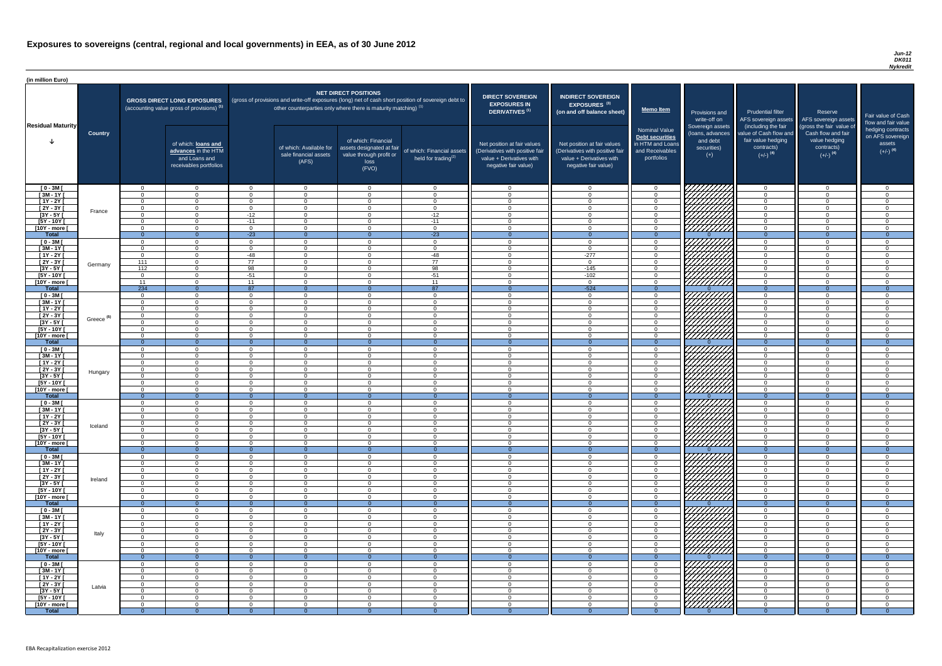#### *Jun-12 DK011 Nykredit*

| (in million Euro)                   |                       |                            |                                                                                             |                            |                                                                                                     |                                                                                                  |                                                      |                                                                                                                    |                                                                                                                    |                                                                                                     |                                                                          |                                                                                                             |                                                                                                         |                                                                           |
|-------------------------------------|-----------------------|----------------------------|---------------------------------------------------------------------------------------------|----------------------------|-----------------------------------------------------------------------------------------------------|--------------------------------------------------------------------------------------------------|------------------------------------------------------|--------------------------------------------------------------------------------------------------------------------|--------------------------------------------------------------------------------------------------------------------|-----------------------------------------------------------------------------------------------------|--------------------------------------------------------------------------|-------------------------------------------------------------------------------------------------------------|---------------------------------------------------------------------------------------------------------|---------------------------------------------------------------------------|
|                                     |                       |                            | <b>GROSS DIRECT LONG EXPOSURES</b><br>(accounting value gross of provisions) <sup>(1)</sup> |                            | (gross of provisions and write-off exposures (long) net of cash short position of sovereign debt to | <b>NET DIRECT POSITIONS</b><br>other counterparties only where there is maturity matching) $(1)$ |                                                      | <b>DIRECT SOVEREIGN</b><br><b>EXPOSURES IN</b><br><b>DERIVATIVES (1)</b>                                           | <b>INDIRECT SOVEREIGN</b><br><b>EXPOSURES<sup>(3)</sup></b><br>(on and off balance sheet)                          | Memo Item                                                                                           | Provisions and<br>write-off on                                           | <b>Prudential filter</b>                                                                                    | Reserve<br>AFS sovereign assets AFS sovereign assets                                                    | Fair value of Cash<br>flow and fair value                                 |
| <b>Residual Maturity</b>            | <b>Country</b>        |                            | of which: loans and<br>advances in the HTM<br>and Loans and<br>receivables portfolios       |                            | of which: Available for<br>sale financial assets<br>(AFS)                                           | of which: Financial<br>assets designated at fair<br>value through profit or<br>loss<br>(FVO)     | of which: Financial assets<br>held for trading $(2)$ | Net position at fair values<br>(Derivatives with positive fair<br>value + Derivatives with<br>negative fair value) | Net position at fair values<br>(Derivatives with positive fair<br>value + Derivatives with<br>negative fair value) | <b>Nominal Value</b><br><b>Debt securities</b><br>in HTM and Loans<br>and Receivables<br>portfolios | Sovereign assets<br>(loans, advances<br>and debt<br>securities)<br>$(+)$ | (including the fair<br>value of Cash flow and<br>fair value hedging<br>contracts)<br>$(+/-)$ <sup>(4)</sup> | (gross the fair value of<br>Cash flow and fair<br>value hedging<br>contracts)<br>$(+/-)$ <sup>(4)</sup> | hedging contracts<br>on AFS sovereign<br>assets<br>$(+/-)$ <sup>(4)</sup> |
| $[0 - 3M]$                          |                       | - 0                        | $\overline{0}$                                                                              | $\Omega$                   | $\overline{0}$                                                                                      | $\Omega$                                                                                         | $\overline{0}$                                       | - 0                                                                                                                | - 0                                                                                                                | - 0                                                                                                 | 777777777                                                                | $\cap$                                                                                                      | $\overline{0}$                                                                                          | $\Omega$                                                                  |
| $[3M - 1Y]$                         |                       | $\Omega$                   | $\overline{0}$                                                                              | $\Omega$<br>$\Omega$       | $\Omega$                                                                                            | $\Omega$<br>$\Omega$                                                                             | $\Omega$                                             | $\Omega$<br>$\cap$                                                                                                 | $\Omega$                                                                                                           | $\Omega$<br>$\Omega$                                                                                | HAAAAA                                                                   | $\Omega$<br>$\Omega$                                                                                        | $\Omega$                                                                                                | $\Omega$                                                                  |
| $[1Y - 2Y]$<br>$[2Y - 3Y]$          |                       | $\Omega$<br>$\overline{0}$ | $\Omega$<br>$\Omega$                                                                        | $\Omega$                   | $\Omega$<br>$\Omega$                                                                                | $\Omega$                                                                                         | $\Omega$<br>$\overline{0}$                           | $\Omega$                                                                                                           | $\Omega$<br>$\Omega$                                                                                               | $\Omega$                                                                                            |                                                                          | $\Omega$                                                                                                    | $\overline{0}$<br>$\overline{0}$                                                                        | $\Omega$<br>$\overline{0}$                                                |
| $[3Y - 5Y]$                         | France                | $\Omega$                   | $\Omega$                                                                                    | $-12$                      | $\Omega$                                                                                            | $\Omega$                                                                                         | $-12$                                                | $\Omega$                                                                                                           | $\Omega$                                                                                                           | - റ                                                                                                 | HAHAHA<br>HAAHA                                                          | - റ                                                                                                         | $\overline{0}$                                                                                          | $\Omega$                                                                  |
| $[5Y - 10Y]$                        |                       | $\Omega$                   | $\Omega$                                                                                    | $-11$                      | $\Omega$                                                                                            | $\Omega$                                                                                         | $-11$                                                | $\cap$                                                                                                             | $\Omega$                                                                                                           | $\cap$                                                                                              |                                                                          | $\Omega$                                                                                                    | $\Omega$                                                                                                | $\Omega$                                                                  |
| [10Y - more [                       |                       | $\Omega$                   | $\Omega$                                                                                    | $\Omega$                   | $\Omega$                                                                                            | $\cap$                                                                                           | $\overline{0}$                                       | $\cap$                                                                                                             | $\Omega$                                                                                                           | _റ                                                                                                  |                                                                          | $\cap$                                                                                                      | $\Omega$                                                                                                | $\Omega$                                                                  |
| Total<br>$[0 - 3M]$                 |                       | $\Omega$<br>$\Omega$       | $\overline{0}$<br>$\Omega$                                                                  | $-23$<br>$\Omega$          | $\Omega$<br>$\Omega$                                                                                | $\Omega$                                                                                         | $-23$<br>$\overline{0}$                              | - റ<br>$\cap$                                                                                                      | $\Omega$                                                                                                           | $\Omega$<br>$\Omega$                                                                                |                                                                          | $\Omega$<br>$\cap$                                                                                          | $\Omega$<br>$\overline{0}$                                                                              | $\overline{0}$<br>$\cap$                                                  |
| $[3M - 1Y]$                         |                       | $\Omega$                   | $\overline{0}$                                                                              | $\Omega$                   | $\overline{0}$                                                                                      | $\Omega$                                                                                         | $\overline{0}$                                       | $\cap$                                                                                                             | $\Omega$                                                                                                           | $\Omega$                                                                                            | HAAHA<br>HAAHA                                                           | $\Omega$                                                                                                    | $\overline{0}$                                                                                          | $\Omega$                                                                  |
| $[1Y - 2Y]$                         |                       | $\Omega$                   | $\overline{0}$                                                                              | $-48$                      | $\overline{0}$                                                                                      | $\Omega$                                                                                         | $-48$                                                | $\cap$                                                                                                             | $-277$                                                                                                             | $\Omega$                                                                                            |                                                                          | $\Omega$                                                                                                    | $\overline{0}$                                                                                          | $\Omega$                                                                  |
| $[2Y - 3Y]$                         | Germany               | 111                        | $\overline{0}$                                                                              | 77                         | $\Omega$                                                                                            | $\Omega$                                                                                         | 77                                                   | $\cap$                                                                                                             | $\Omega$                                                                                                           | $\Omega$                                                                                            |                                                                          | $\Omega$                                                                                                    | $\Omega$                                                                                                | $\Omega$                                                                  |
| $[3Y - 5Y]$                         |                       | 112                        | $\overline{0}$                                                                              | $\overline{98}$            | $\Omega$                                                                                            | $\Omega$                                                                                         | 98                                                   | $\cap$                                                                                                             | $-145$                                                                                                             | $\cap$                                                                                              | HHHH                                                                     | $\Omega$                                                                                                    | $\Omega$                                                                                                | $\Omega$                                                                  |
| $[5Y - 10Y]$<br>[10Y - more [       |                       | $\Omega$<br>11             | $\Omega$<br>$\Omega$                                                                        | $-51$<br>11                | $\Omega$<br>$\Omega$                                                                                | $\Omega$<br>$\Omega$                                                                             | $-51$<br>11                                          | $\cap$                                                                                                             | $-102$<br>$\Omega$                                                                                                 | $\Omega$<br>$\cap$                                                                                  |                                                                          | $\Omega$<br>$\Omega$                                                                                        | $\Omega$<br>$\Omega$                                                                                    | $\Omega$<br>$\Omega$                                                      |
| <b>Total</b>                        |                       | 234                        | $\Omega$                                                                                    | 87                         | $\Omega$                                                                                            | $\Omega$                                                                                         | 87                                                   | - റ                                                                                                                | $-524$                                                                                                             | $\Omega$                                                                                            |                                                                          | $\Omega$                                                                                                    | $\Omega$                                                                                                | $\Omega$                                                                  |
| $[0 - 3M]$                          |                       | $\cap$                     | $\Omega$                                                                                    | $\Omega$                   | $\Omega$                                                                                            | $\cap$                                                                                           | $\overline{0}$                                       | $\cap$                                                                                                             | $\Omega$                                                                                                           | $\cap$                                                                                              |                                                                          | $\cap$                                                                                                      | $\Omega$                                                                                                | $\Omega$                                                                  |
| $[3M - 1Y]$                         |                       | $\cap$                     | $\Omega$                                                                                    | $\Omega$                   | $\Omega$                                                                                            | $\cap$                                                                                           | $\overline{0}$                                       | $\cap$                                                                                                             | $\Omega$                                                                                                           | $\cap$                                                                                              | ШШ                                                                       | $\Omega$                                                                                                    | $\Omega$                                                                                                | $\Omega$                                                                  |
| $[1Y - 2Y]$                         |                       | $\cap$                     | $\Omega$                                                                                    | $\Omega$                   | $\Omega$                                                                                            | $\cap$                                                                                           | $\overline{0}$                                       | $\cap$<br>$\cap$                                                                                                   | $\Omega$                                                                                                           | $\cap$                                                                                              |                                                                          | $\cap$<br>$\cap$                                                                                            | $\Omega$                                                                                                | $\Omega$                                                                  |
| $\sqrt{2Y-3Y}$<br>[3Y - 5Y          | Greece <sup>(5)</sup> | $\Omega$                   | $\Omega$                                                                                    | $\Omega$                   | $\Omega$                                                                                            | $\Omega$                                                                                         | $\overline{0}$                                       |                                                                                                                    | $\Omega$                                                                                                           | $\Omega$                                                                                            | <i>ШША</i>                                                               |                                                                                                             | $\overline{0}$                                                                                          | $\Omega$                                                                  |
| $[5Y - 10Y]$                        |                       | $\Omega$                   | $\Omega$                                                                                    | $\Omega$                   | $\Omega$                                                                                            | $\Omega$                                                                                         | $\Omega$                                             | $\Omega$                                                                                                           |                                                                                                                    | $\Omega$                                                                                            | <i>UHHHH</i>                                                             | $\Omega$                                                                                                    | $\overline{0}$                                                                                          |                                                                           |
| [10Y - more [                       |                       | $\Omega$                   | $\Omega$                                                                                    | $\Omega$                   | $\Omega$                                                                                            | $\Omega$                                                                                         | $\Omega$                                             | $\cap$                                                                                                             | $\Omega$                                                                                                           | $\Omega$                                                                                            | 777777777                                                                | $\Omega$                                                                                                    | $\overline{0}$                                                                                          | $\Omega$                                                                  |
| <b>Total</b>                        |                       | $\Omega$                   | $\Omega$                                                                                    | $\Omega$                   | $\Omega$                                                                                            |                                                                                                  | $\overline{0}$                                       |                                                                                                                    |                                                                                                                    | $\Omega$                                                                                            |                                                                          | $\Omega$                                                                                                    | $\Omega$                                                                                                |                                                                           |
| $[0 - 3M]$<br>$[3M - 1Y]$           |                       | $\Omega$                   | $\overline{0}$<br>$\overline{0}$                                                            | $\Omega$<br>$\Omega$       | $\Omega$<br>$\Omega$                                                                                | $\Omega$<br>$\Omega$                                                                             | $\overline{0}$<br>$\overline{0}$                     | $\Omega$<br>$\Omega$                                                                                               | $\Omega$<br>$\Omega$                                                                                               | $\Omega$<br>$\Omega$                                                                                | 7777,                                                                    | $\Omega$<br>$\Omega$                                                                                        | $\overline{0}$<br>$\overline{0}$                                                                        | $\Omega$<br>$\Omega$                                                      |
| $[1Y - 2Y]$                         |                       | $\overline{0}$             | $\overline{0}$                                                                              | $\Omega$                   | $\Omega$                                                                                            | $\Omega$                                                                                         | $\overline{0}$                                       | $\Omega$                                                                                                           | $\Omega$                                                                                                           | $\Omega$                                                                                            |                                                                          | $\Omega$                                                                                                    | $\overline{0}$                                                                                          | $\Omega$                                                                  |
| [2Y - 3Y [                          | Hungary               | $\Omega$                   | $\overline{0}$                                                                              | $\Omega$                   | $\Omega$                                                                                            | $\Omega$                                                                                         | $\Omega$                                             | - 0                                                                                                                | $\Omega$                                                                                                           | $\Omega$                                                                                            | <u>V////////</u>                                                         | $\Omega$                                                                                                    | $\overline{0}$                                                                                          | $\Omega$                                                                  |
| $[3Y - 5Y]$                         |                       | <u>n</u>                   | $\Omega$                                                                                    | $\Omega$                   | $\Omega$                                                                                            | $\Omega$                                                                                         | $\overline{0}$                                       | $\Omega$                                                                                                           | $\Omega$                                                                                                           | $\Omega$                                                                                            |                                                                          | $\Omega$                                                                                                    | $\overline{0}$                                                                                          | $\Omega$                                                                  |
| [5Y - 10Y]<br>$[10Y - more]$        |                       | $\Omega$<br><u>__</u>      | $\Omega$<br>$\Omega$                                                                        | $\Omega$<br>$\Omega$       | $\Omega$<br>$\Omega$                                                                                | $\Omega$<br>$\cap$                                                                               | $\overline{0}$<br>$\Omega$                           | - 0<br>$\cap$                                                                                                      | $\Omega$<br>$\Omega$                                                                                               | $\Omega$<br>$\cap$                                                                                  |                                                                          | $\Omega$<br>$\Omega$                                                                                        | $\overline{0}$<br>$\Omega$                                                                              | $\Omega$<br>$\Omega$                                                      |
| <b>Total</b>                        |                       | - റ                        | $\Omega$                                                                                    | $\Omega$                   | - 0                                                                                                 |                                                                                                  | $\Omega$                                             |                                                                                                                    |                                                                                                                    | $\Omega$                                                                                            |                                                                          | $\Omega$                                                                                                    | $\Omega$                                                                                                |                                                                           |
| $[0 - 3M]$                          |                       | - 0                        | $\overline{0}$                                                                              | $\Omega$                   | $\overline{0}$                                                                                      | $\Omega$                                                                                         | $\overline{0}$                                       | $\Omega$                                                                                                           | $\Omega$                                                                                                           | $\Omega$                                                                                            |                                                                          | $\Omega$                                                                                                    | $\overline{0}$                                                                                          | $\Omega$                                                                  |
| $[3M - 1Y]$                         |                       | $\Omega$                   | $\overline{0}$                                                                              | $\Omega$                   | $\overline{0}$                                                                                      | $\Omega$                                                                                         | $\overline{0}$                                       | $\Omega$                                                                                                           | $\Omega$                                                                                                           | $\Omega$                                                                                            |                                                                          | $\Omega$                                                                                                    | $\overline{0}$                                                                                          | $\Omega$                                                                  |
| $[1Y - 2Y]$                         |                       | $\Omega$                   | $\Omega$                                                                                    | $\Omega$                   | $\Omega$                                                                                            | $\Omega$                                                                                         | $\overline{0}$                                       | $\Omega$                                                                                                           | $\Omega$                                                                                                           | $\Omega$                                                                                            |                                                                          | $\Omega$                                                                                                    | $\overline{0}$                                                                                          | $\Omega$                                                                  |
| $[2Y - 3Y]$<br>$[3Y - 5Y]$          | Iceland               | $\Omega$<br>$\Omega$       | $\overline{0}$<br>$\overline{0}$                                                            | $\overline{0}$<br>$\Omega$ | $\Omega$<br>$\Omega$                                                                                | $\Omega$<br>$\Omega$                                                                             | $\overline{0}$<br>$\overline{0}$                     | $\Omega$<br>$\Omega$                                                                                               | $\Omega$<br>$\Omega$                                                                                               | $\Omega$<br>$\Omega$                                                                                |                                                                          | $\Omega$<br>$\Omega$                                                                                        | $\overline{0}$<br>$\Omega$                                                                              | $\Omega$<br>$\Omega$                                                      |
| $[5Y - 10Y]$                        |                       | $\Omega$                   | $\Omega$                                                                                    | $\Omega$                   | $\Omega$                                                                                            | $\Omega$                                                                                         | $\Omega$                                             | $\cap$                                                                                                             | $\Omega$                                                                                                           | $\cap$                                                                                              |                                                                          | $\Omega$                                                                                                    | $\Omega$                                                                                                | $\Omega$                                                                  |
| [10Y - more [                       |                       | $\Omega$                   | $\Omega$                                                                                    | $\Omega$                   | $\Omega$                                                                                            | $\Omega$                                                                                         | $\Omega$                                             | $\cap$                                                                                                             | $\Omega$                                                                                                           | $\Omega$                                                                                            | /////////                                                                | $\Omega$                                                                                                    | $\Omega$                                                                                                | $\Omega$                                                                  |
| <b>Total</b>                        |                       | $\Omega$                   | $\Omega$                                                                                    | $\Omega$<br>$\Omega$       | $\Omega$                                                                                            | $\Omega$                                                                                         | $\overline{0}$                                       | $\cap$                                                                                                             | $\Omega$                                                                                                           | $\Omega$<br>$\Omega$                                                                                |                                                                          | $\Omega$<br>$\Omega$                                                                                        | $\overline{0}$                                                                                          | $\Omega$                                                                  |
| $[0 - 3M]$<br>$[3M - 1Y]$           |                       | $\cap$<br>$\Omega$         | $\Omega$<br>$\Omega$                                                                        | $\Omega$                   | $\Omega$<br>$\Omega$                                                                                | $\Omega$<br>$\Omega$                                                                             | $\Omega$<br>$\overline{0}$                           | $\cap$                                                                                                             | $\Omega$                                                                                                           | $\cap$                                                                                              |                                                                          | $\Omega$                                                                                                    | $\Omega$<br>$\overline{0}$                                                                              | $\Omega$                                                                  |
| $\overline{[1Y-2Y]}$                |                       | $\Omega$                   | $\Omega$                                                                                    | $\Omega$                   | $\Omega$                                                                                            | $\Omega$                                                                                         | $\overline{0}$                                       | $\cap$                                                                                                             | $\Omega$                                                                                                           | $\Omega$                                                                                            |                                                                          | $\Omega$                                                                                                    | $\overline{0}$                                                                                          | $\Omega$                                                                  |
| $[2Y - 3Y]$                         | Ireland               | $\Omega$                   | $\Omega$                                                                                    | $\Omega$                   | $\Omega$                                                                                            | $\Omega$                                                                                         | $\Omega$                                             | $\cap$                                                                                                             | $\Omega$                                                                                                           | $\cap$                                                                                              |                                                                          | $\cap$                                                                                                      | $\overline{0}$                                                                                          | $\Omega$                                                                  |
| $[3Y - 5Y]$                         |                       | $\cap$<br>$\Omega$         | $\Omega$                                                                                    | $\Omega$<br>$\Omega$       | $\Omega$                                                                                            | $\Omega$                                                                                         | $\Omega$                                             | $\Omega$<br>$\Omega$                                                                                               | $\Omega$<br>$\Omega$                                                                                               | $\Omega$<br>$\Omega$                                                                                | 7777777777                                                               | $\Omega$<br>$\Omega$                                                                                        | $\overline{0}$                                                                                          | $\Omega$<br>$\Omega$                                                      |
| $[5Y - 10Y]$<br>[10Y - more [       |                       | $\Omega$                   | $\Omega$<br>$\Omega$                                                                        | $\Omega$                   | $\Omega$<br>$\Omega$                                                                                | $\Omega$<br>$\Omega$                                                                             | $\Omega$<br>$\Omega$                                 | $\Omega$                                                                                                           | $\Omega$                                                                                                           | $\Omega$                                                                                            | 7777777777<br>,,,,,,,,,,,                                                | $\Omega$                                                                                                    | $\overline{0}$<br>$\overline{0}$                                                                        | $\Omega$                                                                  |
| <b>Total</b>                        |                       | $\Omega$                   | $\Omega$                                                                                    | $\Omega$                   | $\Omega$                                                                                            | $\Omega$                                                                                         | $\Omega$                                             | - 0                                                                                                                | $\Omega$                                                                                                           | $\Omega$                                                                                            |                                                                          | $\overline{0}$                                                                                              | $\Omega$                                                                                                | $\Omega$                                                                  |
| $[0 - 3M]$                          |                       |                            | $\Omega$                                                                                    | $\Omega$                   | $\Omega$                                                                                            | $\Omega$                                                                                         | $\Omega$                                             | $\cap$                                                                                                             | $\Omega$                                                                                                           | $\cap$                                                                                              |                                                                          | $\Omega$                                                                                                    | $\Omega$                                                                                                |                                                                           |
| $[3M-1Y]$                           |                       | $\Omega$                   | $\Omega$                                                                                    | $\Omega$                   | $\Omega$                                                                                            | $\Omega$                                                                                         | $\mathbf{0}$                                         | $\cap$                                                                                                             | $\Omega$                                                                                                           | $\Omega$                                                                                            |                                                                          | $\Omega$                                                                                                    | $\overline{0}$                                                                                          | $\Omega$                                                                  |
| $[1Y - 2Y]$<br>$\overline{2Y - 3Y}$ |                       | $\Omega$<br>- 0            | $\Omega$<br>$\Omega$                                                                        | $\Omega$<br>$\Omega$       | $\Omega$<br><u>_0</u>                                                                               | $\Omega$<br>$\Omega$                                                                             | $\mathbf{0}$<br>$\Omega$                             | $\Omega$                                                                                                           | $\Omega$<br>$\Omega$                                                                                               | $\Omega$                                                                                            | 77777777                                                                 | $\Omega$<br>$\Omega$                                                                                        | $\overline{0}$<br>$\Omega$                                                                              |                                                                           |
| $[3Y - 5Y]$                         | Italy                 | $\Omega$                   | $\Omega$                                                                                    | $\Omega$                   | $\Omega$                                                                                            | $\Omega$                                                                                         | $\Omega$                                             | - 0                                                                                                                | $\Omega$                                                                                                           | $\Omega$                                                                                            | 77777777                                                                 | $\Omega$                                                                                                    | $\Omega$                                                                                                | $\Omega$                                                                  |
| [5Y - 10Y]                          |                       | - 0                        | $\Omega$                                                                                    | $\Omega$                   | $\Omega$                                                                                            | $\Omega$                                                                                         | $\overline{0}$                                       | $\Omega$                                                                                                           | $\Omega$                                                                                                           | $\Omega$                                                                                            |                                                                          | $\Omega$                                                                                                    | $\overline{0}$                                                                                          | $\Omega$                                                                  |
| [10Y - more [                       |                       | റ                          | $\cap$                                                                                      | $\Omega$                   | $\Omega$                                                                                            | $\Omega$                                                                                         | $\Omega$                                             | $\cap$                                                                                                             | $\Omega$                                                                                                           | $\cap$                                                                                              | 777777777                                                                | $\cap$                                                                                                      | $\Omega$                                                                                                | $\Omega$                                                                  |
| <b>Total</b><br>$[0 - 3M]$          |                       | <u>__</u>                  | $\Omega$<br>$\Omega$                                                                        | $\Omega$                   | $\Omega$                                                                                            | $\Omega$                                                                                         | $\Omega$<br>$\Omega$                                 | $\cap$                                                                                                             | $\Omega$                                                                                                           | $\cap$                                                                                              | 777777777                                                                | $\Omega$<br>$\cap$                                                                                          | $\Omega$                                                                                                |                                                                           |
| $[3M - 1Y]$                         |                       | $\Omega$                   | $\overline{0}$                                                                              | - 0                        | $\overline{0}$                                                                                      | $\Omega$                                                                                         | $\overline{0}$                                       | $\Omega$                                                                                                           | $\Omega$                                                                                                           | - 0                                                                                                 |                                                                          | $\overline{0}$                                                                                              | $\overline{0}$                                                                                          | - റ                                                                       |
| $[1Y - 2Y]$                         |                       | $\Omega$                   | $\overline{0}$                                                                              | $\overline{0}$             | $\Omega$                                                                                            | $\overline{0}$                                                                                   | $\overline{0}$                                       | $\Omega$                                                                                                           | - 0                                                                                                                | $\Omega$                                                                                            |                                                                          | $\Omega$                                                                                                    | $\overline{0}$                                                                                          | $\Omega$                                                                  |
| $[2Y - 3Y]$                         | Latvia                | $\overline{0}$             | $\overline{0}$                                                                              | $\overline{0}$             | $\overline{0}$                                                                                      | $\overline{0}$                                                                                   | $\overline{0}$                                       | $\overline{0}$                                                                                                     | $\overline{0}$                                                                                                     | $\overline{0}$                                                                                      |                                                                          | $\overline{0}$                                                                                              | $\overline{0}$                                                                                          | $\overline{0}$                                                            |
| $[3Y - 5Y]$<br>$[5Y - 10Y]$         |                       | - 0<br>. റ                 | $\overline{0}$                                                                              | $\overline{0}$<br>$\Omega$ | $\Omega$<br>$\Omega$                                                                                | $\overline{0}$                                                                                   | $\overline{0}$                                       | - 0<br>$\Omega$                                                                                                    | $\Omega$<br>$\Omega$                                                                                               | $\overline{0}$<br>$\Omega$                                                                          | HATTA SANTANG PANG                                                       | - 0<br>$\Omega$                                                                                             | $\overline{0}$<br>$\overline{0}$                                                                        | $\Omega$<br>$\Omega$                                                      |
| [10Y - more [                       |                       | $\Omega$                   | $\overline{0}$<br>$\overline{0}$                                                            | $\Omega$                   | - 0                                                                                                 | $\overline{0}$<br>$\Omega$                                                                       | $\overline{0}$<br>$\Omega$                           | $\Omega$                                                                                                           | $\Omega$                                                                                                           | $\Omega$                                                                                            | ///////////                                                              | $\Omega$                                                                                                    | $\Omega$                                                                                                | $\Omega$                                                                  |
| <b>Total</b>                        |                       |                            | $\Omega$                                                                                    |                            |                                                                                                     |                                                                                                  |                                                      |                                                                                                                    |                                                                                                                    |                                                                                                     |                                                                          |                                                                                                             |                                                                                                         | $\Omega$                                                                  |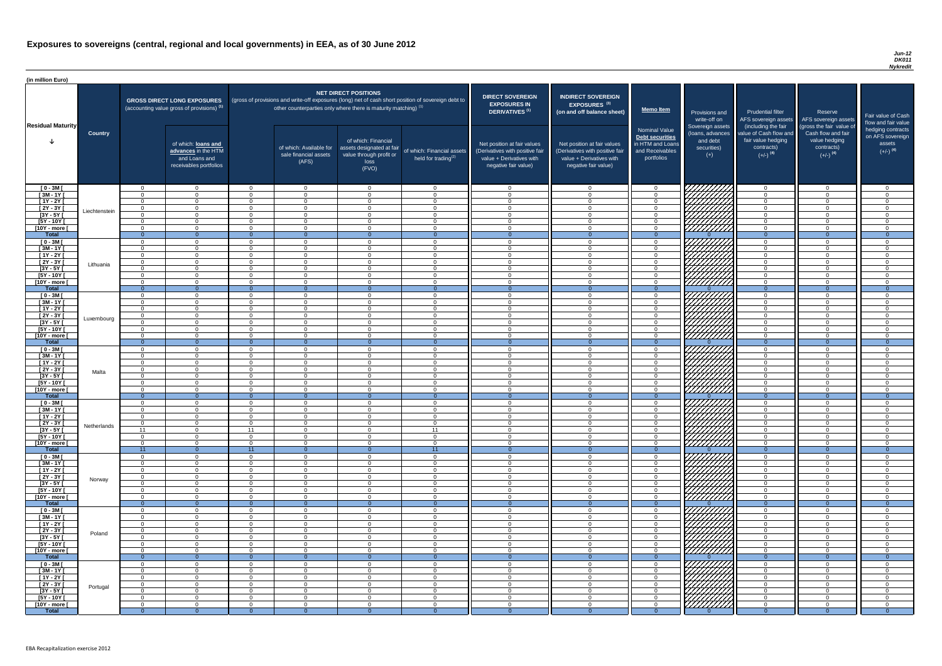#### *Jun-12 DK011 Nykredit*

| <b>DIRECT SOVEREIGN</b><br><b>EXPOSURES IN</b><br><b>DERIVATIVES<sup>(1)</sup></b>                                 | <b>INDIRECT SOVEREIGN</b><br><b>EXPOSURES<sup>(3)</sup></b><br>(on and off balance sheet)                          | <b>Memo Item</b>                                                                                    | Provisions and<br>write-off on                                           | <b>Prudential filter</b><br>AFS sovereign assets                                                            | Reserve<br>AFS sovereign assets                                                                         | Fair value of Cash<br>flow and fair value                                 |
|--------------------------------------------------------------------------------------------------------------------|--------------------------------------------------------------------------------------------------------------------|-----------------------------------------------------------------------------------------------------|--------------------------------------------------------------------------|-------------------------------------------------------------------------------------------------------------|---------------------------------------------------------------------------------------------------------|---------------------------------------------------------------------------|
| Net position at fair values<br>(Derivatives with positive fair<br>value + Derivatives with<br>negative fair value) | Net position at fair values<br>(Derivatives with positive fair<br>value + Derivatives with<br>negative fair value) | <b>Nominal Value</b><br><b>Debt securities</b><br>in HTM and Loans<br>and Receivables<br>portfolios | Sovereign assets<br>(loans, advances<br>and debt<br>securities)<br>$(+)$ | (including the fair<br>value of Cash flow and<br>fair value hedging<br>contracts)<br>$(+/-)$ <sup>(4)</sup> | (gross the fair value of<br>Cash flow and fair<br>value hedging<br>contracts)<br>$(+/-)$ <sup>(4)</sup> | hedging contracts<br>on AFS sovereign<br>assets<br>$(+/-)$ <sup>(4)</sup> |
| $\mathbf 0$                                                                                                        | $\mathbf 0$                                                                                                        | $\boldsymbol{0}$                                                                                    |                                                                          | $\mathbf 0$                                                                                                 | $\mathbf 0$                                                                                             | $\mathbf 0$                                                               |
| $\mathbf 0$                                                                                                        | $\mathbf 0$                                                                                                        | 0                                                                                                   |                                                                          | $\mathbf 0$                                                                                                 | $\mathbf 0$                                                                                             | $\mathbf 0$                                                               |
| $\mathbf 0$                                                                                                        | 0                                                                                                                  | 0                                                                                                   |                                                                          | $\mathbf 0$                                                                                                 | $\mathbf 0$                                                                                             | $\mathbf 0$                                                               |
| $\mathbf 0$                                                                                                        | $\mathbf 0$                                                                                                        | $\mathbf 0$                                                                                         |                                                                          | $\mathbf 0$                                                                                                 | $\mathbf 0$                                                                                             | $\mathbf 0$                                                               |
| $\mathbf 0$                                                                                                        | $\mathbf 0$                                                                                                        | $\mathbf 0$                                                                                         |                                                                          | $\mathbf 0$                                                                                                 | $\mathbf 0$                                                                                             | $\mathbf 0$                                                               |
| $\mathbf 0$                                                                                                        | $\mathbf 0$                                                                                                        | $\boldsymbol{0}$                                                                                    |                                                                          | $\mathbf 0$                                                                                                 | $\mathbf 0$                                                                                             | $\mathbf 0$                                                               |
| $\pmb{0}$<br>$\overline{0}$                                                                                        | $\mathbf 0$<br>$\overline{0}$                                                                                      | $\pmb{0}$<br>$\overline{0}$                                                                         | $\Omega$                                                                 | $\pmb{0}$<br>$\overline{0}$                                                                                 | $\mathbf 0$<br>$\overline{0}$                                                                           | $\mathbf 0$<br>$\overline{0}$                                             |
| $\mathbf 0$                                                                                                        | $\mathbf 0$                                                                                                        | 0                                                                                                   |                                                                          | $\mathbf 0$                                                                                                 | $\overline{0}$                                                                                          | $\mathbf 0$                                                               |
| $\mathbf 0$                                                                                                        | $\mathbf 0$                                                                                                        | $\mathbf 0$                                                                                         |                                                                          | $\mathbf 0$                                                                                                 | $\mathbf 0$                                                                                             | $\mathbf 0$                                                               |
| $\mathbf 0$                                                                                                        | $\mathbf 0$                                                                                                        | $\mathbf 0$                                                                                         |                                                                          | $\mathbf 0$                                                                                                 | $\overline{0}$                                                                                          | $\mathbf 0$                                                               |
| $\mathbf 0$                                                                                                        | $\mathbf 0$                                                                                                        | $\boldsymbol{0}$                                                                                    |                                                                          | $\mathbf 0$                                                                                                 | $\mathbf 0$                                                                                             | $\mathbf 0$                                                               |
| $\mathbf 0$                                                                                                        | $\mathbf 0$                                                                                                        | $\mathbf 0$                                                                                         |                                                                          | $\mathbf 0$                                                                                                 | $\mathbf 0$                                                                                             | $\mathbf 0$                                                               |
| $\mathbf 0$                                                                                                        | $\mathbf 0$                                                                                                        | $\mathbf 0$                                                                                         |                                                                          | $\mathbf 0$                                                                                                 | $\mathbf 0$                                                                                             | $\mathbf 0$                                                               |
| $\mathbf 0$<br>$\mathbf{0}$                                                                                        | $\mathbf 0$<br>$\overline{0}$                                                                                      | $\boldsymbol{0}$<br>$\overline{0}$                                                                  | $\Omega$                                                                 | $\mathbf 0$<br>$\overline{0}$                                                                               | $\overline{0}$<br>$\overline{0}$                                                                        | $\mathbf 0$<br>$\overline{0}$                                             |
| $\mathbf 0$                                                                                                        | $\mathbf 0$                                                                                                        | $\mathbf 0$                                                                                         |                                                                          | $\mathbf 0$                                                                                                 | $\overline{0}$                                                                                          | $\mathbf 0$                                                               |
| $\mathbf 0$                                                                                                        | $\mathbf 0$                                                                                                        | $\mathbf 0$                                                                                         |                                                                          | $\mathbf 0$                                                                                                 | $\mathbf 0$                                                                                             | $\pmb{0}$                                                                 |
| $\mathbf 0$                                                                                                        | $\pmb{0}$                                                                                                          | $\mathbf 0$                                                                                         |                                                                          | $\mathbf 0$                                                                                                 | $\mathbf 0$                                                                                             | $\mathbf 0$                                                               |
| $\mathbf 0$                                                                                                        | $\mathbf 0$                                                                                                        | $\pmb{0}$                                                                                           |                                                                          | $\mathbf 0$                                                                                                 | $\mathbf 0$                                                                                             | $\mathbf 0$                                                               |
| $\Omega$                                                                                                           | $\Omega$                                                                                                           | $\Omega$                                                                                            |                                                                          | $\Omega$                                                                                                    | $\Omega$                                                                                                | $\Omega$                                                                  |
| $\mathbf 0$                                                                                                        | 0                                                                                                                  | 0                                                                                                   |                                                                          | $\mathbf 0$                                                                                                 | 0                                                                                                       | 0                                                                         |
| $\mathbf 0$<br>$\mathbf{0}$                                                                                        | 0<br>$\mathbf{0}$                                                                                                  | 0<br>$\mathbf 0$                                                                                    | <u>////</u><br>.<br>$\overline{0}$                                       | 0<br>$\overline{0}$                                                                                         | 0<br>$\overline{0}$                                                                                     | 0<br>$\mathbf 0$                                                          |
| $\mathbf 0$                                                                                                        | $\mathbf 0$                                                                                                        | $\mathbf 0$                                                                                         |                                                                          | $\mathbf 0$                                                                                                 | $\mathbf 0$                                                                                             | 0                                                                         |
| $\mathbf 0$                                                                                                        | 0                                                                                                                  | 0                                                                                                   |                                                                          | 0                                                                                                           | 0                                                                                                       | 0                                                                         |
| $\mathbf 0$                                                                                                        | 0                                                                                                                  | 0                                                                                                   |                                                                          | $\mathbf 0$                                                                                                 | 0                                                                                                       | 0                                                                         |
| 0                                                                                                                  | 0                                                                                                                  | $\boldsymbol{0}$                                                                                    |                                                                          | 0                                                                                                           | 0                                                                                                       | 0                                                                         |
| 0                                                                                                                  | 0                                                                                                                  | 0                                                                                                   |                                                                          | 0                                                                                                           | 0                                                                                                       | 0                                                                         |
| $\mathbf 0$                                                                                                        | 0                                                                                                                  | 0                                                                                                   |                                                                          | 0                                                                                                           | 0                                                                                                       | 0                                                                         |
| $\boldsymbol{0}$<br>$\mathbf{0}$                                                                                   | $\mathbf 0$<br>$\overline{0}$                                                                                      | $\pmb{0}$<br>$\boldsymbol{0}$                                                                       | $\mathbf{0}$                                                             | $\mathbf 0$<br>$\overline{0}$                                                                               | $\mathbf 0$<br>$\overline{0}$                                                                           | 0<br>$\overline{0}$                                                       |
| $\mathbf 0$                                                                                                        | 0                                                                                                                  | 0                                                                                                   |                                                                          | 0                                                                                                           | 0                                                                                                       | 0                                                                         |
| $\mathbf 0$                                                                                                        | $\mathbf 0$                                                                                                        | $\mathbf 0$                                                                                         |                                                                          | $\mathbf 0$                                                                                                 | $\mathbf 0$                                                                                             | 0                                                                         |
| 0                                                                                                                  | 0                                                                                                                  | 0                                                                                                   |                                                                          | $\overline{0}$                                                                                              | $\overline{0}$                                                                                          | 0                                                                         |
| $\mathbf 0$                                                                                                        | 0                                                                                                                  | 0                                                                                                   |                                                                          | $\mathbf 0$                                                                                                 | 0                                                                                                       | 0                                                                         |
| $\boldsymbol{0}$                                                                                                   | $\mathbf 0$                                                                                                        | $\pmb{0}$                                                                                           |                                                                          | $\mathbf 0$                                                                                                 | $\mathbf 0$                                                                                             | 0                                                                         |
| $\mathbf 0$<br>$\mathbf 0$                                                                                         | $\mathbf 0$<br>$\mathbf 0$                                                                                         | $\pmb{0}$<br>$\pmb{0}$                                                                              |                                                                          | $\mathbf 0$<br>0                                                                                            | $\mathbf 0$<br>0                                                                                        | 0<br>0                                                                    |
| $\mathbf{0}$                                                                                                       | $\overline{0}$                                                                                                     | $\overline{0}$                                                                                      | $\overline{0}$                                                           | $\overline{0}$                                                                                              | $\overline{0}$                                                                                          | $\overline{0}$                                                            |
| $\mathbf 0$                                                                                                        | 0                                                                                                                  | 0                                                                                                   |                                                                          | $\mathbf 0$                                                                                                 | 0                                                                                                       | 0                                                                         |
| $\mathbf 0$                                                                                                        | 0                                                                                                                  | 0                                                                                                   |                                                                          | $\mathbf 0$                                                                                                 | 0                                                                                                       | 0                                                                         |
| $\mathbf 0$                                                                                                        | $\mathbf 0$                                                                                                        | $\pmb{0}$                                                                                           |                                                                          | $\mathbf 0$                                                                                                 | 0                                                                                                       | $\mathbf 0$                                                               |
| $\mathbf 0$                                                                                                        | $\mathbf 0$                                                                                                        | $\pmb{0}$                                                                                           |                                                                          | $\mathbf 0$                                                                                                 | 0                                                                                                       | $\mathbf 0$                                                               |
| $\mathbf 0$<br>$\mathbf 0$                                                                                         | $\mathbf 0$<br>$\mathbf 0$                                                                                         | $\pmb{0}$<br>$\pmb{0}$                                                                              |                                                                          | $\mathbf 0$<br>$\overline{0}$                                                                               | 0<br>0                                                                                                  | $\mathbf 0$<br>0                                                          |
| $\mathbf 0$                                                                                                        | $\mathbf 0$                                                                                                        | 0                                                                                                   |                                                                          | 0                                                                                                           | 0                                                                                                       | 0                                                                         |
| $\mathbf{0}$                                                                                                       | $\mathbf{0}$                                                                                                       | $\boldsymbol{0}$                                                                                    | $\mathbf{0}$                                                             | $\overline{0}$                                                                                              | $\overline{0}$                                                                                          | $\mathbf 0$                                                               |
| $\mathbf 0$                                                                                                        | 0                                                                                                                  | $\pmb{0}$                                                                                           |                                                                          | 0                                                                                                           | 0                                                                                                       | 0                                                                         |
| $\mathbf 0$                                                                                                        | 0                                                                                                                  | 0                                                                                                   |                                                                          | 0                                                                                                           | 0                                                                                                       | 0                                                                         |
| $\mathbf 0$                                                                                                        | 0                                                                                                                  | 0                                                                                                   |                                                                          | 0                                                                                                           | 0                                                                                                       | 0                                                                         |
| 0<br>0                                                                                                             | 0<br>0                                                                                                             | 0<br>0                                                                                              |                                                                          | 0<br>0                                                                                                      | 0<br>0                                                                                                  | 0<br>0                                                                    |
| 0                                                                                                                  | 0                                                                                                                  | 0                                                                                                   |                                                                          | 0                                                                                                           | 0                                                                                                       | 0                                                                         |
| $\boldsymbol{0}$                                                                                                   | 0                                                                                                                  | 0                                                                                                   | <u> 777 </u>                                                             | $\mathbf 0$                                                                                                 | $\mathbf 0$                                                                                             | 0                                                                         |
| $\mathbf{0}$                                                                                                       | $\overline{0}$                                                                                                     | $\overline{0}$                                                                                      | $\overline{0}$                                                           | $\overline{0}$                                                                                              | $\overline{0}$                                                                                          | $\overline{0}$                                                            |
| 0                                                                                                                  | 0                                                                                                                  | 0                                                                                                   |                                                                          | 0                                                                                                           | 0                                                                                                       | 0                                                                         |
| $\pmb{0}$                                                                                                          | $\overline{0}$                                                                                                     | $\pmb{0}$                                                                                           | <u>VZZZZZZZZZ</u>                                                        | $\pmb{0}$                                                                                                   | $\mathbf 0$                                                                                             | $\pmb{0}$                                                                 |
| $\mathbf 0$<br>$\overline{0}$                                                                                      | $\overline{0}$<br>$\overline{0}$                                                                                   | $\overline{0}$<br>$\mathbf 0$                                                                       |                                                                          | $\overline{0}$<br>$\overline{0}$                                                                            | $\overline{0}$<br>$\overline{0}$                                                                        | $\overline{0}$<br>$\overline{0}$                                          |
| $\mathbf 0$                                                                                                        | $\mathbf 0$                                                                                                        | $\mathbf 0$                                                                                         |                                                                          | $\overline{0}$                                                                                              | $\mathbf 0$                                                                                             | $\overline{0}$                                                            |
| $\mathbf 0$                                                                                                        | $\mathbf 0$                                                                                                        | $\pmb{0}$                                                                                           |                                                                          | $\overline{0}$                                                                                              | $\mathbf 0$                                                                                             | $\overline{0}$                                                            |
| $\mathbf 0$                                                                                                        | $\overline{0}$                                                                                                     | $\pmb{0}$                                                                                           |                                                                          | $\overline{0}$                                                                                              | $\mathbf 0$                                                                                             | $\mathbf 0$                                                               |
| $\overline{0}$                                                                                                     | $\overline{0}$                                                                                                     | $\overline{0}$                                                                                      | $\Omega$                                                                 | $\overline{0}$                                                                                              | $\overline{0}$                                                                                          | $\overline{0}$                                                            |

| (in million Euro)                   |                |                                                                                             |                      |                                                                                                                                                                                                            |                                                                                       |                            |                                                           |                                                                                              |                                                                                           |                                                                                                                    |                                                                                                                    |                                                                                              |                                                                          |                                                                                                             |
|-------------------------------------|----------------|---------------------------------------------------------------------------------------------|----------------------|------------------------------------------------------------------------------------------------------------------------------------------------------------------------------------------------------------|---------------------------------------------------------------------------------------|----------------------------|-----------------------------------------------------------|----------------------------------------------------------------------------------------------|-------------------------------------------------------------------------------------------|--------------------------------------------------------------------------------------------------------------------|--------------------------------------------------------------------------------------------------------------------|----------------------------------------------------------------------------------------------|--------------------------------------------------------------------------|-------------------------------------------------------------------------------------------------------------|
| <b>Residual Maturity</b>            | <b>Country</b> | <b>GROSS DIRECT LONG EXPOSURES</b><br>(accounting value gross of provisions) <sup>(1)</sup> |                      | <b>NET DIRECT POSITIONS</b><br>(gross of provisions and write-off exposures (long) net of cash short position of sovereign debt to<br>other counterparties only where there is maturity matching) $^{(1)}$ |                                                                                       |                            |                                                           | <b>DIRECT SOVEREIGN</b><br><b>EXPOSURES IN</b><br><b>DERIVATIVES<sup>(1)</sup></b>           | <b>INDIRECT SOVEREIGN</b><br><b>EXPOSURES<sup>(3)</sup></b><br>(on and off balance sheet) | <b>Memo Item</b>                                                                                                   | Provisions and<br>write-off on                                                                                     | <b>Prudential filter</b><br>AFS sovereign assets                                             | Reserve<br>AFS sovereign assets                                          | <b>Fair value</b><br>flow and f                                                                             |
|                                     |                |                                                                                             |                      |                                                                                                                                                                                                            | of which: loans and<br>advances in the HTM<br>and Loans and<br>receivables portfolios |                            | of which: Available for<br>sale financial assets<br>(AFS) | of which: Financial<br>assets designated at fair<br>value through profit or<br>loss<br>(FVO) | of which: Financial assets<br>held for trading <sup>(2)</sup>                             | Net position at fair values<br>(Derivatives with positive fair<br>value + Derivatives with<br>negative fair value) | Net position at fair values<br>(Derivatives with positive fair<br>value + Derivatives with<br>negative fair value) | <b>Nominal Value</b><br>Debt securities<br>in HTM and Loans<br>and Receivables<br>portfolios | Sovereign assets<br>(loans, advances<br>and debt<br>securities)<br>$(+)$ | (including the fair<br>value of Cash flow and<br>fair value hedging<br>contracts)<br>$(+/-)$ <sup>(4)</sup> |
| $[0 - 3M]$                          |                | $\Omega$                                                                                    | $\Omega$             | $\Omega$                                                                                                                                                                                                   | $\overline{0}$                                                                        | $\overline{0}$             | $\cap$                                                    | $\cap$                                                                                       | $\overline{0}$                                                                            | $\overline{0}$                                                                                                     | 7777777777                                                                                                         | $\overline{0}$                                                                               | $\Omega$                                                                 |                                                                                                             |
| $[3M - 1Y]$                         |                | $\Omega$                                                                                    | $\Omega$             | $\Omega$                                                                                                                                                                                                   | $\overline{0}$                                                                        | $\Omega$                   | $\cap$                                                    | $\cap$                                                                                       | $\Omega$                                                                                  | $\Omega$                                                                                                           |                                                                                                                    | $\Omega$                                                                                     | $\Omega$                                                                 |                                                                                                             |
| $[1Y - 2Y]$<br>$\boxed{2Y - 3Y}$    |                | $\Omega$<br>$\Omega$                                                                        | $\cap$<br>$\Omega$   | $\Omega$<br>$\Omega$                                                                                                                                                                                       | $\overline{0}$<br>$\overline{0}$                                                      | $\Omega$<br>$\Omega$       | $\cap$<br>$\Omega$                                        | $\Omega$                                                                                     | $\Omega$<br>$\Omega$                                                                      | $\Omega$<br>$\Omega$                                                                                               |                                                                                                                    | $\Omega$<br>$\Omega$                                                                         | $\Omega$<br>$\Omega$                                                     |                                                                                                             |
| $[3Y - 5Y]$                         | Liechtenstein  | $\Omega$                                                                                    | $\cap$               | $\Omega$                                                                                                                                                                                                   | $\Omega$                                                                              | $\Omega$                   | $\cap$                                                    | $\cap$                                                                                       | - റ                                                                                       | $\Omega$                                                                                                           |                                                                                                                    | $\Omega$                                                                                     | $\Omega$                                                                 |                                                                                                             |
| $[5Y - 10Y]$                        |                | $\Omega$                                                                                    | $\cap$               | $\Omega$                                                                                                                                                                                                   | $\overline{0}$                                                                        | $\Omega$                   | $\cap$                                                    | $\Omega$                                                                                     | $\cap$                                                                                    | $\Omega$                                                                                                           | HAHARA KADALLAR<br>HAHARARA                                                                                        | $\overline{0}$                                                                               | $\Omega$                                                                 |                                                                                                             |
| [10Y - more [                       |                | $\Omega$                                                                                    | $\Omega$             | $\Omega$                                                                                                                                                                                                   | $\overline{0}$                                                                        | $\Omega$                   | $\Omega$                                                  | $\Omega$                                                                                     | $\cap$                                                                                    | $\overline{0}$                                                                                                     |                                                                                                                    | $\overline{0}$                                                                               | $\Omega$                                                                 |                                                                                                             |
| <b>Total</b>                        |                | $\Omega$<br>$\Omega$                                                                        | റ<br>$\Omega$        | - വ<br>$\Omega$                                                                                                                                                                                            | $\Omega$<br>$\overline{0}$                                                            | $\cap$<br>$\Omega$         | $\Omega$<br>$\Omega$                                      | $\Omega$                                                                                     | $\Omega$                                                                                  | $\Omega$<br>$\Omega$                                                                                               | 77777777                                                                                                           | $\Omega$<br>$\Omega$                                                                         | $\Omega$<br>$\Omega$                                                     |                                                                                                             |
| $[0 - 3M]$<br>$[3M - 1Y]$           |                | $\overline{0}$                                                                              | $\Omega$             | $\Omega$                                                                                                                                                                                                   | $\overline{0}$                                                                        | $\Omega$                   | $\Omega$                                                  |                                                                                              | $\Omega$                                                                                  | $\overline{0}$                                                                                                     |                                                                                                                    | $\overline{0}$                                                                               | $\overline{0}$                                                           |                                                                                                             |
| $[1Y - 2Y]$                         |                | $\Omega$                                                                                    | $\cap$               | $\Omega$                                                                                                                                                                                                   | $\overline{0}$                                                                        | $\Omega$                   | $\Omega$                                                  |                                                                                              | $\Omega$                                                                                  | $\overline{0}$                                                                                                     |                                                                                                                    | $\overline{0}$                                                                               | $\Omega$                                                                 |                                                                                                             |
| $[2Y - 3Y]$                         | Lithuania      | $\Omega$                                                                                    | $\cap$               | $\Omega$                                                                                                                                                                                                   | $\Omega$                                                                              | $\Omega$                   | $\Omega$                                                  | $\sim$                                                                                       | $\Omega$                                                                                  | $\Omega$                                                                                                           |                                                                                                                    | $\Omega$                                                                                     | $\Omega$                                                                 |                                                                                                             |
| $[3Y - 5Y]$<br>$[5Y - 10Y]$         |                | $\Omega$<br>$\Omega$                                                                        |                      | $\Omega$<br>$\Omega$                                                                                                                                                                                       | $\overline{0}$<br>$\overline{0}$                                                      | $\Omega$<br>$\Omega$       |                                                           |                                                                                              | $\Omega$<br>$\Omega$                                                                      | $\overline{0}$<br>$\Omega$                                                                                         | 777777777<br>777777777                                                                                             | $\Omega$<br>$\Omega$                                                                         | $\Omega$<br>$\Omega$                                                     |                                                                                                             |
| [10Y - more [                       |                | $\cap$                                                                                      | $\cap$               | $\Omega$                                                                                                                                                                                                   | $\Omega$                                                                              | $\Omega$                   |                                                           |                                                                                              | $\cap$                                                                                    | $\Omega$                                                                                                           | 777777777                                                                                                          | $\Omega$                                                                                     | $\Omega$                                                                 |                                                                                                             |
| <b>Total</b>                        |                | $\overline{0}$                                                                              |                      | $\Omega$                                                                                                                                                                                                   | $\Omega$                                                                              | - റ                        | - 0                                                       |                                                                                              | $\Omega$                                                                                  | $\Omega$                                                                                                           |                                                                                                                    | $\Omega$                                                                                     | $\Omega$                                                                 |                                                                                                             |
| $[0 - 3M]$                          |                | $\Omega$                                                                                    | $\cap$               | $\Omega$                                                                                                                                                                                                   | $\Omega$                                                                              | $\Omega$                   |                                                           |                                                                                              | $\cap$                                                                                    | . വ                                                                                                                | 777777777                                                                                                          | $\Omega$                                                                                     | $\Omega$                                                                 |                                                                                                             |
| $[3M-1Y]$<br>$[1Y - 2Y]$            |                | $\Omega$<br>$\Omega$                                                                        | $\cap$<br>$\cap$     | $\Omega$<br>$\Omega$                                                                                                                                                                                       | $\Omega$<br>$\Omega$                                                                  | $\Omega$<br>$\cap$         |                                                           | $\Omega$<br>$\Omega$                                                                         | $\Omega$<br>$\Omega$                                                                      | $\Omega$<br>. റ                                                                                                    |                                                                                                                    | $\overline{0}$<br>$\Omega$                                                                   | $\Omega$<br>$\Omega$                                                     |                                                                                                             |
| $[2Y - 3Y]$                         |                | $\Omega$                                                                                    | $\cap$               | $\Omega$                                                                                                                                                                                                   | $\Omega$                                                                              | $\Omega$                   |                                                           | $\Omega$                                                                                     | $\Omega$                                                                                  | $\Omega$                                                                                                           | $\mathbb{Z}$                                                                                                       | $\Omega$                                                                                     | $\Omega$                                                                 |                                                                                                             |
| $[3Y - 5Y]$                         | Luxembourg     |                                                                                             |                      |                                                                                                                                                                                                            |                                                                                       |                            |                                                           |                                                                                              |                                                                                           |                                                                                                                    | 444411<br>644                                                                                                      |                                                                                              |                                                                          |                                                                                                             |
| $[5Y - 10Y]$                        |                | $\Omega$<br>$\Omega$                                                                        | $\cap$               | $\Omega$                                                                                                                                                                                                   | $\Omega$                                                                              | $\Omega$                   |                                                           |                                                                                              | $\Omega$                                                                                  | $\Omega$<br>$\Omega$                                                                                               |                                                                                                                    | $\Omega$                                                                                     | $\Omega$<br>$\Omega$                                                     |                                                                                                             |
| [10Y - more ]<br><b>Total</b>       |                | $\overline{0}$                                                                              |                      | $\Omega$<br>$\Omega$                                                                                                                                                                                       | $\Omega$<br>$\Omega$                                                                  | $\Omega$                   | $\Omega$                                                  |                                                                                              |                                                                                           | $\Omega$                                                                                                           | 777777777                                                                                                          | $\Omega$<br>$\overline{0}$                                                                   | $\Omega$                                                                 |                                                                                                             |
| $[0 - 3M]$                          |                | $\Omega$                                                                                    | $\cap$               | $\Omega$                                                                                                                                                                                                   | $\Omega$                                                                              | $\Omega$                   |                                                           |                                                                                              | $\Omega$                                                                                  | $\Omega$                                                                                                           |                                                                                                                    | $\Omega$                                                                                     | - 0                                                                      |                                                                                                             |
| $[3M - 1Y]$                         |                |                                                                                             |                      | $\Omega$                                                                                                                                                                                                   | $\Omega$                                                                              | $\Omega$                   |                                                           |                                                                                              | $\Omega$                                                                                  | $\Omega$                                                                                                           | VIIIIIIIII<br>レフフフ                                                                                                 | $\Omega$                                                                                     | $\Omega$                                                                 |                                                                                                             |
| $[1Y - 2Y]$                         |                | $\Omega$<br>$\Omega$                                                                        | $\Omega$<br>$\cap$   | $\Omega$<br>- 0                                                                                                                                                                                            | $\overline{0}$                                                                        | $\Omega$<br>$\Omega$       | $\cap$                                                    | $\cap$                                                                                       | $\Omega$<br>$\Omega$                                                                      | $\Omega$<br>$\Omega$                                                                                               |                                                                                                                    | $\Omega$<br>$\Omega$                                                                         | $\Omega$<br>$\Omega$                                                     |                                                                                                             |
| [2Y - 3Y [<br>$[3Y - 5Y]$           | Malta          | $\Omega$                                                                                    | $\cap$               | - 0                                                                                                                                                                                                        | $\overline{0}$<br>$\overline{0}$                                                      | $\Omega$                   | $\cap$                                                    |                                                                                              | $\Omega$                                                                                  | $\Omega$                                                                                                           |                                                                                                                    | $\Omega$                                                                                     | $\Omega$                                                                 |                                                                                                             |
| $[5Y - 10Y]$                        |                | $\Omega$                                                                                    | $\cap$               | $\Omega$                                                                                                                                                                                                   | $\overline{0}$                                                                        | $\Omega$                   | $\Omega$                                                  | $\Omega$                                                                                     | $\Omega$                                                                                  | $\overline{0}$                                                                                                     | //////////                                                                                                         | $\Omega$                                                                                     | $\Omega$                                                                 |                                                                                                             |
| [10Y - more [                       |                | $\Omega$                                                                                    | $\cap$               | $\Omega$                                                                                                                                                                                                   | $\Omega$                                                                              | $\Omega$                   | $\cap$                                                    | $\Omega$                                                                                     | $\Omega$                                                                                  | $\Omega$                                                                                                           | r <i>ttiiiiin</i>                                                                                                  | $\overline{0}$                                                                               | $\Omega$                                                                 |                                                                                                             |
| <b>Total</b><br>$[0 - 3M]$          |                | $\overline{0}$<br>$\Omega$                                                                  | $\Omega$<br>$\Omega$ | $\Omega$<br>$\Omega$                                                                                                                                                                                       | $\Omega$<br>$\overline{0}$                                                            | $\Omega$<br>$\Omega$       | $\overline{0}$<br>$\Omega$                                | ∩                                                                                            | $\Omega$                                                                                  | $\Omega$<br>$\overline{0}$                                                                                         |                                                                                                                    | $\Omega$<br>$\Omega$                                                                         | - 0<br>$\Omega$                                                          |                                                                                                             |
| $[3M - 1Y]$                         |                | $\Omega$                                                                                    | <u>റ</u>             | $\Omega$                                                                                                                                                                                                   | $\overline{0}$                                                                        | $\Omega$                   | $\Omega$                                                  | $\cap$                                                                                       | $\Omega$                                                                                  | $\Omega$                                                                                                           |                                                                                                                    | $\Omega$                                                                                     | $\overline{0}$                                                           |                                                                                                             |
| $[1Y - 2Y]$                         |                | $\Omega$                                                                                    | $\Omega$             | $\Omega$                                                                                                                                                                                                   | $\overline{0}$                                                                        | $\Omega$                   | $\Omega$                                                  |                                                                                              | $\Omega$                                                                                  | $\Omega$                                                                                                           |                                                                                                                    | $\overline{0}$                                                                               | $\Omega$                                                                 |                                                                                                             |
| $[2Y - 3Y]$                         | Netherlands    | $\overline{0}$                                                                              | $\Omega$             | $\Omega$                                                                                                                                                                                                   | $\overline{0}$                                                                        | $\Omega$                   | $\cap$                                                    |                                                                                              | $\Omega$                                                                                  | $\overline{0}$                                                                                                     |                                                                                                                    | $\overline{0}$                                                                               | $\overline{0}$                                                           |                                                                                                             |
| $[3Y - 5Y]$<br>$[5Y - 10Y]$         |                | 11<br>$\Omega$                                                                              | $\Omega$<br>$\Omega$ | 11<br>$\Omega$                                                                                                                                                                                             | $\Omega$<br>$\overline{0}$                                                            | $\Omega$<br>$\Omega$       | 11<br>$\cap$                                              |                                                                                              | $\Omega$<br>$\Omega$                                                                      | $\Omega$<br>$\Omega$                                                                                               |                                                                                                                    | $\Omega$<br>$\Omega$                                                                         | $\Omega$<br>$\Omega$                                                     |                                                                                                             |
| [10Y - more [                       |                | $\Omega$                                                                                    | $\Omega$             | $\Omega$                                                                                                                                                                                                   | $\overline{0}$                                                                        | $\overline{0}$             | $\Omega$                                                  |                                                                                              | $\Omega$                                                                                  | $\Omega$                                                                                                           | <u> ЧШТЛ</u>                                                                                                       | $\Omega$                                                                                     | $\Omega$                                                                 |                                                                                                             |
| <b>Total</b>                        |                | 11                                                                                          | -0                   | 11                                                                                                                                                                                                         | $\overline{0}$                                                                        | -0                         | 11                                                        |                                                                                              |                                                                                           | $\Omega$                                                                                                           |                                                                                                                    | $\overline{0}$                                                                               | $\Omega$                                                                 |                                                                                                             |
| $[0 - 3M]$                          | Norway         | $\Omega$                                                                                    | . വ                  | - 0                                                                                                                                                                                                        | $\Omega$                                                                              | $\Omega$                   | $\cap$<br>$\cap$                                          | $\Omega$                                                                                     | $\Omega$                                                                                  | $\Omega$                                                                                                           |                                                                                                                    | $\Omega$                                                                                     | $\Omega$                                                                 |                                                                                                             |
| $[3M - 1Y]$<br>$[1Y - 2Y]$          |                | $\overline{0}$<br>$\Omega$                                                                  | <u>റ</u><br>$\Omega$ | $\Omega$<br>$\Omega$                                                                                                                                                                                       | $\overline{0}$<br>$\overline{0}$                                                      | $\Omega$<br>$\Omega$       | $\Omega$                                                  | $\Omega$                                                                                     | $\Omega$<br>$\Omega$                                                                      | $\Omega$<br>$\Omega$                                                                                               |                                                                                                                    | $\overline{0}$<br>$\overline{0}$                                                             | $\Omega$<br>$\Omega$                                                     |                                                                                                             |
| $[2Y - 3Y]$                         |                | $\Omega$                                                                                    | $\Omega$             | $\Omega$                                                                                                                                                                                                   | $\Omega$                                                                              | $\Omega$                   | $\Omega$                                                  | $\Omega$                                                                                     | $\Omega$                                                                                  | $\Omega$                                                                                                           | HAAAB                                                                                                              | $\overline{0}$                                                                               | $\Omega$                                                                 |                                                                                                             |
| $[3Y - 5Y]$                         |                | $\Omega$                                                                                    | . റ                  | $\Omega$                                                                                                                                                                                                   | $\overline{0}$                                                                        | $\Omega$                   | $\cap$                                                    | $\cap$                                                                                       | $\Omega$                                                                                  | $\Omega$                                                                                                           |                                                                                                                    | $\overline{0}$                                                                               | $\Omega$                                                                 |                                                                                                             |
| $[5Y - 10Y]$                        |                | $\Omega$<br>$\Omega$                                                                        | $\cap$<br>$\cap$     | $\Omega$<br>$\Omega$                                                                                                                                                                                       | $\overline{0}$                                                                        | $\Omega$<br>$\Omega$       | $\cap$<br>$\cap$                                          | $\Omega$<br>$\Omega$                                                                         | $\Omega$<br>$\Omega$                                                                      | $\Omega$<br>$\Omega$                                                                                               | 777777777                                                                                                          | $\Omega$<br>$\Omega$                                                                         | $\Omega$<br>$\Omega$                                                     |                                                                                                             |
| [10Y - more [<br><b>Total</b>       |                | $\overline{0}$                                                                              |                      | - 0                                                                                                                                                                                                        | $\Omega$<br>$\Omega$                                                                  |                            | - 0                                                       |                                                                                              |                                                                                           | $\Omega$                                                                                                           | <u>V//////////</u>                                                                                                 | $\overline{0}$                                                                               | - 0                                                                      |                                                                                                             |
| $[0 - 3M]$                          |                | $\Omega$                                                                                    |                      | -C                                                                                                                                                                                                         | $\Omega$                                                                              | $\Omega$                   |                                                           |                                                                                              | $\Omega$                                                                                  | $\Omega$                                                                                                           |                                                                                                                    | $\Omega$                                                                                     | $\Omega$                                                                 |                                                                                                             |
| $[3M - 1Y]$                         | Poland         | $\Omega$                                                                                    | $\Omega$             | $\Omega$                                                                                                                                                                                                   | $\overline{0}$                                                                        | $\Omega$                   |                                                           |                                                                                              | $\Omega$                                                                                  | $\Omega$                                                                                                           |                                                                                                                    | $\Omega$                                                                                     | $\Omega$                                                                 |                                                                                                             |
| $[1Y - 2Y]$                         |                | $\Omega$<br>$\Omega$                                                                        | $\cap$<br>$\Omega$   | $\Omega$<br>- 0                                                                                                                                                                                            | $\overline{0}$                                                                        | $\Omega$<br>$\Omega$       | $\cap$<br>$\cap$                                          |                                                                                              | $\Omega$<br>$\Omega$                                                                      | $\Omega$<br>$\Omega$                                                                                               |                                                                                                                    | $\Omega$<br>$\Omega$                                                                         | $\Omega$<br>$\Omega$                                                     |                                                                                                             |
| $\overline{2Y - 3Y}$<br>$[3Y - 5Y]$ |                | $\Omega$                                                                                    | $\cap$               | - 0                                                                                                                                                                                                        | $\overline{0}$<br>$\Omega$                                                            | $\Omega$                   | $\Omega$                                                  |                                                                                              | $\Omega$                                                                                  | $\Omega$                                                                                                           |                                                                                                                    | $\Omega$                                                                                     | $\Omega$                                                                 |                                                                                                             |
| $[5Y - 10Y]$                        |                | $\Omega$                                                                                    | $\cap$               | $\Omega$                                                                                                                                                                                                   | $\Omega$                                                                              | $\Omega$                   | $\cap$                                                    | ∩                                                                                            | $\Omega$                                                                                  | $\Omega$                                                                                                           | HHHHH                                                                                                              | $\overline{0}$                                                                               | $\Omega$                                                                 |                                                                                                             |
| [10Y - more [                       |                | $\Omega$                                                                                    | $\cap$               | $\Omega$                                                                                                                                                                                                   | $\Omega$                                                                              | $\Omega$                   | $\Omega$                                                  |                                                                                              | $\Omega$                                                                                  | $\Omega$                                                                                                           |                                                                                                                    | $\Omega$                                                                                     | $\Omega$                                                                 |                                                                                                             |
| <b>Total</b><br>$[0 - 3M]$          |                | $\Omega$<br>$\Omega$                                                                        |                      | - വ<br>$\Omega$                                                                                                                                                                                            | $\Omega$<br>$\Omega$                                                                  | $\Omega$                   | $\Omega$                                                  |                                                                                              | $\Omega$                                                                                  | $\Omega$<br>$\cap$                                                                                                 | <i>VIIIIIII</i>                                                                                                    | $\Omega$<br>$\Omega$                                                                         | - 0<br>$\Omega$                                                          |                                                                                                             |
| $[3M - 1Y]$                         |                | $\Omega$                                                                                    | . റ                  | $\Omega$                                                                                                                                                                                                   | $\overline{0}$                                                                        | $\overline{0}$             | $\Omega$                                                  | $\cap$                                                                                       | $\Omega$                                                                                  | $\Omega$                                                                                                           |                                                                                                                    | $\overline{0}$                                                                               | $\overline{0}$                                                           |                                                                                                             |
| $[1Y - 2Y]$                         |                | $\Omega$                                                                                    | $\Omega$             | $\Omega$                                                                                                                                                                                                   | $\overline{0}$                                                                        | $\overline{0}$             | $\Omega$                                                  | $\Omega$                                                                                     | $\Omega$                                                                                  | $\overline{0}$                                                                                                     |                                                                                                                    | $\overline{0}$                                                                               | $\overline{0}$                                                           |                                                                                                             |
| $[2Y - 3Y]$                         | Portugal       | $\overline{0}$                                                                              | $\overline{0}$       | $\Omega$                                                                                                                                                                                                   | $\overline{0}$                                                                        | $\overline{0}$             | $\Omega$                                                  | $\Omega$                                                                                     | $\Omega$                                                                                  | $\overline{0}$                                                                                                     |                                                                                                                    | $\overline{0}$                                                                               | $\Omega$                                                                 |                                                                                                             |
| $[3Y - 5Y]$<br>$[5Y - 10Y]$         |                | $\Omega$<br>$\Omega$                                                                        | $\Omega$<br>$\Omega$ | - റ<br>$\Omega$                                                                                                                                                                                            | $\overline{0}$<br>$\overline{0}$                                                      | $\Omega$<br>$\overline{0}$ |                                                           | $\Omega$                                                                                     | $\Omega$<br>$\Omega$                                                                      | $\Omega$<br>$\overline{0}$                                                                                         |                                                                                                                    | $\Omega$<br>$\Omega$                                                                         | $\Omega$<br>$\Omega$                                                     | $\cap$                                                                                                      |
| [10Y - more [                       |                |                                                                                             | $\Omega$             | $\Omega$                                                                                                                                                                                                   | $\Omega$                                                                              | $\Omega$                   |                                                           |                                                                                              | $\Omega$                                                                                  | $\Omega$                                                                                                           | UNITA<br>UNITA                                                                                                     | $\Omega$                                                                                     | - ೧                                                                      | C                                                                                                           |
| <b>Total</b>                        |                | $\Omega$                                                                                    |                      | $\Omega$                                                                                                                                                                                                   | $\Omega$                                                                              |                            |                                                           |                                                                                              |                                                                                           |                                                                                                                    |                                                                                                                    | $\Omega$                                                                                     |                                                                          |                                                                                                             |